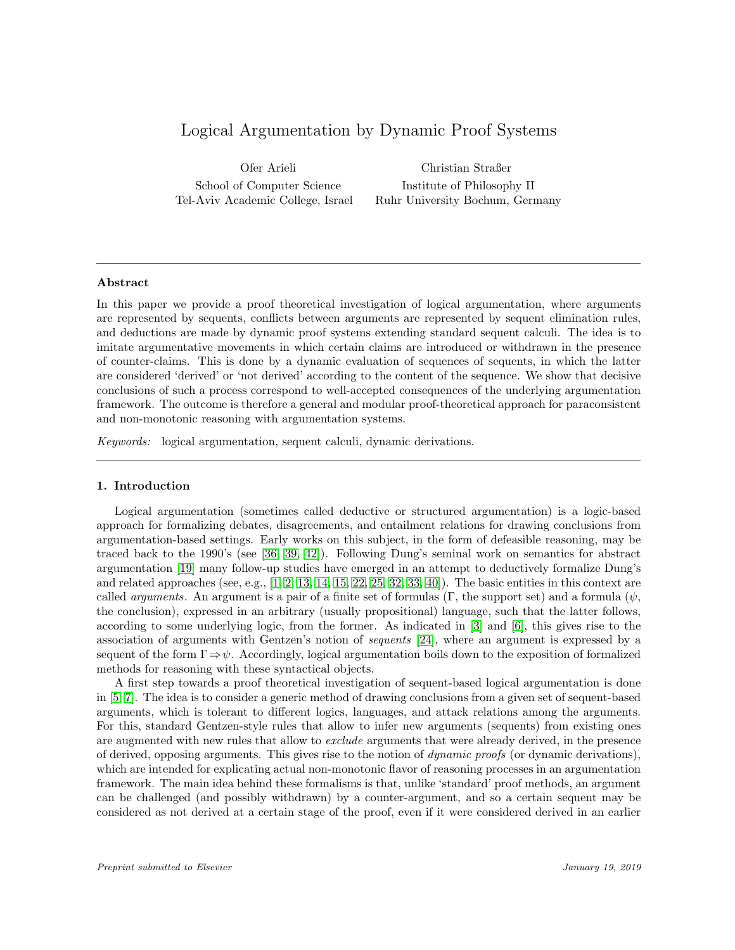# Logical Argumentation by Dynamic Proof Systems

Tel-Aviv Academic College, Israel Ruhr University Bochum, Germany

Ofer Arieli Christian Straßer School of Computer Science Institute of Philosophy II

# Abstract

In this paper we provide a proof theoretical investigation of logical argumentation, where arguments are represented by sequents, conflicts between arguments are represented by sequent elimination rules, and deductions are made by dynamic proof systems extending standard sequent calculi. The idea is to imitate argumentative movements in which certain claims are introduced or withdrawn in the presence of counter-claims. This is done by a dynamic evaluation of sequences of sequents, in which the latter are considered 'derived' or 'not derived' according to the content of the sequence. We show that decisive conclusions of such a process correspond to well-accepted consequences of the underlying argumentation framework. The outcome is therefore a general and modular proof-theoretical approach for paraconsistent and non-monotonic reasoning with argumentation systems.

Keywords: logical argumentation, sequent calculi, dynamic derivations.

#### 1. Introduction

Logical argumentation (sometimes called deductive or structured argumentation) is a logic-based approach for formalizing debates, disagreements, and entailment relations for drawing conclusions from argumentation-based settings. Early works on this subject, in the form of defeasible reasoning, may be traced back to the 1990's (see [\[36,](#page-29-0) [39,](#page-29-1) [42\]](#page-29-2)). Following Dung's seminal work on semantics for abstract argumentation [\[19\]](#page-28-0) many follow-up studies have emerged in an attempt to deductively formalize Dung's and related approaches (see, e.g.,  $[1, 2, 13, 14, 15, 22, 25, 32, 33, 40]$  $[1, 2, 13, 14, 15, 22, 25, 32, 33, 40]$  $[1, 2, 13, 14, 15, 22, 25, 32, 33, 40]$  $[1, 2, 13, 14, 15, 22, 25, 32, 33, 40]$  $[1, 2, 13, 14, 15, 22, 25, 32, 33, 40]$  $[1, 2, 13, 14, 15, 22, 25, 32, 33, 40]$  $[1, 2, 13, 14, 15, 22, 25, 32, 33, 40]$  $[1, 2, 13, 14, 15, 22, 25, 32, 33, 40]$  $[1, 2, 13, 14, 15, 22, 25, 32, 33, 40]$  $[1, 2, 13, 14, 15, 22, 25, 32, 33, 40]$ ). The basic entities in this context are called *arguments*. An argument is a pair of a finite set of formulas (Γ, the support set) and a formula ( $\psi$ , the conclusion), expressed in an arbitrary (usually propositional) language, such that the latter follows, according to some underlying logic, from the former. As indicated in [\[3\]](#page-27-2) and [\[6\]](#page-27-3), this gives rise to the association of arguments with Gentzen's notion of sequents [\[24\]](#page-28-6), where an argument is expressed by a sequent of the form  $\Gamma \Rightarrow \psi$ . Accordingly, logical argumentation boils down to the exposition of formalized methods for reasoning with these syntactical objects.

A first step towards a proof theoretical investigation of sequent-based logical argumentation is done in [\[5,](#page-27-4) [7\]](#page-27-5). The idea is to consider a generic method of drawing conclusions from a given set of sequent-based arguments, which is tolerant to different logics, languages, and attack relations among the arguments. For this, standard Gentzen-style rules that allow to infer new arguments (sequents) from existing ones are augmented with new rules that allow to exclude arguments that were already derived, in the presence of derived, opposing arguments. This gives rise to the notion of dynamic proofs (or dynamic derivations), which are intended for explicating actual non-monotonic flavor of reasoning processes in an argumentation framework. The main idea behind these formalisms is that, unlike 'standard' proof methods, an argument can be challenged (and possibly withdrawn) by a counter-argument, and so a certain sequent may be considered as not derived at a certain stage of the proof, even if it were considered derived in an earlier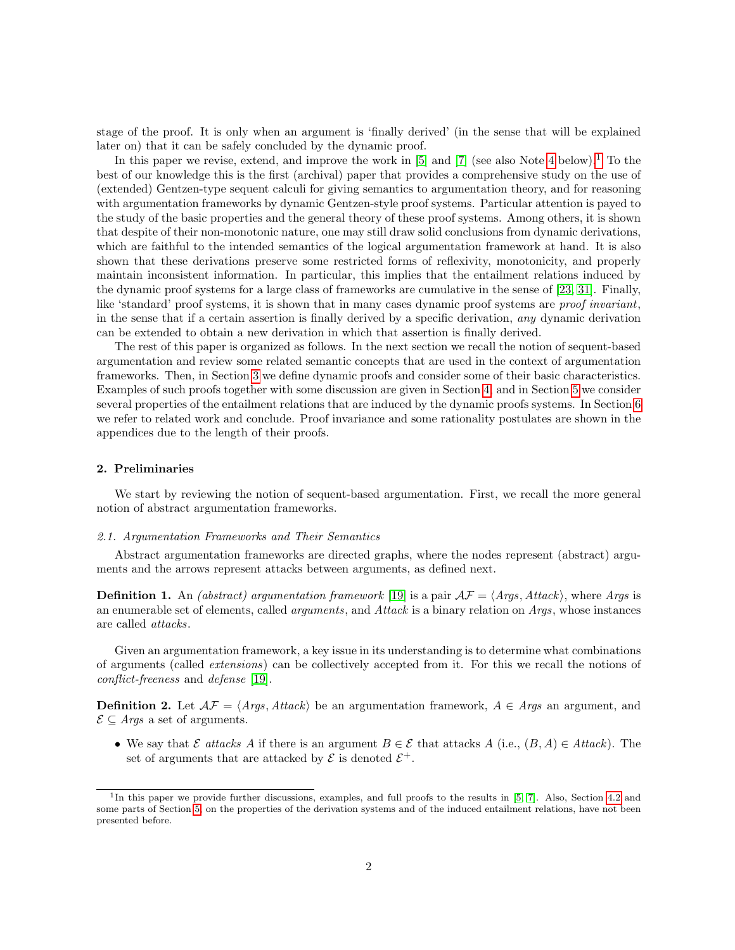stage of the proof. It is only when an argument is 'finally derived' (in the sense that will be explained later on) that it can be safely concluded by the dynamic proof.

In this paper we revise, extend, and improve the work in  $[5]$  and  $[7]$  (see also Note [4](#page-15-0) below).<sup>[1](#page-1-0)</sup> To the best of our knowledge this is the first (archival) paper that provides a comprehensive study on the use of (extended) Gentzen-type sequent calculi for giving semantics to argumentation theory, and for reasoning with argumentation frameworks by dynamic Gentzen-style proof systems. Particular attention is payed to the study of the basic properties and the general theory of these proof systems. Among others, it is shown that despite of their non-monotonic nature, one may still draw solid conclusions from dynamic derivations, which are faithful to the intended semantics of the logical argumentation framework at hand. It is also shown that these derivations preserve some restricted forms of reflexivity, monotonicity, and properly maintain inconsistent information. In particular, this implies that the entailment relations induced by the dynamic proof systems for a large class of frameworks are cumulative in the sense of [\[23,](#page-28-7) [31\]](#page-29-6). Finally, like 'standard' proof systems, it is shown that in many cases dynamic proof systems are *proof invariant*, in the sense that if a certain assertion is finally derived by a specific derivation, any dynamic derivation can be extended to obtain a new derivation in which that assertion is finally derived.

The rest of this paper is organized as follows. In the next section we recall the notion of sequent-based argumentation and review some related semantic concepts that are used in the context of argumentation frameworks. Then, in Section [3](#page-8-0) we define dynamic proofs and consider some of their basic characteristics. Examples of such proofs together with some discussion are given in Section [4,](#page-13-0) and in Section [5](#page-19-0) we consider several properties of the entailment relations that are induced by the dynamic proofs systems. In Section [6](#page-26-0) we refer to related work and conclude. Proof invariance and some rationality postulates are shown in the appendices due to the length of their proofs.

## 2. Preliminaries

We start by reviewing the notion of sequent-based argumentation. First, we recall the more general notion of abstract argumentation frameworks.

#### 2.1. Argumentation Frameworks and Their Semantics

Abstract argumentation frameworks are directed graphs, where the nodes represent (abstract) arguments and the arrows represent attacks between arguments, as defined next.

**Definition 1.** An *(abstract)* argumentation framework [\[19\]](#page-28-0) is a pair  $\mathcal{AF} = \langle \text{Aras}, \text{Attack} \rangle$ , where Args is an enumerable set of elements, called *arguments*, and *Attack* is a binary relation on  $\text{Arg}_s$ , whose instances are called attacks.

Given an argumentation framework, a key issue in its understanding is to determine what combinations of arguments (called extensions) can be collectively accepted from it. For this we recall the notions of conflict-freeness and defense [\[19\]](#page-28-0).

**Definition 2.** Let  $\mathcal{AF} = \langle \text{Args}, \text{Attack} \rangle$  be an argumentation framework,  $A \in \text{Args}$  an argument, and  $\mathcal{E} \subseteq \text{Args}$  a set of arguments.

• We say that E attacks A if there is an argument  $B \in \mathcal{E}$  that attacks A (i.e.,  $(B, A) \in$  Attack). The set of arguments that are attacked by  $\mathcal E$  is denoted  $\mathcal E^+$ .

<span id="page-1-0"></span><sup>&</sup>lt;sup>1</sup>In this paper we provide further discussions, examples, and full proofs to the results in [\[5,](#page-27-4) [7\]](#page-27-5). Also, Section [4.2](#page-17-0) and some parts of Section [5,](#page-19-0) on the properties of the derivation systems and of the induced entailment relations, have not been presented before.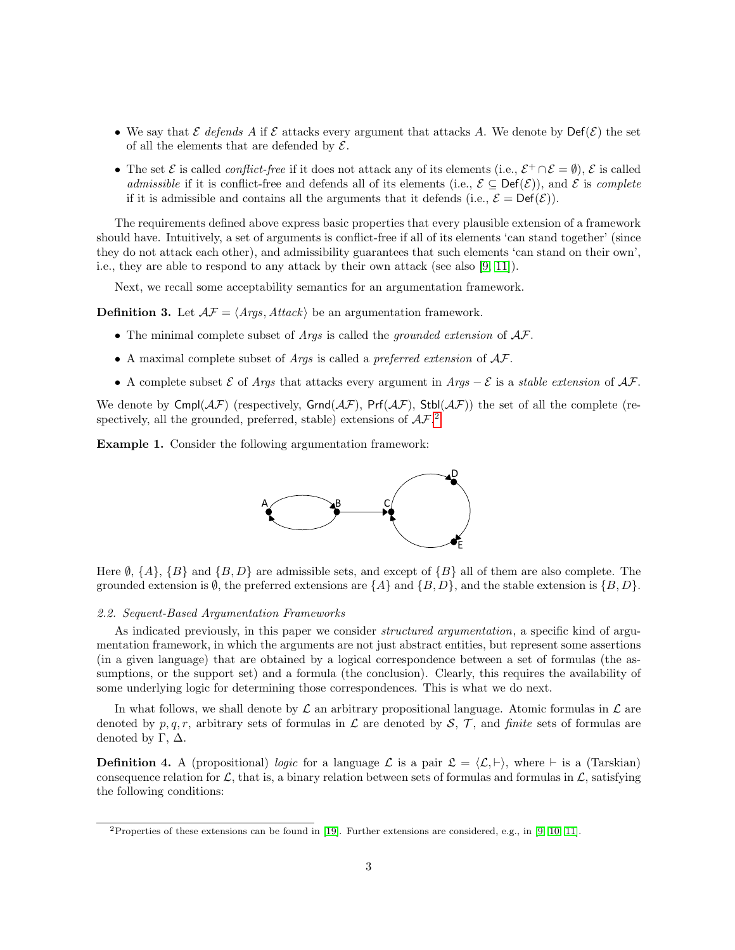- We say that  $\mathcal E$  defends A if  $\mathcal E$  attacks every argument that attacks A. We denote by  $\mathrm{Def}(\mathcal E)$  the set of all the elements that are defended by  $\mathcal{E}$ .
- The set  $\mathcal E$  is called *conflict-free* if it does not attack any of its elements (i.e.,  $\mathcal E^+\cap\mathcal E=\emptyset$ ),  $\mathcal E$  is called admissible if it is conflict-free and defends all of its elements (i.e.,  $\mathcal{E} \subseteq \text{Def}(\mathcal{E})$ ), and  $\mathcal{E}$  is complete if it is admissible and contains all the arguments that it defends (i.e.,  $\mathcal{E} = \text{Def}(\mathcal{E})$ ).

The requirements defined above express basic properties that every plausible extension of a framework should have. Intuitively, a set of arguments is conflict-free if all of its elements 'can stand together' (since they do not attack each other), and admissibility guarantees that such elements 'can stand on their own', i.e., they are able to respond to any attack by their own attack (see also [\[9,](#page-28-8) [11\]](#page-28-9)).

Next, we recall some acceptability semantics for an argumentation framework.

**Definition 3.** Let  $A\mathcal{F} = \langle \text{Args}, \text{Attack} \rangle$  be an argumentation framework.

- The minimal complete subset of *Args* is called the *grounded extension* of  $AF$ .
- A maximal complete subset of Args is called a preferred extension of AF.
- A complete subset  $\mathcal E$  of Args that attacks every argument in Args  $\mathcal E$  is a stable extension of  $\mathcal A\mathcal F$ .

We denote by  $\mathsf{Cmpl}(\mathcal{AF})$  (respectively,  $\mathsf{Grnd}(\mathcal{AF})$ ,  $\mathsf{Prf}(\mathcal{AF})$ ,  $\mathsf{Stbl}(\mathcal{AF})$ ) the set of all the complete (respectively, all the grounded, preferred, stable) extensions of  $\mathcal{AF}$ <sup>[2](#page-2-0)</sup>

Example 1. Consider the following argumentation framework:



Here  $\emptyset$ ,  $\{A\}$ ,  $\{B\}$  and  $\{B, D\}$  are admissible sets, and except of  $\{B\}$  all of them are also complete. The grounded extension is  $\emptyset$ , the preferred extensions are  $\{A\}$  and  $\{B, D\}$ , and the stable extension is  $\{B, D\}$ .

#### 2.2. Sequent-Based Argumentation Frameworks

As indicated previously, in this paper we consider *structured argumentation*, a specific kind of argumentation framework, in which the arguments are not just abstract entities, but represent some assertions (in a given language) that are obtained by a logical correspondence between a set of formulas (the assumptions, or the support set) and a formula (the conclusion). Clearly, this requires the availability of some underlying logic for determining those correspondences. This is what we do next.

In what follows, we shall denote by  $\mathcal L$  an arbitrary propositional language. Atomic formulas in  $\mathcal L$  are denoted by p, q, r, arbitrary sets of formulas in  $\mathcal L$  are denoted by  $\mathcal S$ ,  $\mathcal T$ , and finite sets of formulas are denoted by  $\Gamma$ ,  $\Delta$ .

<span id="page-2-1"></span>**Definition 4.** A (propositional) logic for a language  $\mathcal{L}$  is a pair  $\mathcal{L} = \langle \mathcal{L}, \vdash \rangle$ , where  $\vdash$  is a (Tarskian) consequence relation for  $\mathcal{L}$ , that is, a binary relation between sets of formulas and formulas in  $\mathcal{L}$ , satisfying the following conditions:

<span id="page-2-0"></span><sup>2</sup>Properties of these extensions can be found in [\[19\]](#page-28-0). Further extensions are considered, e.g., in [\[9,](#page-28-8) [10,](#page-28-10) [11\]](#page-28-9).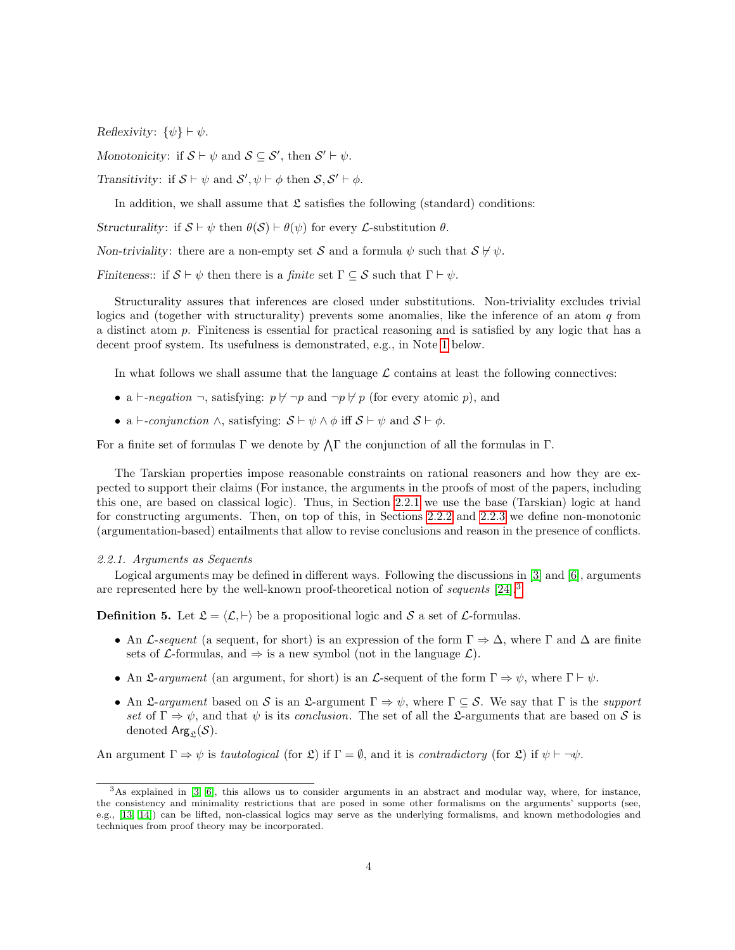Reflexivity:  $\{\psi\} \vdash \psi$ .

Monotonicity: if  $S \vdash \psi$  and  $S \subseteq S'$ , then  $S' \vdash \psi$ .

Transitivity: if  $S \vdash \psi$  and  $S', \psi \vdash \phi$  then  $S, S' \vdash \phi$ .

In addition, we shall assume that  $\mathfrak L$  satisfies the following (standard) conditions:

Structurality: if  $S \vdash \psi$  then  $\theta(S) \vdash \theta(\psi)$  for every *L*-substitution  $\theta$ .

Non-triviality: there are a non-empty set S and a formula  $\psi$  such that  $S \not\vdash \psi$ .

Finiteness:: if  $S \vdash \psi$  then there is a finite set  $\Gamma \subseteq S$  such that  $\Gamma \vdash \psi$ .

Structurality assures that inferences are closed under substitutions. Non-triviality excludes trivial logics and (together with structurality) prevents some anomalies, like the inference of an atom  $q$  from a distinct atom p. Finiteness is essential for practical reasoning and is satisfied by any logic that has a decent proof system. Its usefulness is demonstrated, e.g., in Note [1](#page-3-0) below.

In what follows we shall assume that the language  $\mathcal L$  contains at least the following connectives:

- a  $\vdash$ -negation  $\neg$ , satisfying:  $p \not\vdash \neg p$  and  $\neg p \not\vdash p$  (for every atomic p), and
- a  $\vdash$ -conjunction  $\land$ , satisfying:  $S \vdash \psi \land \phi$  iff  $S \vdash \psi$  and  $S \vdash \phi$ .

For a finite set of formulas  $\Gamma$  we denote by  $\Lambda \Gamma$  the conjunction of all the formulas in  $\Gamma$ .

The Tarskian properties impose reasonable constraints on rational reasoners and how they are expected to support their claims (For instance, the arguments in the proofs of most of the papers, including this one, are based on classical logic). Thus, in Section [2.2.1](#page-3-1) we use the base (Tarskian) logic at hand for constructing arguments. Then, on top of this, in Sections [2.2.2](#page-4-0) and [2.2.3](#page-5-0) we define non-monotonic (argumentation-based) entailments that allow to revise conclusions and reason in the presence of conflicts.

#### <span id="page-3-1"></span>2.2.1. Arguments as Sequents

Logical arguments may be defined in different ways. Following the discussions in [\[3\]](#page-27-2) and [\[6\]](#page-27-3), arguments are represented here by the well-known proof-theoretical notion of sequents [\[24\]](#page-28-6).[3](#page-3-2)

<span id="page-3-3"></span>**Definition 5.** Let  $\mathcal{L} = \langle \mathcal{L}, \vdash \rangle$  be a propositional logic and S a set of L-formulas.

- An L-sequent (a sequent, for short) is an expression of the form  $\Gamma \Rightarrow \Delta$ , where  $\Gamma$  and  $\Delta$  are finite sets of  $\mathcal L$ -formulas, and  $\Rightarrow$  is a new symbol (not in the language  $\mathcal L$ ).
- An L-argument (an argument, for short) is an L-sequent of the form  $\Gamma \Rightarrow \psi$ , where  $\Gamma \vdash \psi$ .
- An L-argument based on S is an L-argument  $\Gamma \Rightarrow \psi$ , where  $\Gamma \subseteq S$ . We say that  $\Gamma$  is the support set of  $\Gamma \Rightarrow \psi$ , and that  $\psi$  is its conclusion. The set of all the L-arguments that are based on S is denoted  $\text{Arg}_{\mathfrak{L}}(\mathcal{S})$ .

An argument  $\Gamma \Rightarrow \psi$  is tautological (for  $\mathfrak{L}$ ) if  $\Gamma = \emptyset$ , and it is contradictory (for  $\mathfrak{L}$ ) if  $\psi \vdash \neg \psi$ .

<span id="page-3-2"></span><span id="page-3-0"></span> $3$ As explained in [\[3,](#page-27-2) [6\]](#page-27-3), this allows us to consider arguments in an abstract and modular way, where, for instance, the consistency and minimality restrictions that are posed in some other formalisms on the arguments' supports (see, e.g., [\[13,](#page-28-1) [14\]](#page-28-2)) can be lifted, non-classical logics may serve as the underlying formalisms, and known methodologies and techniques from proof theory may be incorporated.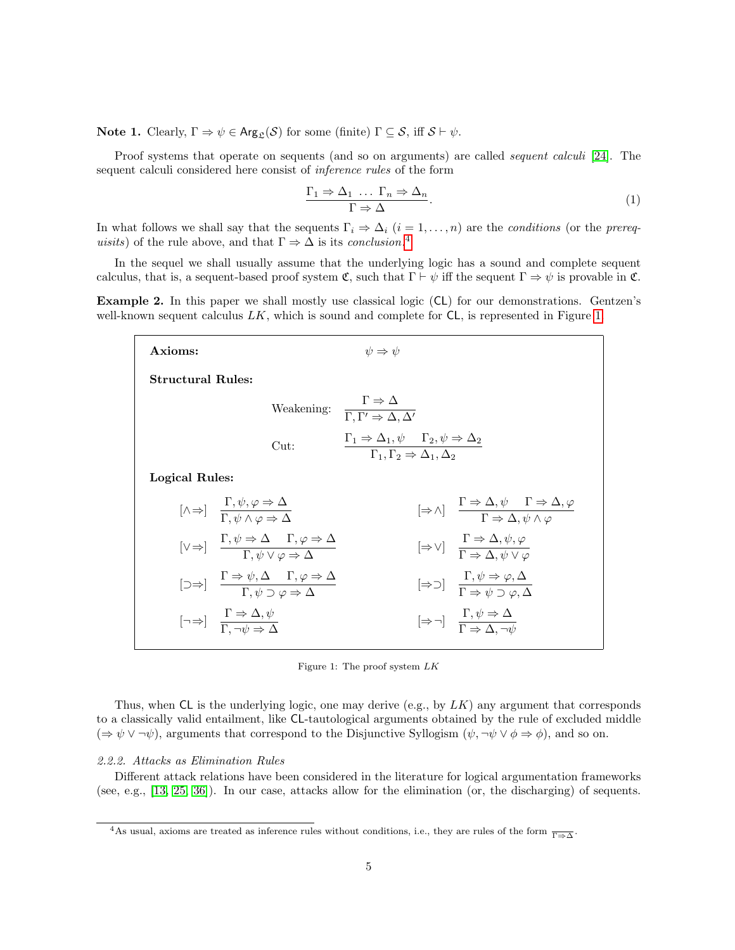**Note 1.** Clearly,  $\Gamma \Rightarrow \psi \in \text{Arg}_{\mathcal{L}}(\mathcal{S})$  for some (finite)  $\Gamma \subseteq \mathcal{S}$ , iff  $\mathcal{S} \vdash \psi$ .

Proof systems that operate on sequents (and so on arguments) are called *sequent calculi* [\[24\]](#page-28-6). The sequent calculi considered here consist of inference rules of the form

<span id="page-4-3"></span>
$$
\frac{\Gamma_1 \Rightarrow \Delta_1 \dots \Gamma_n \Rightarrow \Delta_n}{\Gamma \Rightarrow \Delta}.
$$
\n(1)

In what follows we shall say that the sequents  $\Gamma_i \Rightarrow \Delta_i$   $(i = 1, ..., n)$  are the *conditions* (or the *prereq*uisits) of the rule above, and that  $\Gamma \Rightarrow \Delta$  is its conclusion.<sup>[4](#page-4-1)</sup>

In the sequel we shall usually assume that the underlying logic has a sound and complete sequent calculus, that is, a sequent-based proof system  $\mathfrak{C}$ , such that  $\Gamma \vdash \psi$  iff the sequent  $\Gamma \Rightarrow \psi$  is provable in  $\mathfrak{C}$ .

Example 2. In this paper we shall mostly use classical logic (CL) for our demonstrations. Gentzen's well-known sequent calculus  $LK$ , which is sound and complete for  $CL$ , is represented in Figure [1.](#page-4-2)

| Axioms:                                                                                                                                                         |      | $\psi \Rightarrow \psi$                                                                                                                   |                                                                                                                                                          |  |
|-----------------------------------------------------------------------------------------------------------------------------------------------------------------|------|-------------------------------------------------------------------------------------------------------------------------------------------|----------------------------------------------------------------------------------------------------------------------------------------------------------|--|
| <b>Structural Rules:</b>                                                                                                                                        |      |                                                                                                                                           |                                                                                                                                                          |  |
|                                                                                                                                                                 |      | Weakening: $\frac{\Gamma \Rightarrow \Delta}{\Gamma \cdot \Gamma' \Rightarrow \Delta \cdot \Delta'}$                                      |                                                                                                                                                          |  |
|                                                                                                                                                                 | Cut: | $\frac{\Gamma_1 \Rightarrow \Delta_1, \psi \quad \Gamma_2, \psi \Rightarrow \Delta_2}{\Gamma_1, \Gamma_2 \Rightarrow \Delta_1, \Delta_2}$ |                                                                                                                                                          |  |
| Logical Rules:                                                                                                                                                  |      |                                                                                                                                           |                                                                                                                                                          |  |
| $[\wedge \Rightarrow] \quad \frac{1}{\Gamma} \lim_{\eta \downarrow \Lambda} \lim_{\alpha \to \Lambda}$                                                          |      |                                                                                                                                           | $[\Rightarrow \wedge]$ $\frac{\Gamma \Rightarrow \Delta, \psi \quad \Gamma \Rightarrow \Delta, \varphi}{\Gamma \Rightarrow \Delta, \psi \wedge \varphi}$ |  |
| $[\vee \Rightarrow]$ $\frac{\Gamma, \psi \Rightarrow \Delta}{\Gamma, \psi \vee \varphi \Rightarrow \Delta}$                                                     |      |                                                                                                                                           | $[\Rightarrow \vee]$ $\frac{1 \Rightarrow \Delta, \psi, \varphi}{\Gamma \Rightarrow \Delta, \psi, \vee, \varphi}$                                        |  |
| $[\Box \Rightarrow] \quad \frac{\Gamma \Rightarrow \psi, \Delta \quad \Gamma, \varphi \Rightarrow \Delta}{\Gamma, \psi \Rightarrow \varphi \Rightarrow \Delta}$ |      |                                                                                                                                           | $[\Rightarrow \supset]$ $\frac{1, \psi \Rightarrow \varphi, \Delta}{\Gamma \Rightarrow \psi, \supset \varphi, \Delta}$                                   |  |
| $\left[\neg \Rightarrow\right]$ $\frac{1 \Rightarrow \Delta, \psi}{\Gamma \neg \psi \rightarrow \Delta}$                                                        |      |                                                                                                                                           | $[\Rightarrow \neg]$ $\frac{\Gamma, \psi \Rightarrow \Delta}{\Gamma \Rightarrow \Delta \neg \psi}$                                                       |  |

<span id="page-4-2"></span>Figure 1: The proof system LK

Thus, when  $CL$  is the underlying logic, one may derive (e.g., by  $LK$ ) any argument that corresponds to a classically valid entailment, like CL-tautological arguments obtained by the rule of excluded middle  $(\Rightarrow \psi \lor \neg \psi)$ , arguments that correspond to the Disjunctive Syllogism  $(\psi, \neg \psi \lor \phi \Rightarrow \phi)$ , and so on.

# <span id="page-4-0"></span>2.2.2. Attacks as Elimination Rules

Different attack relations have been considered in the literature for logical argumentation frameworks (see, e.g., [\[13,](#page-28-1) [25,](#page-28-5) [36\]](#page-29-0)). In our case, attacks allow for the elimination (or, the discharging) of sequents.

<span id="page-4-1"></span><sup>&</sup>lt;sup>4</sup>As usual, axioms are treated as inference rules without conditions, i.e., they are rules of the form  $\frac{}{\Gamma \Rightarrow \Delta}$ .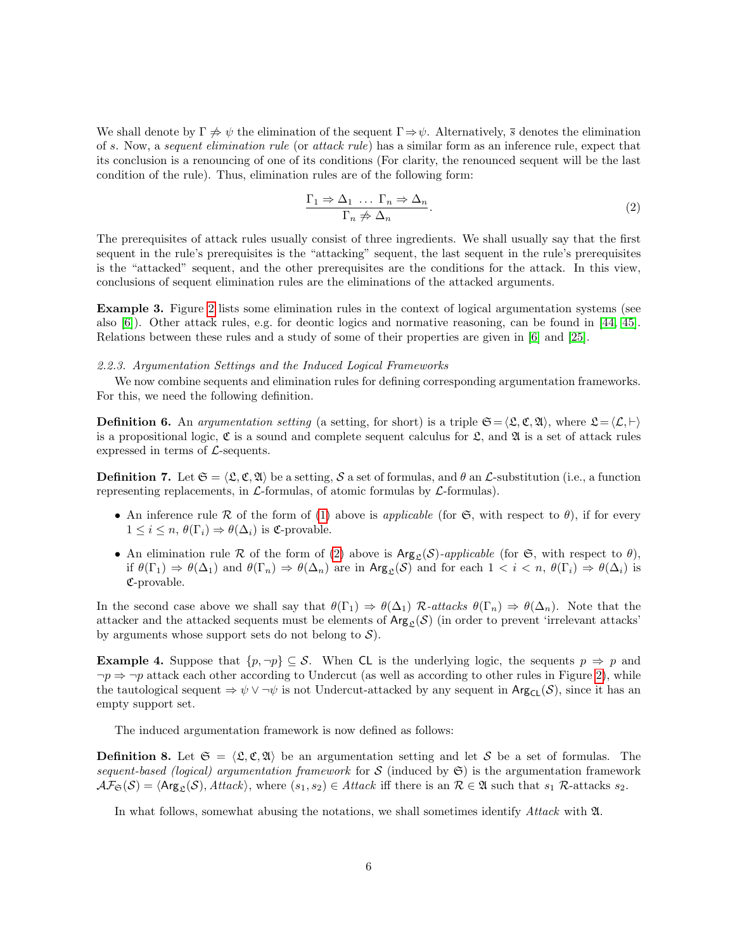We shall denote by  $\Gamma \neq \psi$  the elimination of the sequent  $\Gamma \Rightarrow \psi$ . Alternatively,  $\overline{s}$  denotes the elimination of s. Now, a sequent elimination rule (or attack rule) has a similar form as an inference rule, expect that its conclusion is a renouncing of one of its conditions (For clarity, the renounced sequent will be the last condition of the rule). Thus, elimination rules are of the following form:

<span id="page-5-1"></span>
$$
\frac{\Gamma_1 \Rightarrow \Delta_1 \dots \Gamma_n \Rightarrow \Delta_n}{\Gamma_n \neq \Delta_n}.
$$
\n(2)

The prerequisites of attack rules usually consist of three ingredients. We shall usually say that the first sequent in the rule's prerequisites is the "attacking" sequent, the last sequent in the rule's prerequisites is the "attacked" sequent, and the other prerequisites are the conditions for the attack. In this view, conclusions of sequent elimination rules are the eliminations of the attacked arguments.

Example 3. Figure [2](#page-6-0) lists some elimination rules in the context of logical argumentation systems (see also [\[6\]](#page-27-3)). Other attack rules, e.g. for deontic logics and normative reasoning, can be found in [\[44,](#page-29-7) [45\]](#page-29-8). Relations between these rules and a study of some of their properties are given in [\[6\]](#page-27-3) and [\[25\]](#page-28-5).

# <span id="page-5-0"></span>2.2.3. Argumentation Settings and the Induced Logical Frameworks

We now combine sequents and elimination rules for defining corresponding argumentation frameworks. For this, we need the following definition.

**Definition 6.** An argumentation setting (a setting, for short) is a triple  $\mathfrak{S} = \langle \mathfrak{L}, \mathfrak{C}, \mathfrak{A} \rangle$ , where  $\mathfrak{L} = \langle \mathcal{L}, \vdash \rangle$ is a propositional logic,  $\mathfrak C$  is a sound and complete sequent calculus for  $\mathfrak L$ , and  $\mathfrak A$  is a set of attack rules expressed in terms of  $\mathcal{L}$ -sequents.

**Definition 7.** Let  $\mathfrak{S} = \langle \mathfrak{L}, \mathfrak{C}, \mathfrak{A} \rangle$  be a setting, S a set of formulas, and  $\theta$  an L-substitution (i.e., a function representing replacements, in  $\mathcal{L}$ -formulas, of atomic formulas by  $\mathcal{L}$ -formulas).

- An inference rule R of the form of [\(1\)](#page-4-3) above is *applicable* (for  $\mathfrak{S}$ , with respect to  $\theta$ ), if for every  $1 \leq i \leq n$ ,  $\theta(\Gamma_i) \Rightarrow \theta(\Delta_i)$  is  $\mathfrak{C}$ -provable.
- An elimination rule R of the form of [\(2\)](#page-5-1) above is  $Arg_{\mathcal{S}}(\mathcal{S})$ -applicable (for  $\mathfrak{S}$ , with respect to  $\theta$ ), if  $\theta(\Gamma_1) \Rightarrow \theta(\Delta_1)$  and  $\theta(\Gamma_n) \Rightarrow \theta(\Delta_n)$  are in  $\text{Arg}_{\mathcal{L}}(\mathcal{S})$  and for each  $1 < i < n$ ,  $\theta(\Gamma_i) \Rightarrow \theta(\Delta_i)$  is C-provable.

In the second case above we shall say that  $\theta(\Gamma_1) \Rightarrow \theta(\Delta_1)$  R-attacks  $\theta(\Gamma_n) \Rightarrow \theta(\Delta_n)$ . Note that the attacker and the attacked sequents must be elements of  $Arg_{\mathcal{R}}(\mathcal{S})$  (in order to prevent 'irrelevant attacks' by arguments whose support sets do not belong to  $\mathcal{S}$ ).

**Example 4.** Suppose that  $\{p, \neg p\} \subseteq \mathcal{S}$ . When CL is the underlying logic, the sequents  $p \Rightarrow p$  and  $\neg p \Rightarrow \neg p$  attack each other according to Undercut (as well as according to other rules in Figure [2\)](#page-6-0), while the tautological sequent  $\Rightarrow \psi \vee \neg \psi$  is not Undercut-attacked by any sequent in Arg<sub>CL</sub>(S), since it has an empty support set.

The induced argumentation framework is now defined as follows:

**Definition 8.** Let  $\mathfrak{S} = \langle \mathfrak{L}, \mathfrak{C}, \mathfrak{A} \rangle$  be an argumentation setting and let S be a set of formulas. The sequent-based (logical) argumentation framework for S (induced by  $\mathfrak{S}$ ) is the argumentation framework  $\mathcal{AF}_{\mathfrak{S}}(\mathcal{S}) = \langle \mathsf{Arg}_{\mathfrak{L}}(\mathcal{S}), \mathit{Attack}_1, \mathsf{where} \ (s_1, s_2) \in \mathit{Attack} \text{ iff there is an } \mathcal{R} \in \mathfrak{A} \text{ such that } s_1 \mathcal{R}\text{-attacks s}_2.$ 

<span id="page-5-2"></span>In what follows, somewhat abusing the notations, we shall sometimes identify Attack with A.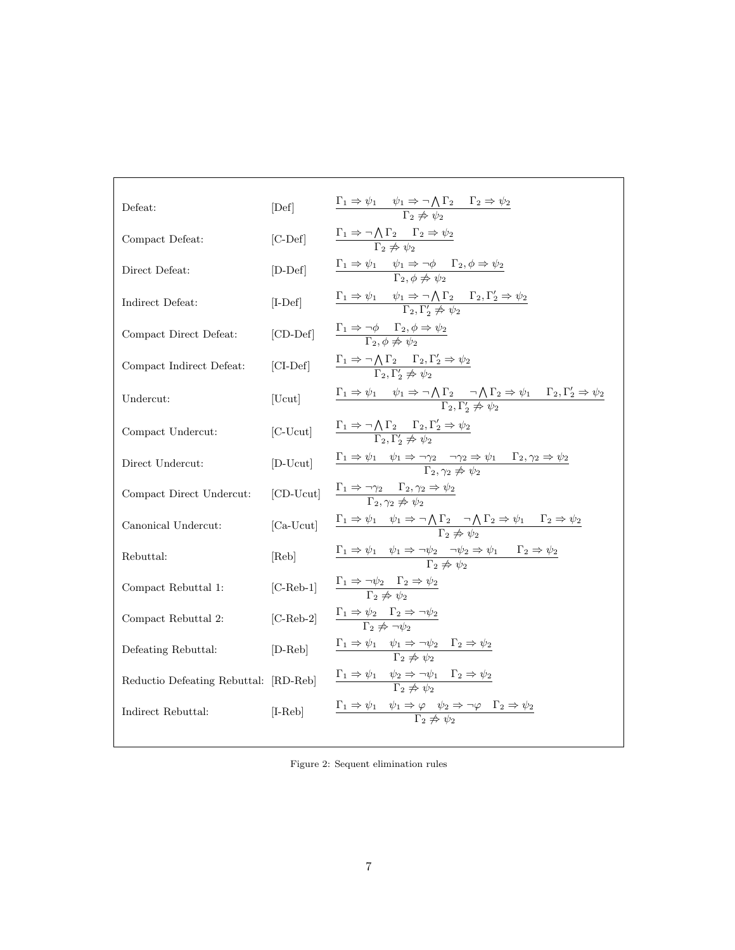| Defeat:                               | [Def]         | $\frac{\Gamma_1 \Rightarrow \psi_1 \quad \psi_1 \Rightarrow \neg \bigwedge \Gamma_2 \quad \Gamma_2 \Rightarrow \psi_2}{\Gamma_2 \not\Rightarrow \psi_2}$                                                                 |
|---------------------------------------|---------------|--------------------------------------------------------------------------------------------------------------------------------------------------------------------------------------------------------------------------|
| Compact Defeat:                       | $[$ C-Def $]$ | $\frac{\Gamma_1 \Rightarrow \neg \bigwedge \Gamma_2 \qquad \Gamma_2 \Rightarrow \psi_2}{\Gamma_2 \not\rightarrow \psi_2}$                                                                                                |
| Direct Defeat:                        | $[D-Def]$     | $\frac{\Gamma_1 \Rightarrow \psi_1 \quad \psi_1 \Rightarrow \neg \phi \quad \Gamma_2, \phi \Rightarrow \psi_2}{\Gamma_2, \phi \not\Rightarrow \psi_2}$                                                                   |
| Indirect Defeat:                      | $[I-Def]$     | $\frac{\Gamma_1 \Rightarrow \psi_1 \quad \psi_1 \Rightarrow \neg \bigwedge \Gamma_2 \quad \Gamma_2, \Gamma'_2 \Rightarrow \psi_2}{\Gamma_2, \Gamma'_2 \not\Rightarrow \psi_2}$                                           |
| Compact Direct Defeat:                | $[CD-Def]$    | $\frac{\Gamma_1 \Rightarrow \neg \phi \quad \Gamma_2, \phi \Rightarrow \psi_2}{\Gamma_2, \phi \not\Rightarrow \psi_2}$                                                                                                   |
| Compact Indirect Defeat:              | $[CI-Def]$    | $\frac{\Gamma_1 \Rightarrow \neg \bigwedge \Gamma_2 \qquad \Gamma_2, \Gamma'_2 \Rightarrow \psi_2}{\Gamma_2, \Gamma'_2 \not\Rightarrow \psi_2}$                                                                          |
| Undercut:                             | [Ucut]        | $\Gamma_1 \Rightarrow \psi_1 \quad \psi_1 \Rightarrow \neg \bigwedge \Gamma_2 \quad \neg \bigwedge \Gamma_2 \Rightarrow \psi_1 \quad \Gamma_2, \Gamma'_2 \Rightarrow \psi_2$<br>$\Gamma_2, \Gamma'_2 \Rightarrow \psi_2$ |
| Compact Undercut:                     |               | [C-Ucut] $\frac{\Gamma_1 \Rightarrow \neg \bigwedge \Gamma_2 \quad \Gamma_2, \Gamma'_2 \Rightarrow \psi_2}{\Gamma_2 \quad \Gamma'_2 \Rightarrow \psi_2}$                                                                 |
| Direct Undercut:                      | [D-Ucut]      | $\frac{\Gamma_1 \Rightarrow \psi_1 \quad \psi_1 \Rightarrow \neg \gamma_2 \quad \neg \gamma_2 \Rightarrow \psi_1 \quad \Gamma_2, \gamma_2 \Rightarrow \psi_2}{\Gamma_2, \gamma_2 \Rightarrow \psi_2}$                    |
| Compact Direct Undercut:              | [CD-Ucut]     | $\frac{\Gamma_1 \Rightarrow \neg \gamma_2 \quad \Gamma_2, \gamma_2 \Rightarrow \psi_2}{\Gamma_2, \gamma_2 \not\Rightarrow \psi_2}$                                                                                       |
| Canonical Undercut:                   | $[Ca-Ucut]$   | $\Gamma_1 \Rightarrow \psi_1 \quad \psi_1 \Rightarrow \neg \bigwedge \Gamma_2 \quad \neg \bigwedge \Gamma_2 \Rightarrow \psi_1 \quad \Gamma_2 \Rightarrow \psi_2$                                                        |
| Rebuttal:                             | [Reb]         | $\Gamma_1 \Rightarrow \psi_1 \quad \psi_1 \Rightarrow \neg \psi_2 \quad \neg \psi_2 \Rightarrow \psi_1 \qquad \Gamma_2 \Rightarrow \psi_2$<br>$\Gamma_2 \Rightarrow \psi_2$                                              |
| Compact Rebuttal 1:                   |               | [C-Reb-1] $\frac{\Gamma_1 \Rightarrow \neg \psi_2 \quad \Gamma_2 \Rightarrow \psi_2}{\Gamma_2 \not\Rightarrow \psi_2}$                                                                                                   |
| Compact Rebuttal 2:                   |               | $\mbox{[C-Reb-2]} \quad \  \, \frac{\Gamma_1 \Rightarrow \psi_2 \quad \Gamma_2 \Rightarrow \neg \psi_2}{\Gamma_2 \not\Rightarrow \neg \psi_2}$                                                                           |
| Defeating Rebuttal:                   | $[D-Reb]$     | $\Gamma_1 \Rightarrow \psi_1 \quad \psi_1 \Rightarrow \neg \psi_2 \quad \Gamma_2 \Rightarrow \psi_2$<br>$\Gamma_2 \Rightarrow \psi_2$                                                                                    |
| Reductio Defeating Rebuttal: [RD-Reb] |               | $\frac{\Gamma_1 \Rightarrow \psi_1 \quad \psi_2 \Rightarrow \neg \psi_1 \quad \Gamma_2 \Rightarrow \psi_2}{\Gamma_2 \Rightarrow \psi_2}$                                                                                 |
| Indirect Rebuttal:                    | $[I-Reb]$     | $\Gamma_1 \Rightarrow \psi_1 \quad \psi_1 \Rightarrow \varphi \quad \psi_2 \Rightarrow \neg \varphi \quad \Gamma_2 \Rightarrow \psi_2$<br>$\Gamma_2 \not\Rightarrow \psi_2$                                              |
|                                       |               |                                                                                                                                                                                                                          |

<span id="page-6-0"></span>Figure 2: Sequent elimination rules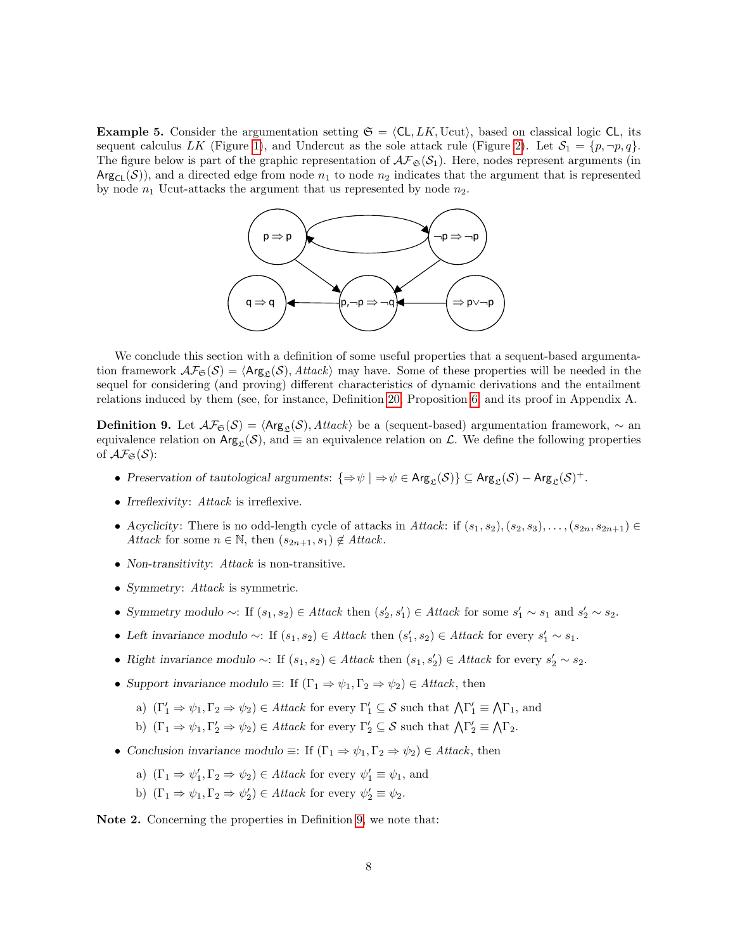**Example 5.** Consider the argumentation setting  $\mathfrak{S} = \langle CL, LK, Ucut \rangle$ , based on classical logic CL, its sequent calculus LK (Figure [1\)](#page-4-2), and Undercut as the sole attack rule (Figure [2\)](#page-6-0). Let  $S_1 = \{p, \neg p, q\}$ . The figure below is part of the graphic representation of  $\mathcal{AF}_{\mathfrak{S}}(\mathcal{S}_1)$ . Here, nodes represent arguments (in  $\text{Arg}_{\text{CL}}(\mathcal{S})$ , and a directed edge from node  $n_1$  to node  $n_2$  indicates that the argument that is represented by node  $n_1$  Ucut-attacks the argument that us represented by node  $n_2$ .



We conclude this section with a definition of some useful properties that a sequent-based argumentation framework  $\mathcal{AF}_{\mathfrak{S}}(\mathcal{S}) = \langle \text{Arg}_{\mathfrak{L}}(\mathcal{S}), \text{Attack} \rangle$  may have. Some of these properties will be needed in the sequel for considering (and proving) different characteristics of dynamic derivations and the entailment relations induced by them (see, for instance, Definition [20,](#page-17-1) Proposition [6,](#page-18-0) and its proof in Appendix A.

<span id="page-7-0"></span>**Definition 9.** Let  $\mathcal{A}\mathcal{F}_{\mathfrak{S}}(\mathcal{S}) = \langle \mathsf{Arg}_{\mathfrak{S}}(\mathcal{S}), \mathcal{A}\mathit{ttack}\rangle$  be a (sequent-based) argumentation framework, ∼ an equivalence relation on  $\text{Arg}_{\mathfrak{L}}(\mathcal{S})$ , and  $\equiv$  an equivalence relation on  $\mathcal{L}$ . We define the following properties of  $\mathcal{AF}_{\mathfrak{S}}(\mathcal{S})$ :

- Preservation of tautological arguments:  $\{\Rightarrow \psi \mid \Rightarrow \psi \in \text{Arg}_{\mathfrak{L}}(\mathcal{S})\} \subseteq \text{Arg}_{\mathfrak{L}}(\mathcal{S}) \text{Arg}_{\mathfrak{L}}(\mathcal{S})^+.$
- Irreflexivity: Attack is irreflexive.
- Acyclicity: There is no odd-length cycle of attacks in Attack: if  $(s_1, s_2), (s_2, s_3), \ldots, (s_{2n}, s_{2n+1}) \in$ Attack for some  $n \in \mathbb{N}$ , then  $(s_{2n+1}, s_1) \notin Attack$ .
- Non-transitivity: Attack is non-transitive.
- Symmetry: Attack is symmetric.
- Symmetry modulo  $\sim$ : If  $(s_1, s_2) \in$  Attack then  $(s'_2, s'_1) \in$  Attack for some  $s'_1 \sim s_1$  and  $s'_2 \sim s_2$ .
- Left invariance modulo  $\sim$ : If  $(s_1, s_2) \in$  Attack then  $(s'_1, s_2) \in$  Attack for every  $s'_1 \sim s_1$ .
- Right invariance modulo  $\sim$ : If  $(s_1, s_2) \in$  Attack then  $(s_1, s'_2) \in$  Attack for every  $s'_2 \sim s_2$ .
- Support invariance modulo  $\equiv$ : If  $(\Gamma_1 \Rightarrow \psi_1, \Gamma_2 \Rightarrow \psi_2) \in \text{Attack},$  then
	- a)  $(\Gamma'_1 \Rightarrow \psi_1, \Gamma_2 \Rightarrow \psi_2) \in \text{Attack}$  for every  $\Gamma'_1 \subseteq \mathcal{S}$  such that  $\bigwedge \Gamma'_1 \equiv \bigwedge \Gamma_1$ , and
	- b)  $(\Gamma_1 \Rightarrow \psi_1, \Gamma'_2 \Rightarrow \psi_2) \in \text{Attack for every } \Gamma'_2 \subseteq \mathcal{S} \text{ such that } \bigwedge \Gamma'_2 \equiv \bigwedge \Gamma_2.$
- Conclusion invariance modulo  $\equiv$ : If  $(\Gamma_1 \Rightarrow \psi_1, \Gamma_2 \Rightarrow \psi_2) \in \text{Attack},$  then
	- a)  $(\Gamma_1 \Rightarrow \psi'_1, \Gamma_2 \Rightarrow \psi_2) \in \text{Attack}$  for every  $\psi'_1 \equiv \psi_1$ , and
	- b)  $(\Gamma_1 \Rightarrow \psi_1, \Gamma_2 \Rightarrow \psi_2') \in \text{Attack for every } \psi_2' \equiv \psi_2.$

<span id="page-7-1"></span>Note 2. Concerning the properties in Definition [9,](#page-7-0) we note that: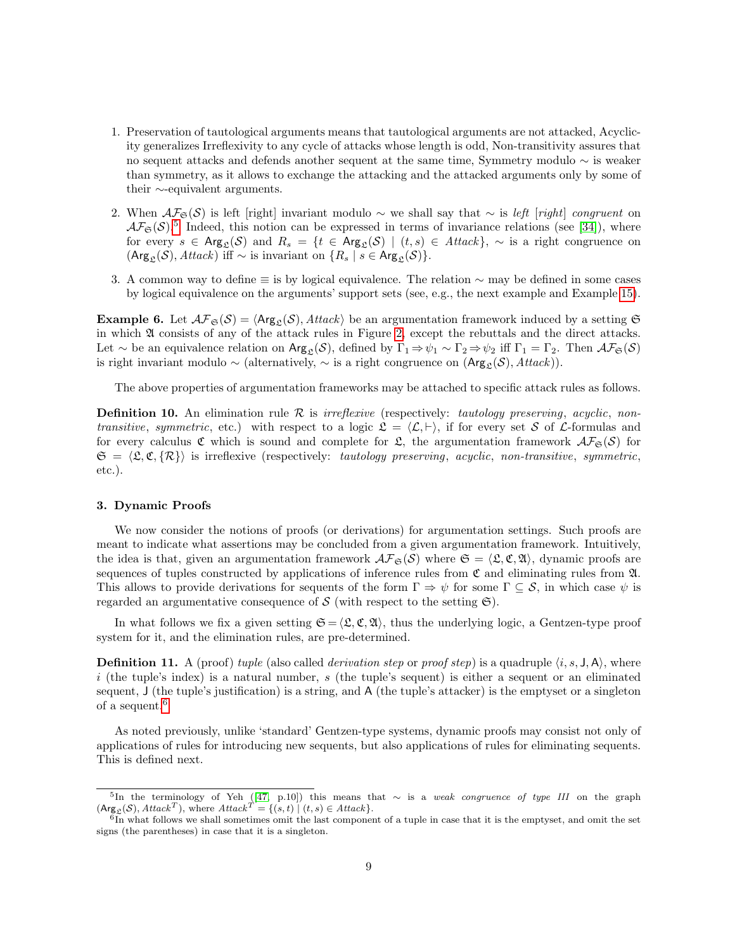- 1. Preservation of tautological arguments means that tautological arguments are not attacked, Acyclicity generalizes Irreflexivity to any cycle of attacks whose length is odd, Non-transitivity assures that no sequent attacks and defends another sequent at the same time, Symmetry modulo ∼ is weaker than symmetry, as it allows to exchange the attacking and the attacked arguments only by some of their ∼-equivalent arguments.
- 2. When  $\mathcal{A}F_{\mathfrak{S}}(\mathcal{S})$  is left [right] invariant modulo ∼ we shall say that ∼ is left [right] congruent on  $\mathcal{AF}_{\mathfrak{S}}(\mathcal{S})$ .<sup>[5](#page-8-1)</sup> Indeed, this notion can be expressed in terms of invariance relations (see [\[34\]](#page-29-9)), where for every  $s \in \text{Arg}_{\mathfrak{L}}(\mathcal{S})$  and  $R_s = \{t \in \text{Arg}_{\mathfrak{L}}(\mathcal{S}) \mid (t,s) \in \text{Attack}\}, \sim \text{is a right congruence on }$  $(\text{Arg}_{\mathcal{L}}(\mathcal{S}), \text{Attack})$  iff  $\sim$  is invariant on  $\{R_s \mid s \in \text{Arg}_{\mathcal{L}}(\mathcal{S})\}.$
- 3. A common way to define  $\equiv$  is by logical equivalence. The relation  $\sim$  may be defined in some cases by logical equivalence on the arguments' support sets (see, e.g., the next example and Example [15\)](#page-17-2).

<span id="page-8-3"></span>**Example 6.** Let  $\mathcal{AF}_{\mathfrak{S}}(\mathcal{S}) = \langle \mathsf{Arg}_{\mathfrak{S}}(\mathcal{S}), \mathcal{A} \mathit{tack} \rangle$  be an argumentation framework induced by a setting  $\mathfrak{S}$ in which A consists of any of the attack rules in Figure [2,](#page-6-0) except the rebuttals and the direct attacks. Let  $\sim$  be an equivalence relation on  $\text{Arg}_{\mathfrak{L}}(\mathcal{S})$ , defined by  $\Gamma_1 \Rightarrow \psi_1 \sim \Gamma_2 \Rightarrow \psi_2$  iff  $\Gamma_1 = \Gamma_2$ . Then  $\mathcal{A}\mathcal{F}_{\mathfrak{S}}(\mathcal{S})$ is right invariant modulo  $\sim$  (alternatively,  $\sim$  is a right congruence on  $(\text{Arg}_{\mathcal{L}}(\mathcal{S}),$  Attack)).

The above properties of argumentation frameworks may be attached to specific attack rules as follows.

<span id="page-8-4"></span>**Definition 10.** An elimination rule  $\mathcal{R}$  is *irreflexive* (respectively: *tautology preserving, acyclic, non*transitive, symmetric, etc.) with respect to a logic  $\mathfrak{L} = \langle \mathcal{L}, \vdash \rangle$ , if for every set S of L-formulas and for every calculus C which is sound and complete for  $\mathfrak{L}$ , the argumentation framework  $\mathcal{AF}_{\mathfrak{S}}(\mathcal{S})$  for  $\mathfrak{S} = \langle \mathfrak{L}, \mathfrak{C}, \{R\} \rangle$  is irreflexive (respectively: tautology preserving, acyclic, non-transitive, symmetric, etc.).

#### <span id="page-8-0"></span>3. Dynamic Proofs

We now consider the notions of proofs (or derivations) for argumentation settings. Such proofs are meant to indicate what assertions may be concluded from a given argumentation framework. Intuitively, the idea is that, given an argumentation framework  $\mathcal{AF}_{\mathfrak{S}}(\mathcal{S})$  where  $\mathfrak{S} = \langle \mathfrak{L}, \mathfrak{C}, \mathfrak{A} \rangle$ , dynamic proofs are sequences of tuples constructed by applications of inference rules from  $\mathfrak C$  and eliminating rules from  $\mathfrak A$ . This allows to provide derivations for sequents of the form  $\Gamma \Rightarrow \psi$  for some  $\Gamma \subseteq \mathcal{S}$ , in which case  $\psi$  is regarded an argumentative consequence of S (with respect to the setting  $\mathfrak{S}$ ).

In what follows we fix a given setting  $\mathfrak{S} = \langle \mathfrak{L}, \mathfrak{L}, \mathfrak{A} \rangle$ , thus the underlying logic, a Gentzen-type proof system for it, and the elimination rules, are pre-determined.

**Definition 11.** A (proof) tuple (also called derivation step or proof step) is a quadruple  $\langle i, s, J, A \rangle$ , where i (the tuple's index) is a natural number, s (the tuple's sequent) is either a sequent or an eliminated sequent, J (the tuple's justification) is a string, and A (the tuple's attacker) is the emptyset or a singleton of a sequent.<sup>[6](#page-8-2)</sup>

As noted previously, unlike 'standard' Gentzen-type systems, dynamic proofs may consist not only of applications of rules for introducing new sequents, but also applications of rules for eliminating sequents. This is defined next.

<span id="page-8-1"></span><sup>&</sup>lt;sup>5</sup>Inthe terminology of Yeh ([\[47,](#page-29-10) p.10]) this means that ∼ is a weak congruence of type III on the graph  $(\text{Arg}_{\mathcal{L}}(\mathcal{S}), Attack^T)$ , where  $Attack^T = \{ (s, t) | (t, s) \in Attack \}.$ 

<span id="page-8-2"></span> ${}^{6}$ In what follows we shall sometimes omit the last component of a tuple in case that it is the emptyset, and omit the set signs (the parentheses) in case that it is a singleton.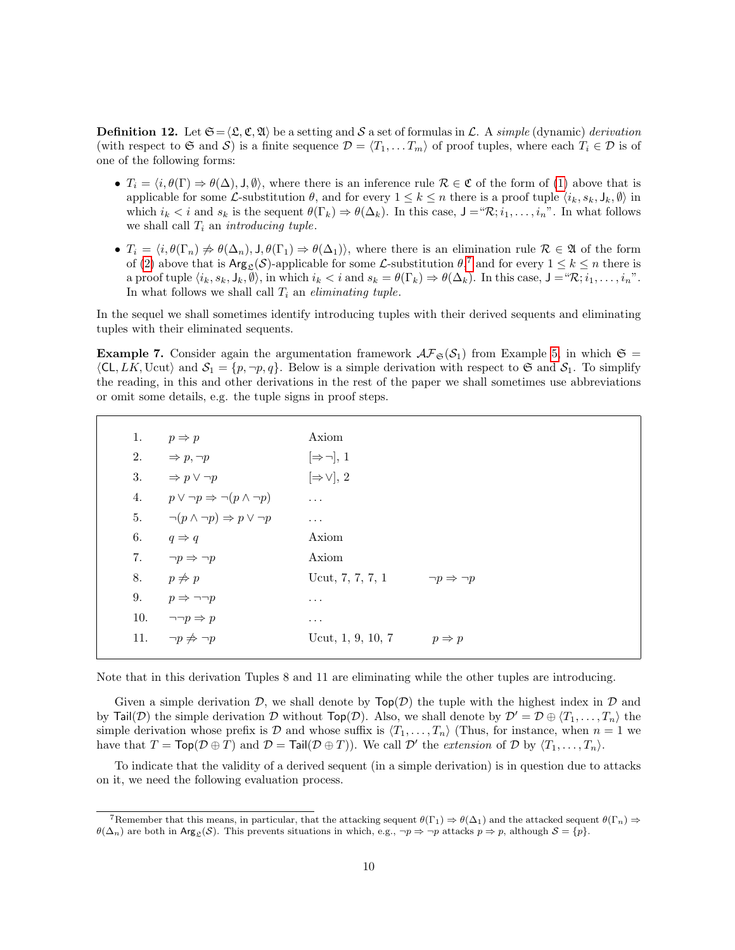**Definition 12.** Let  $\mathfrak{S} = \langle \mathfrak{L}, \mathfrak{C}, \mathfrak{A} \rangle$  be a setting and S a set of formulas in L. A simple (dynamic) derivation (with respect to G and S) is a finite sequence  $\mathcal{D} = \langle T_1, \ldots, T_m \rangle$  of proof tuples, where each  $T_i \in \mathcal{D}$  is of one of the following forms:

- $T_i = \langle i, \theta(\Gamma) \Rightarrow \theta(\Delta), J, \emptyset \rangle$ , where there is an inference rule  $\mathcal{R} \in \mathfrak{C}$  of the form of [\(1\)](#page-4-3) above that is applicable for some L-substitution  $\theta$ , and for every  $1 \leq k \leq n$  there is a proof tuple  $\langle i_k, s_k, J_k, \emptyset \rangle$  in which  $i_k < i$  and  $s_k$  is the sequent  $\theta(\Gamma_k) \Rightarrow \theta(\Delta_k)$ . In this case,  $\mathsf{J} = \mathscr{R}; i_1, \ldots, i_n$ ". In what follows we shall call  $T_i$  an *introducing tuple*.
- $T_i = \langle i, \theta(\Gamma_n) \neq \theta(\Delta_n), J, \theta(\Gamma_1) \Rightarrow \theta(\Delta_1) \rangle$ , where there is an elimination rule  $\mathcal{R} \in \mathfrak{A}$  of the form of [\(2\)](#page-5-1) above that is  $\text{Arg}_{\mathcal{L}}(\mathcal{S})$ -applicable for some  $\mathcal{L}$ -substitution  $\theta$ ,<sup>[7](#page-9-0)</sup> and for every  $1 \leq k \leq n$  there is a proof tuple  $\langle i_k, s_k, J_k, \emptyset \rangle$ , in which  $i_k < i$  and  $s_k = \theta(\Gamma_k) \Rightarrow \theta(\Delta_k)$ . In this case,  $J = \mathcal{R}; i_1, \ldots, i_n$ ". In what follows we shall call  $T_i$  an *eliminating tuple*.

In the sequel we shall sometimes identify introducing tuples with their derived sequents and eliminating tuples with their eliminated sequents.

<span id="page-9-1"></span>**Example 7.** Consider again the argumentation framework  $\mathcal{AF}_{\mathfrak{S}}(\mathcal{S}_1)$  from Example [5,](#page-5-2) in which  $\mathfrak{S} =$  $\langle CL, LK, Ucut \rangle$  and  $S_1 = \{p, \neg p, q\}.$  Below is a simple derivation with respect to G and  $S_1$ . To simplify the reading, in this and other derivations in the rest of the paper we shall sometimes use abbreviations or omit some details, e.g. the tuple signs in proof steps.

| 1.  | $p \Rightarrow p$                                  | Axiom                   |                             |
|-----|----------------------------------------------------|-------------------------|-----------------------------|
| 2.  | $\Rightarrow p, \neg p$                            | $[\Rightarrow \neg], 1$ |                             |
| 3.  | $\Rightarrow p \vee \neg p$                        | $[\Rightarrow \vee], 2$ |                             |
| 4.  | $p \vee \neg p \Rightarrow \neg (p \wedge \neg p)$ | $\cdots$                |                             |
| 5.  | $\neg(p \wedge \neg p) \Rightarrow p \vee \neg p$  | $\cdots$                |                             |
| 6.  | $q \Rightarrow q$                                  | Axiom                   |                             |
| 7.  | $\neg p \Rightarrow \neg p$                        | Axiom                   |                             |
| 8.  | $p \not\Rightarrow p$                              | Ucut, $7, 7, 7, 1$      | $\neg p \Rightarrow \neg p$ |
| 9.  | $p \Rightarrow \neg \neg p$                        | $\cdots$                |                             |
| 10. | $\neg \neg p \Rightarrow p$                        | $\cdots$                |                             |
| 11. | $\neg p \nRightarrow \neg p$                       | Ucut, $1, 9, 10, 7$     | $p \Rightarrow p$           |
|     |                                                    |                         |                             |

Note that in this derivation Tuples 8 and 11 are eliminating while the other tuples are introducing.

Given a simple derivation  $\mathcal{D}$ , we shall denote by  $\text{Top}(\mathcal{D})$  the tuple with the highest index in  $\mathcal D$  and by Tail(D) the simple derivation D without  $Top(D)$ . Also, we shall denote by  $D' = D \oplus \langle T_1, \ldots, T_n \rangle$  the simple derivation whose prefix is  $\mathcal D$  and whose suffix is  $\langle T_1, \ldots, T_n \rangle$  (Thus, for instance, when  $n = 1$  we have that  $T = \text{Top}(\mathcal{D} \oplus T)$  and  $\mathcal{D} = \text{Tail}(\mathcal{D} \oplus T)$ . We call  $\mathcal{D}'$  the extension of  $\mathcal{D}$  by  $\langle T_1, \ldots, T_n \rangle$ .

To indicate that the validity of a derived sequent (in a simple derivation) is in question due to attacks on it, we need the following evaluation process.

<span id="page-9-0"></span>The TREMEMBER THE MEAN THE THE SET  $\theta(\Gamma_1) \Rightarrow \theta(\Delta_1)$  and the attacked sequent  $\theta(\Gamma_n) \Rightarrow$  $\theta(\Delta_n)$  are both in Arg<sub>c</sub>(S). This prevents situations in which, e.g.,  $\neg p \Rightarrow \neg p$  attacks  $p \Rightarrow p$ , although  $S = \{p\}.$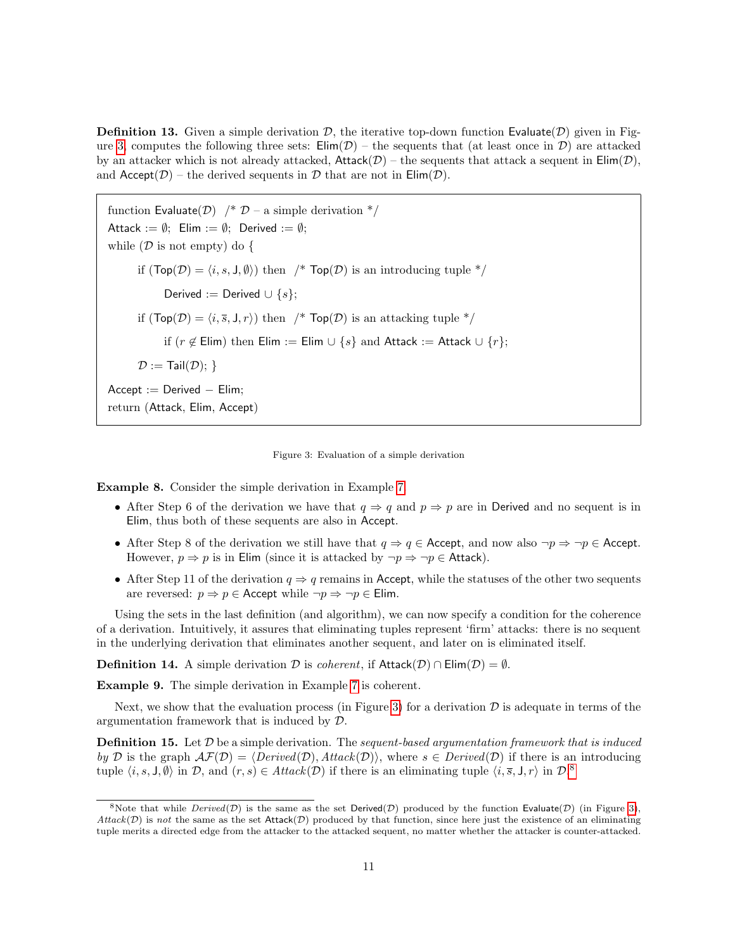**Definition 13.** Given a simple derivation  $D$ , the iterative top-down function Evaluate( $D$ ) given in Fig-ure [3,](#page-10-0) computes the following three sets:  $\text{Elim}(\mathcal{D})$  – the sequents that (at least once in  $\mathcal{D}$ ) are attacked by an attacker which is not already attacked,  $text{Atack}(D)$  – the sequents that attack a sequent in  $\text{Elim}(\mathcal{D})$ , and  $Accept(\mathcal{D})$  – the derived sequents in  $\mathcal D$  that are not in  $Elim(\mathcal{D})$ .

function Evaluate(D)  $\frac{1}{2}$   $\mathcal{D}$  – a simple derivation  $\frac{*}{2}$ Attack :=  $\emptyset$ ; Elim :=  $\emptyset$ ; Derived :=  $\emptyset$ ; while  $(D \text{ is not empty})$  do { if  $(Top(\mathcal{D}) = \langle i, s, J, \emptyset \rangle)$  then /\*  $Top(\mathcal{D})$  is an introducing tuple \*/ Derived := Derived ∪  $\{s\}$ ; if  $(Top(\mathcal{D}) = \langle i, \overline{s}, J, r \rangle)$  then /\*  $Top(\mathcal{D})$  is an attacking tuple \*/ if ( $r \notin$  Elim) then Elim := Elim ∪  $\{s\}$  and Attack := Attack ∪  $\{r\}$ ;  $\mathcal{D} := \text{Tail}(\mathcal{D});$ Accept := Derived - Elim; return (Attack, Elim, Accept)

<span id="page-10-0"></span>

<span id="page-10-3"></span>Example 8. Consider the simple derivation in Example [7.](#page-9-1)

- After Step 6 of the derivation we have that  $q \Rightarrow q$  and  $p \Rightarrow p$  are in Derived and no sequent is in Elim, thus both of these sequents are also in Accept.
- After Step 8 of the derivation we still have that  $q \Rightarrow q \in \text{Accept}$ , and now also  $\neg p \Rightarrow \neg p \in \text{Accept}$ . However,  $p \Rightarrow p$  is in Elim (since it is attacked by  $\neg p \Rightarrow \neg p \in$  Attack).
- After Step 11 of the derivation  $q \Rightarrow q$  remains in Accept, while the statuses of the other two sequents are reversed:  $p \Rightarrow p \in \text{Accept while } \neg p \Rightarrow \neg p \in \text{Elim.}$

Using the sets in the last definition (and algorithm), we can now specify a condition for the coherence of a derivation. Intuitively, it assures that eliminating tuples represent 'firm' attacks: there is no sequent in the underlying derivation that eliminates another sequent, and later on is eliminated itself.

**Definition 14.** A simple derivation  $D$  is *coherent*, if  $text{Attack}(D) \cap \text{Elim}(D) = \emptyset$ .

Example 9. The simple derivation in Example [7](#page-9-1) is coherent.

Next, we show that the evaluation process (in Figure [3\)](#page-10-0) for a derivation  $\mathcal D$  is adequate in terms of the argumentation framework that is induced by D.

**Definition 15.** Let  $D$  be a simple derivation. The sequent-based argumentation framework that is induced by D is the graph  $\mathcal{AF}(D) = \langle Derived(D), Attack(D) \rangle$ , where  $s \in Derived(D)$  if there is an introducing tuple  $\langle i, s, J, \emptyset \rangle$  in  $\mathcal{D}$ , and  $(r, s) \in Attack(\mathcal{D})$  if there is an eliminating tuple  $\langle i, \overline{s}, J, r \rangle$  in  $\mathcal{D}^8$  $\mathcal{D}^8$ .

<span id="page-10-2"></span><span id="page-10-1"></span><sup>&</sup>lt;sup>8</sup>Note that while  $Derived(\mathcal{D})$  is the same as the set Derived( $\mathcal{D}$ ) produced by the function Evaluate( $\mathcal{D}$ ) (in Figure [3\)](#page-10-0),  $Attack(D)$  is not the same as the set  $Attack(D)$  produced by that function, since here just the existence of an eliminating tuple merits a directed edge from the attacker to the attacked sequent, no matter whether the attacker is counter-attacked.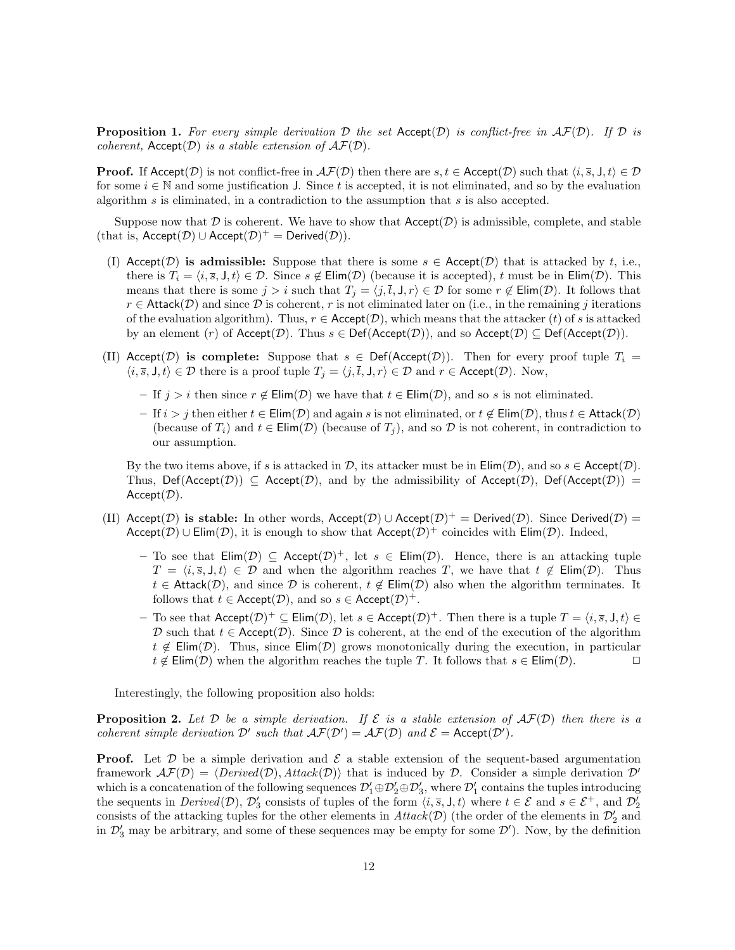**Proposition 1.** For every simple derivation D the set  $Accept(D)$  is conflict-free in  $AF(D)$ . If D is coherent,  $Accept(\mathcal{D})$  is a stable extension of  $AF(\mathcal{D})$ .

**Proof.** If Accept(D) is not conflict-free in  $\mathcal{AF}(D)$  then there are  $s, t \in \text{Accept}(\mathcal{D})$  such that  $\langle i, \overline{s}, J, t \rangle \in \mathcal{D}$ for some  $i \in \mathbb{N}$  and some justification J. Since t is accepted, it is not eliminated, and so by the evaluation algorithm  $s$  is eliminated, in a contradiction to the assumption that  $s$  is also accepted.

Suppose now that  $\mathcal D$  is coherent. We have to show that  $\mathsf{Accept}(\mathcal D)$  is admissible, complete, and stable (that is,  $Accept(\mathcal{D}) \cup Accept(\mathcal{D})^+ = Derived(\mathcal{D})$ ).

- (I) Accept(D) is admissible: Suppose that there is some  $s \in \text{Accept}(\mathcal{D})$  that is attacked by t, i.e., there is  $T_i = \langle i, \overline{s}, J, t \rangle \in \mathcal{D}$ . Since  $s \notin \text{Elim}(\mathcal{D})$  (because it is accepted), t must be in  $\text{Elim}(\mathcal{D})$ . This means that there is some  $j > i$  such that  $T_j = \langle j, \overline{t}, J, r \rangle \in \mathcal{D}$  for some  $r \notin \text{Elim}(\mathcal{D})$ . It follows that  $r \in$  Attack $(\mathcal{D})$  and since  $\mathcal D$  is coherent, r is not eliminated later on (i.e., in the remaining j iterations of the evaluation algorithm). Thus,  $r \in \text{Accept}(\mathcal{D})$ , which means that the attacker (t) of s is attacked by an element (r) of  $Accept(\mathcal{D})$ . Thus  $s \in Def(Accept(\mathcal{D}))$ , and so  $Accept(\mathcal{D}) \subseteq Def(Accept(\mathcal{D}))$ .
- (II) Accept( $\mathcal{D}$ ) is complete: Suppose that  $s \in \text{Def}(Accept(\mathcal{D}))$ . Then for every proof tuple  $T_i =$  $\langle i, \overline{s}, J, t \rangle \in \mathcal{D}$  there is a proof tuple  $T_j = \langle j, \overline{t}, J, r \rangle \in \mathcal{D}$  and  $r \in \mathsf{Accept}(\mathcal{D})$ . Now,
	- If  $j > i$  then since  $r \notin \text{Elim}(\mathcal{D})$  we have that  $t \in \text{Elim}(\mathcal{D})$ , and so s is not eliminated.
	- $-$  If  $i > j$  then either  $t \in \text{Elim}(\mathcal{D})$  and again s is not eliminated, or  $t \notin \text{Elim}(\mathcal{D})$ , thus  $t \in \text{Attack}(\mathcal{D})$ (because of  $T_i$ ) and  $t \in \text{Elim}(\mathcal{D})$  (because of  $T_j$ ), and so  $\mathcal D$  is not coherent, in contradiction to our assumption.

By the two items above, if s is attacked in D, its attacker must be in  $\text{Elim}(\mathcal{D})$ , and so  $s \in \text{Accept}(\mathcal{D})$ . Thus,  $Def(Accept(\mathcal{D})) \subseteq Accept(\mathcal{D})$ , and by the admissibility of  $Accept(\mathcal{D})$ ,  $Def(Accept(\mathcal{D})) =$  $Accept(D).$ 

- (II) Accept(D) is stable: In other words, Accept(D)  $\cup$  Accept(D)<sup>+</sup> = Derived(D). Since Derived(D) = Accept(D)  $\cup$  Elim(D), it is enough to show that Accept(D)<sup>+</sup> coincides with Elim(D). Indeed,
	- To see that  $Elim(\mathcal{D})$  ⊆ Accept $(\mathcal{D})^+$ , let  $s \in Elim(\mathcal{D})$ . Hence, there is an attacking tuple  $T = \langle i, \overline{s}, J, t \rangle \in \mathcal{D}$  and when the algorithm reaches T, we have that  $t \notin \text{Elim}(\mathcal{D})$ . Thus  $t \in$  Attack( $\mathcal{D}$ ), and since  $\mathcal{D}$  is coherent,  $t \notin \text{Elim}(\mathcal{D})$  also when the algorithm terminates. It follows that  $t \in \mathsf{Accept}(\mathcal{D})$ , and so  $s \in \mathsf{Accept}(\mathcal{D})^+$ .
	- To see that  $Accept(\mathcal{D})^+ \subseteq \text{Elim}(\mathcal{D})$ , let  $s \in Accept(\mathcal{D})^+$ . Then there is a tuple  $T = \langle i, \overline{s}, J, t \rangle \in$ D such that  $t \in \text{Accept}(\mathcal{D})$ . Since D is coherent, at the end of the execution of the algorithm  $t \notin \text{Elim}(\mathcal{D})$ . Thus, since  $\text{Elim}(\mathcal{D})$  grows monotonically during the execution, in particular  $t \notin \text{Elim}(\mathcal{D})$  when the algorithm reaches the tuple T. It follows that  $s \in \text{Elim}(\mathcal{D})$ .

Interestingly, the following proposition also holds:

<span id="page-11-0"></span>**Proposition 2.** Let D be a simple derivation. If  $\mathcal{E}$  is a stable extension of  $\mathcal{AF}(D)$  then there is a coherent simple derivation  $\mathcal{D}'$  such that  $\mathcal{AF}(\mathcal{D}') = \mathcal{AF}(\mathcal{D})$  and  $\mathcal{E} = \mathsf{Accept}(\mathcal{D}')$ .

**Proof.** Let  $\mathcal{D}$  be a simple derivation and  $\mathcal{E}$  a stable extension of the sequent-based argumentation framework  $\mathcal{AF}(D) = \langle Derived(\mathcal{D}), Attack(\mathcal{D})\rangle$  that is induced by D. Consider a simple derivation  $\mathcal{D}'$ which is a concatenation of the following sequences  $\mathcal{D}'_1 \oplus \mathcal{D}'_2 \oplus \mathcal{D}'_3$ , where  $\mathcal{D}'_1$  contains the tuples introducing the sequents in  $\text{Derived}(\mathcal{D})$ ,  $\mathcal{D}'_3$  consists of tuples of the form  $\langle i, \overline{s}, J, t \rangle$  where  $t \in \mathcal{E}$  and  $s \in \mathcal{E}^+$ , and  $\mathcal{D}'_2$ consists of the attacking tuples for the other elements in  $Attack(D)$  (the order of the elements in  $\mathcal{D}'_2$  and in  $\mathcal{D}'_3$  may be arbitrary, and some of these sequences may be empty for some  $\mathcal{D}'$ ). Now, by the definition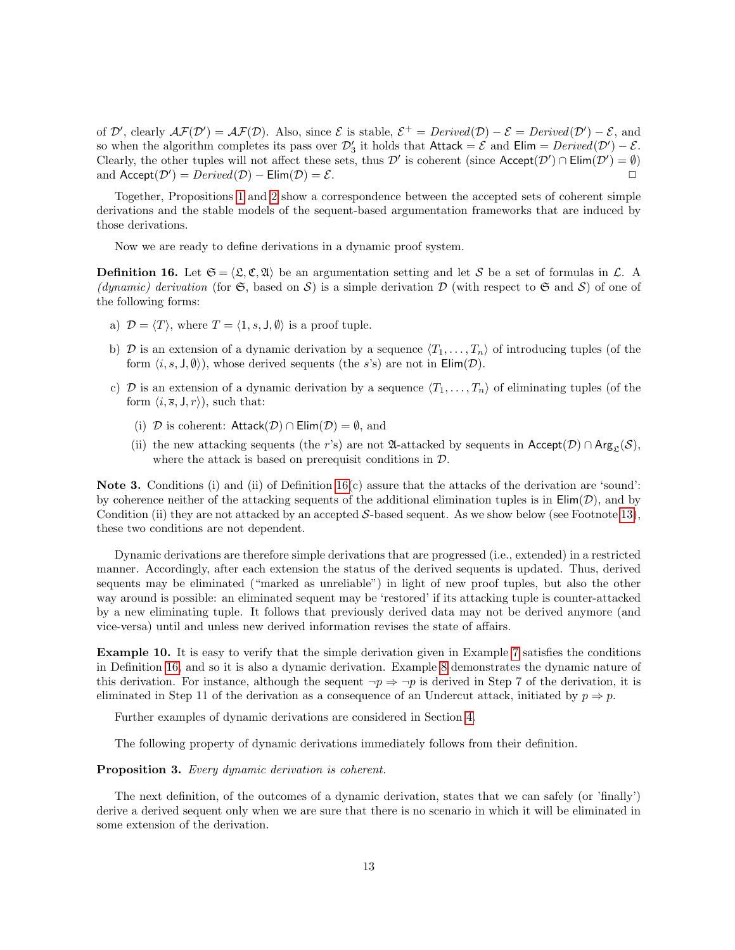of D', clearly  $\mathcal{AF}(\mathcal{D}') = \mathcal{AF}(\mathcal{D})$ . Also, since  $\mathcal E$  is stable,  $\mathcal E^+ = Derived(\mathcal{D}) - \mathcal E = Derived(\mathcal{D}') - \mathcal E$ , and so when the algorithm completes its pass over  $\mathcal{D}'_3$  it holds that  $\mathsf{Attack} = \mathcal{E}$  and  $\mathsf{Elim} = Derived(\mathcal{D}') - \mathcal{E}$ . Clearly, the other tuples will not affect these sets, thus  $\mathcal{D}'$  is coherent (since  $Accept(\mathcal{D}') \cap Elim(\mathcal{D}') = \emptyset$ ) and  $Accept(\mathcal{D}') = Derived(\mathcal{D}) - Elim(\mathcal{D}) = \mathcal{E}.$ 

Together, Propositions [1](#page-10-2) and [2](#page-11-0) show a correspondence between the accepted sets of coherent simple derivations and the stable models of the sequent-based argumentation frameworks that are induced by those derivations.

Now we are ready to define derivations in a dynamic proof system.

<span id="page-12-0"></span>**Definition 16.** Let  $\mathfrak{S} = \langle \mathfrak{L}, \mathfrak{C}, \mathfrak{A} \rangle$  be an argumentation setting and let S be a set of formulas in  $\mathcal{L}$ . A (dynamic) derivation (for  $\mathfrak{S}$ , based on S) is a simple derivation D (with respect to  $\mathfrak{S}$  and S) of one of the following forms:

- a)  $\mathcal{D} = \langle T \rangle$ , where  $T = \langle 1, s, \mathsf{J}, \emptyset \rangle$  is a proof tuple.
- b) D is an extension of a dynamic derivation by a sequence  $\langle T_1, \ldots, T_n \rangle$  of introducing tuples (of the form  $\langle i, s, J, \emptyset \rangle$ , whose derived sequents (the s's) are not in  $\text{Elim}(\mathcal{D})$ .
- c) D is an extension of a dynamic derivation by a sequence  $\langle T_1, \ldots, T_n \rangle$  of eliminating tuples (of the form  $\langle i, \overline{s}, J, r \rangle$ , such that:
	- (i) D is coherent:  $\mathsf{Attack}(\mathcal{D}) \cap \mathsf{Elim}(\mathcal{D}) = \emptyset$ , and
	- (ii) the new attacking sequents (the r's) are not  $\mathfrak{A}\text{-}$  attacked by sequents in  $\mathsf{Accept}(\mathcal{D}) \cap \mathsf{Arg}_{\mathfrak{L}}(\mathcal{S}),$ where the attack is based on prerequisit conditions in D.

<span id="page-12-2"></span>Note 3. Conditions (i) and (ii) of Definition [16\(](#page-12-0)c) assure that the attacks of the derivation are 'sound': by coherence neither of the attacking sequents of the additional elimination tuples is in  $\text{Elim}(\mathcal{D})$ , and by Condition (ii) they are not attacked by an accepted  $S$ -based sequent. As we show below (see Footnote [13\)](#page-15-1), these two conditions are not dependent.

Dynamic derivations are therefore simple derivations that are progressed (i.e., extended) in a restricted manner. Accordingly, after each extension the status of the derived sequents is updated. Thus, derived sequents may be eliminated ("marked as unreliable") in light of new proof tuples, but also the other way around is possible: an eliminated sequent may be 'restored' if its attacking tuple is counter-attacked by a new eliminating tuple. It follows that previously derived data may not be derived anymore (and vice-versa) until and unless new derived information revises the state of affairs.

<span id="page-12-1"></span>Example 10. It is easy to verify that the simple derivation given in Example [7](#page-9-1) satisfies the conditions in Definition [16,](#page-12-0) and so it is also a dynamic derivation. Example [8](#page-10-3) demonstrates the dynamic nature of this derivation. For instance, although the sequent  $\neg p \Rightarrow \neg p$  is derived in Step 7 of the derivation, it is eliminated in Step 11 of the derivation as a consequence of an Undercut attack, initiated by  $p \Rightarrow p$ .

Further examples of dynamic derivations are considered in Section [4.](#page-13-0)

The following property of dynamic derivations immediately follows from their definition.

Proposition 3. Every dynamic derivation is coherent.

The next definition, of the outcomes of a dynamic derivation, states that we can safely (or 'finally') derive a derived sequent only when we are sure that there is no scenario in which it will be eliminated in some extension of the derivation.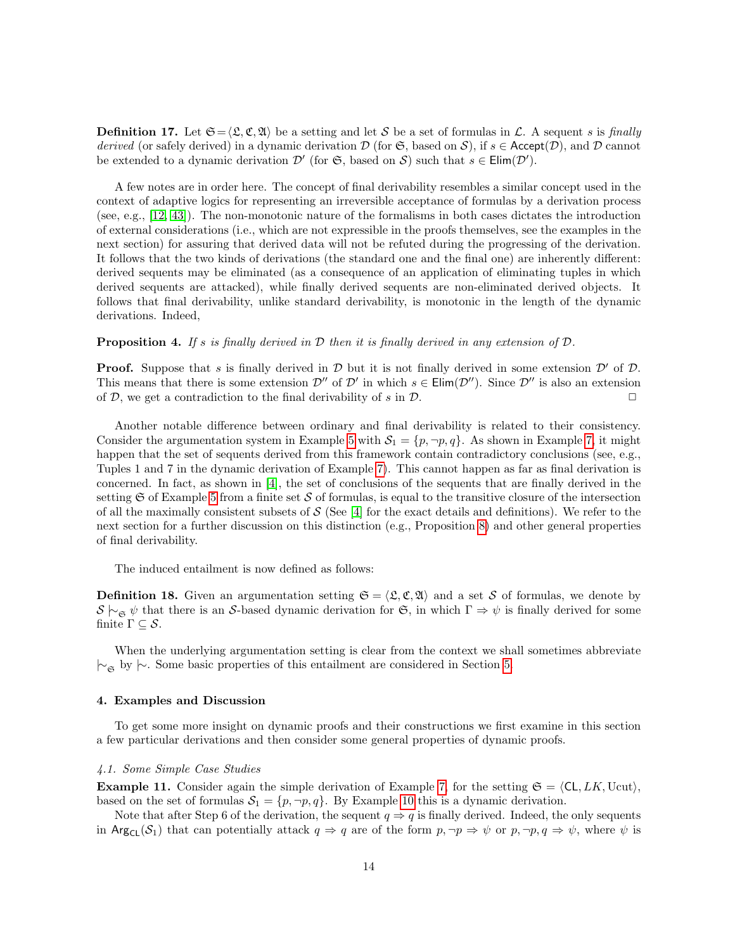**Definition 17.** Let  $\mathfrak{S} = \langle \mathfrak{L}, \mathfrak{C}, \mathfrak{A} \rangle$  be a setting and let S be a set of formulas in L. A sequent s is finally derived (or safely derived) in a dynamic derivation D (for  $\mathfrak{S}$ , based on S), if  $s \in \text{Accept}(\mathcal{D})$ , and D cannot be extended to a dynamic derivation  $\mathcal{D}'$  (for  $\mathfrak{S}$ , based on S) such that  $s \in \text{Elim}(\mathcal{D}')$ .

A few notes are in order here. The concept of final derivability resembles a similar concept used in the context of adaptive logics for representing an irreversible acceptance of formulas by a derivation process (see, e.g., [\[12,](#page-28-11) [43\]](#page-29-11)). The non-monotonic nature of the formalisms in both cases dictates the introduction of external considerations (i.e., which are not expressible in the proofs themselves, see the examples in the next section) for assuring that derived data will not be refuted during the progressing of the derivation. It follows that the two kinds of derivations (the standard one and the final one) are inherently different: derived sequents may be eliminated (as a consequence of an application of eliminating tuples in which derived sequents are attacked), while finally derived sequents are non-eliminated derived objects. It follows that final derivability, unlike standard derivability, is monotonic in the length of the dynamic derivations. Indeed,

## **Proposition 4.** If s is finally derived in D then it is finally derived in any extension of D.

**Proof.** Suppose that s is finally derived in  $D$  but it is not finally derived in some extension  $D'$  of  $D$ . This means that there is some extension  $\mathcal{D}''$  of  $\mathcal{D}'$  in which  $s \in \text{Elim}(\mathcal{D}'')$ . Since  $\mathcal{D}''$  is also an extension of  $D$ , we get a contradiction to the final derivability of s in  $D$ .

Another notable difference between ordinary and final derivability is related to their consistency. Consider the argumentation system in Example [5](#page-5-2) with  $S_1 = \{p, \neg p, q\}$ . As shown in Example [7,](#page-9-1) it might happen that the set of sequents derived from this framework contain contradictory conclusions (see, e.g., Tuples 1 and 7 in the dynamic derivation of Example [7\)](#page-9-1). This cannot happen as far as final derivation is concerned. In fact, as shown in [\[4\]](#page-27-6), the set of conclusions of the sequents that are finally derived in the setting  $\mathfrak S$  of Example [5](#page-5-2) from a finite set S of formulas, is equal to the transitive closure of the intersection of all the maximally consistent subsets of  $S$  (See [\[4\]](#page-27-6) for the exact details and definitions). We refer to the next section for a further discussion on this distinction (e.g., Proposition [8\)](#page-19-1) and other general properties of final derivability.

The induced entailment is now defined as follows:

<span id="page-13-2"></span>**Definition 18.** Given an argumentation setting  $\mathfrak{S} = \langle \mathfrak{L}, \mathfrak{C}, \mathfrak{A} \rangle$  and a set S of formulas, we denote by  $S \vdash_{\mathfrak{S}} \psi$  that there is an S-based dynamic derivation for  $\mathfrak{S}$ , in which  $\Gamma \Rightarrow \psi$  is finally derived for some finite  $\Gamma \subseteq \mathcal{S}$ .

When the underlying argumentation setting is clear from the context we shall sometimes abbreviate |∼<sup>S</sup> by |∼. Some basic properties of this entailment are considered in Section [5.](#page-19-0)

# <span id="page-13-0"></span>4. Examples and Discussion

To get some more insight on dynamic proofs and their constructions we first examine in this section a few particular derivations and then consider some general properties of dynamic proofs.

#### 4.1. Some Simple Case Studies

<span id="page-13-1"></span>**Example 11.** Consider again the simple derivation of Example [7,](#page-9-1) for the setting  $\mathfrak{S} = \langle \mathsf{CL}, LK, \mathsf{Ucut} \rangle$ , based on the set of formulas  $S_1 = \{p, \neg p, q\}$ . By Example [10](#page-12-1) this is a dynamic derivation.

Note that after Step 6 of the derivation, the sequent  $q \Rightarrow q$  is finally derived. Indeed, the only sequents in Arg<sub>CL</sub>(S<sub>1</sub>) that can potentially attack  $q \Rightarrow q$  are of the form  $p, \neg p \Rightarrow \psi$  or  $p, \neg p, q \Rightarrow \psi$ , where  $\psi$  is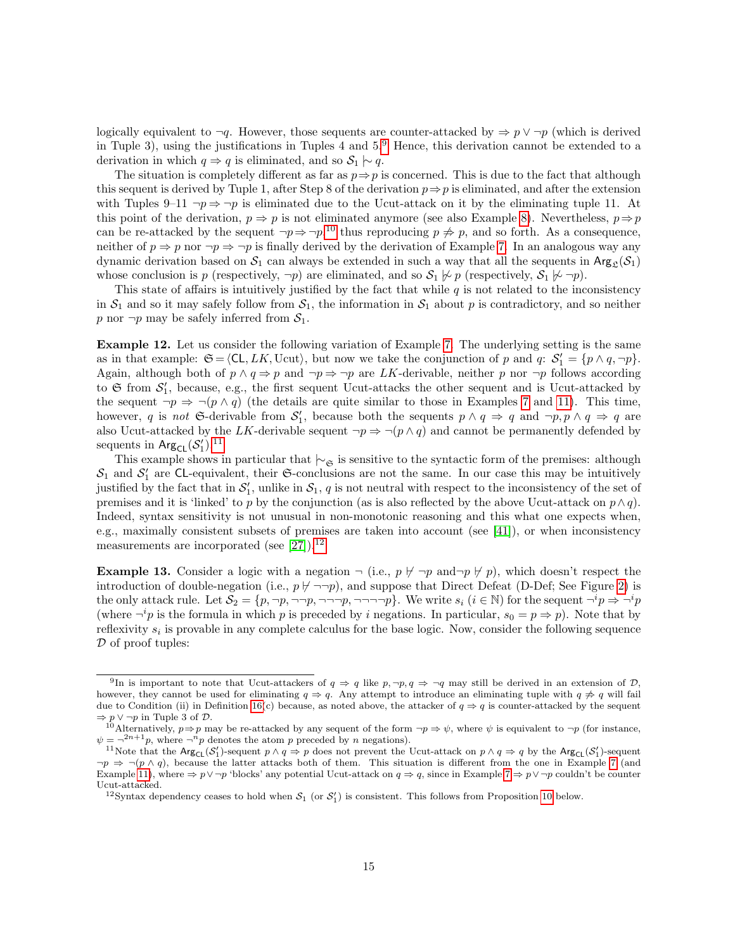logically equivalent to  $\neg q$ . However, those sequents are counter-attacked by  $\Rightarrow p \vee \neg p$  (which is derived in Tuple 3), using the justifications in Tuples  $4$  and  $5<sup>9</sup>$  $5<sup>9</sup>$  $5<sup>9</sup>$ . Hence, this derivation cannot be extended to a derivation in which  $q \Rightarrow q$  is eliminated, and so  $S_1 \sim q$ .

The situation is completely different as far as  $p \Rightarrow p$  is concerned. This is due to the fact that although this sequent is derived by Tuple 1, after Step 8 of the derivation  $p \Rightarrow p$  is eliminated, and after the extension with Tuples 9–11  $\neg p \Rightarrow \neg p$  is eliminated due to the Ucut-attack on it by the eliminating tuple 11. At this point of the derivation,  $p \Rightarrow p$  is not eliminated anymore (see also Example [8\)](#page-10-3). Nevertheless,  $p \Rightarrow p$ can be re-attacked by the sequent  $\neg p \Rightarrow \neg p,$ <sup>[10](#page-14-1)</sup> thus reproducing  $p \not\Rightarrow p$ , and so forth. As a consequence, neither of  $p \Rightarrow p$  nor  $\neg p \Rightarrow \neg p$  is finally derived by the derivation of Example [7.](#page-9-1) In an analogous way any dynamic derivation based on  $S_1$  can always be extended in such a way that all the sequents in  $\text{Arg}_{\mathcal{L}}(S_1)$ whose conclusion is p (respectively,  $\neg p$ ) are eliminated, and so  $S_1 \not\triangleright p$  (respectively,  $S_1 \not\triangleright \neg p$ ).

This state of affairs is intuitively justified by the fact that while  $q$  is not related to the inconsistency in  $S_1$  and so it may safely follow from  $S_1$ , the information in  $S_1$  about p is contradictory, and so neither p nor  $\neg p$  may be safely inferred from  $S_1$ .

Example 12. Let us consider the following variation of Example [7.](#page-9-1) The underlying setting is the same as in that example:  $\mathfrak{S} = \langle \mathsf{CL}, LK, \mathsf{Ucut} \rangle$ , but now we take the conjunction of p and q:  $\mathcal{S}'_1 = \{p \land q, \neg p\}.$ Again, although both of  $p \wedge q \Rightarrow p$  and  $\neg p \Rightarrow \neg p$  are LK-derivable, neither p nor  $\neg p$  follows according to  $\mathfrak{S}$  from  $\mathcal{S}'_1$ , because, e.g., the first sequent Ucut-attacks the other sequent and is Ucut-attacked by the sequent  $\neg p \Rightarrow \neg (p \land q)$  (the details are quite similar to those in Examples [7](#page-9-1) and [11\)](#page-13-1). This time, however, q is not G-derivable from  $S'_1$ , because both the sequents  $p \wedge q \Rightarrow q$  and  $\neg p, p \wedge q \Rightarrow q$  are also Ucut-attacked by the LK-derivable sequent  $\neg p \Rightarrow \neg (p \land q)$  and cannot be permanently defended by sequents in  $\text{Arg}_{\text{CL}}(\mathcal{S}_1')$ .<sup>[11](#page-14-2)</sup>

This example shows in particular that  $\vdash_{\mathfrak{S}}$  is sensitive to the syntactic form of the premises: although  $S_1$  and  $S'_1$  are CL-equivalent, their G-conclusions are not the same. In our case this may be intuitively justified by the fact that in  $S'_1$ , unlike in  $S_1$ , q is not neutral with respect to the inconsistency of the set of premises and it is 'linked' to p by the conjunction (as is also reflected by the above Ucut-attack on  $p \wedge q$ ). Indeed, syntax sensitivity is not unusual in non-monotonic reasoning and this what one expects when, e.g., maximally consistent subsets of premises are taken into account (see [\[41\]](#page-29-12)), or when inconsistency measurements are incorporated (see  $[27]$ ).<sup>[12](#page-14-3)</sup>

<span id="page-14-4"></span>**Example 13.** Consider a logic with a negation  $\neg$  (i.e.,  $p \nvdash \neg p$  and $\neg p \nvdash p$ ), which doesn't respect the introduction of double-negation (i.e.,  $p \nleftrightarrow \neg\neg p$ ), and suppose that Direct Defeat (D-Def; See Figure [2\)](#page-6-0) is the only attack rule. Let  $S_2 = \{p, \neg p, \neg \neg \neg p, \neg \neg \neg p\}$ . We write  $s_i$   $(i \in \mathbb{N})$  for the sequent  $\neg^i p \Rightarrow \neg^i p$ (where  $\neg^i p$  is the formula in which p is preceded by i negations. In particular,  $s_0 = p \Rightarrow p$ ). Note that by reflexivity  $s_i$  is provable in any complete calculus for the base logic. Now, consider the following sequence  $\mathcal D$  of proof tuples:

<span id="page-14-0"></span><sup>&</sup>lt;sup>9</sup>In is important to note that Ucut-attackers of  $q \Rightarrow q$  like  $p, \neg p, q \Rightarrow \neg q$  may still be derived in an extension of  $\mathcal{D}$ , however, they cannot be used for eliminating  $q \Rightarrow q$ . Any attempt to introduce an eliminating tuple with  $q \neq q$  will fail due to Condition (ii) in Definition [16\(](#page-12-0)c) because, as noted above, the attacker of  $q \Rightarrow q$  is counter-attacked by the sequent  $\Rightarrow p \vee \neg p$  in Tuple 3 of  $\mathcal{D}$ .

<span id="page-14-1"></span><sup>&</sup>lt;sup>10</sup>Alternatively,  $p \Rightarrow p$  may be re-attacked by any sequent of the form  $\neg p \Rightarrow \psi$ , where  $\psi$  is equivalent to  $\neg p$  (for instance,  $\psi = \neg^{2n+1}p$ , where  $\neg^{n}p$  denotes the atom p preceded by n negations).

<span id="page-14-2"></span><sup>&</sup>lt;sup>11</sup>Note that the  $Arg_{\text{CL}}(S'_1)$ -sequent  $p \wedge q \Rightarrow p$  does not prevent the Ucut-attack on  $p \wedge q \Rightarrow q$  by the  $Arg_{\text{CL}}(S'_1)$ -sequent  $\neg p \Rightarrow \neg (p \land q)$ , because the latter attacks both of them. This situation is different from the one in Example [7](#page-9-1) (and Example [11\)](#page-13-1), where  $\Rightarrow p \vee \neg p$  'blocks' any potential Ucut-attack on  $q \Rightarrow q$ , since in Example  $7 \Rightarrow p \vee \neg p$  couldn't be counter Ucut-attacked.

<span id="page-14-3"></span><sup>&</sup>lt;sup>12</sup>Syntax dependency ceases to hold when  $S_1$  (or  $S'_1$ ) is consistent. This follows from Proposition [10](#page-20-0) below.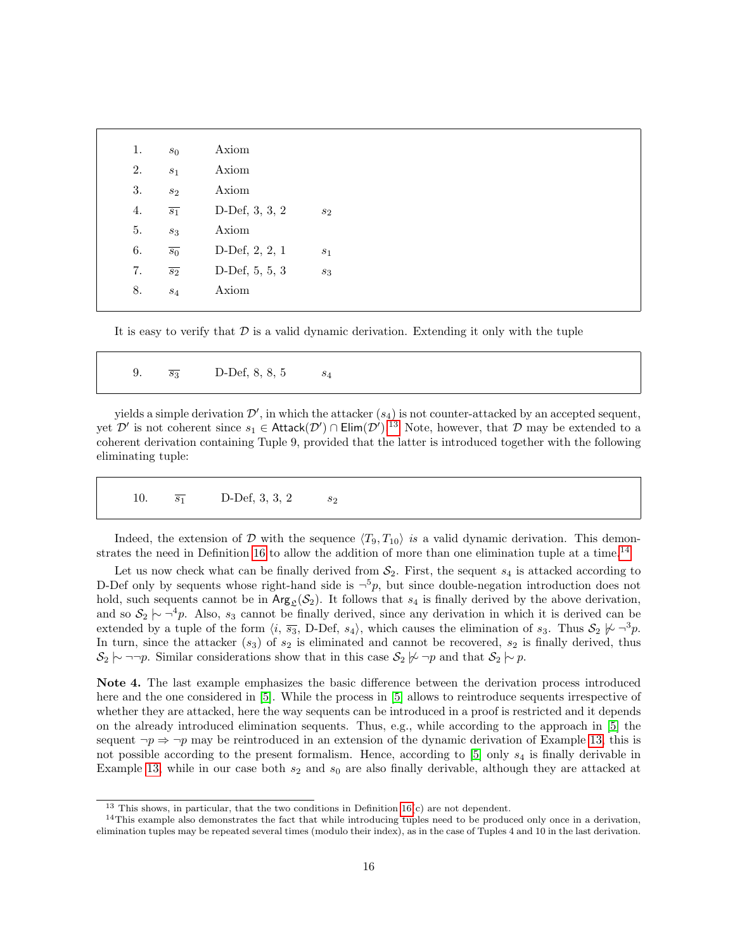| 1.      | $s_0$            | Axiom            |              |
|---------|------------------|------------------|--------------|
| 2.      | $\sqrt{s_{1}}$   | Axiom            |              |
| 3.      | $s_2$            | Axiom            |              |
| 4.      | $\overline{s_1}$ | $D-Def, 3, 3, 2$ | $s_2$        |
| 5.      | $\sqrt{s_3}$     | Axiom            |              |
| $6. \,$ | $\overline{s_0}$ | D-Def, 2, 2, 1   | $s_1$        |
| 7.      | $\overline{s_2}$ | D-Def, $5, 5, 3$ | $\sqrt{s_3}$ |
| 8.      | $\sqrt{s_4}$     | Axiom            |              |
|         |                  |                  |              |

It is easy to verify that  $\mathcal D$  is a valid dynamic derivation. Extending it only with the tuple

9.  $\overline{s_3}$  D-Def, 8, 8, 5  $s_4$ 

yields a simple derivation  $\mathcal{D}'$ , in which the attacker  $(s_4)$  is not counter-attacked by an accepted sequent, yet  $\mathcal{D}'$  is not coherent since  $s_1 \in \text{Attack}(\mathcal{D}') \cap \text{Elim}(\mathcal{D}')$ .<sup>[13](#page-15-1)</sup> Note, however, that  $\mathcal D$  may be extended to a coherent derivation containing Tuple 9, provided that the latter is introduced together with the following eliminating tuple:

10.  $\overline{s_1}$  D-Def, 3, 3, 2  $s_2$ 

Indeed, the extension of D with the sequence  $\langle T_9, T_{10} \rangle$  is a valid dynamic derivation. This demon-strates the need in Definition [16](#page-12-0) to allow the addition of more than one elimination tuple at a time.<sup>[14](#page-15-2)</sup>

Let us now check what can be finally derived from  $S_2$ . First, the sequent  $s_4$  is attacked according to D-Def only by sequents whose right-hand side is  $\neg^5 p$ , but since double-negation introduction does not hold, such sequents cannot be in  $\text{Arg}_{\mathcal{L}}(\mathcal{S}_2)$ . It follows that  $s_4$  is finally derived by the above derivation, and so  $S_2 \sim \neg^4 p$ . Also, s<sub>3</sub> cannot be finally derived, since any derivation in which it is derived can be extended by a tuple of the form  $\langle i, \overline{s_3}, D$ -Def,  $s_4 \rangle$ , which causes the elimination of  $s_3$ . Thus  $S_2 \not\sim \neg^3 p$ . In turn, since the attacker  $(s_3)$  of  $s_2$  is eliminated and cannot be recovered,  $s_2$  is finally derived, thus  $\mathcal{S}_2 \rightarrow \neg \neg p$ . Similar considerations show that in this case  $\mathcal{S}_2 \not\sim \neg p$  and that  $\mathcal{S}_2 \rightarrow \neg p$ .

<span id="page-15-0"></span>Note 4. The last example emphasizes the basic difference between the derivation process introduced here and the one considered in [\[5\]](#page-27-4). While the process in [5] allows to reintroduce sequents irrespective of whether they are attacked, here the way sequents can be introduced in a proof is restricted and it depends on the already introduced elimination sequents. Thus, e.g., while according to the approach in [\[5\]](#page-27-4) the sequent  $\neg p \Rightarrow \neg p$  may be reintroduced in an extension of the dynamic derivation of Example [13,](#page-14-4) this is not possible according to the present formalism. Hence, according to  $[5]$  only  $s<sub>4</sub>$  is finally derivable in Example [13,](#page-14-4) while in our case both  $s_2$  and  $s_0$  are also finally derivable, although they are attacked at

<span id="page-15-2"></span><span id="page-15-1"></span><sup>&</sup>lt;sup>13</sup> This shows, in particular, that the two conditions in Definition  $16(c)$  are not dependent.

 $14$ This example also demonstrates the fact that while introducing tuples need to be produced only once in a derivation, elimination tuples may be repeated several times (modulo their index), as in the case of Tuples 4 and 10 in the last derivation.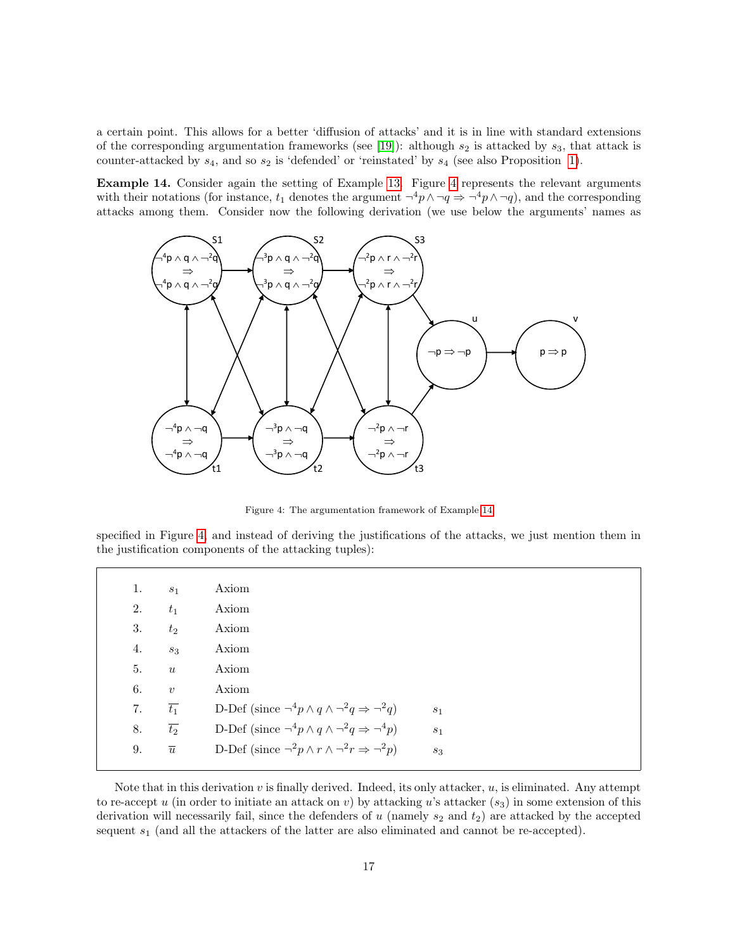a certain point. This allows for a better 'diffusion of attacks' and it is in line with standard extensions of the corresponding argumentation frameworks (see [\[19\]](#page-28-0)): although  $s_2$  is attacked by  $s_3$ , that attack is counter-attacked by  $s_4$ , and so  $s_2$  is 'defended' or 'reinstated' by  $s_4$  (see also Proposition [1\)](#page-10-2).

<span id="page-16-1"></span>Example 14. Consider again the setting of Example [13.](#page-14-4) Figure [4](#page-16-0) represents the relevant arguments with their notations (for instance,  $t_1$  denotes the argument  $\neg^4 p \wedge \neg q \Rightarrow \neg^4 p \wedge \neg q$ ), and the corresponding attacks among them. Consider now the following derivation (we use below the arguments' names as



<span id="page-16-0"></span>Figure 4: The argumentation framework of Example [14](#page-16-1)

specified in Figure [4,](#page-16-0) and instead of deriving the justifications of the attacks, we just mention them in the justification components of the attacking tuples):

| 1. | $s_1$            | Axiom                                                                   |                |
|----|------------------|-------------------------------------------------------------------------|----------------|
| 2. | $t_1$            | Axiom                                                                   |                |
| 3. | $t_2$            | Axiom                                                                   |                |
| 4. | $s_3$            | Axiom                                                                   |                |
| 5. | $\boldsymbol{u}$ | Axiom                                                                   |                |
| 6. | $\boldsymbol{v}$ | Axiom                                                                   |                |
| 7. | $\overline{t_1}$ | D-Def (since $\neg^4 p \wedge q \wedge \neg^2 q \Rightarrow \neg^2 q$ ) | s <sub>1</sub> |
| 8. | $\overline{t_2}$ | D-Def (since $\neg^4 p \wedge q \wedge \neg^2 q \Rightarrow \neg^4 p$ ) | $s_1$          |
| 9. | $\overline{u}$   | D-Def (since $\neg^2 p \wedge r \wedge \neg^2 r \Rightarrow \neg^2 p$ ) | $s_3$          |
|    |                  |                                                                         |                |

Note that in this derivation  $v$  is finally derived. Indeed, its only attacker,  $u$ , is eliminated. Any attempt to re-accept u (in order to initiate an attack on v) by attacking u's attacker  $(s_3)$  in some extension of this derivation will necessarily fail, since the defenders of  $u$  (namely  $s_2$  and  $t_2$ ) are attacked by the accepted sequent  $s_1$  (and all the attackers of the latter are also eliminated and cannot be re-accepted).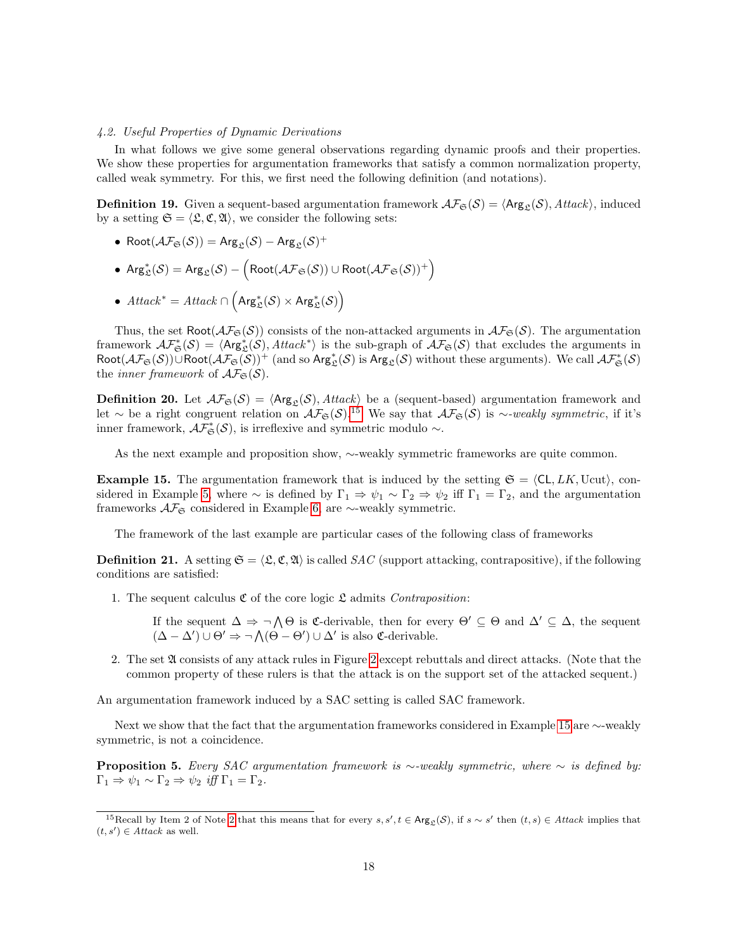### <span id="page-17-0"></span>4.2. Useful Properties of Dynamic Derivations

In what follows we give some general observations regarding dynamic proofs and their properties. We show these properties for argumentation frameworks that satisfy a common normalization property, called weak symmetry. For this, we first need the following definition (and notations).

<span id="page-17-5"></span>**Definition 19.** Given a sequent-based argumentation framework  $\mathcal{AF}_{\mathfrak{S}}(\mathcal{S}) = \langle \mathsf{Arg}_{\mathfrak{S}}(\mathcal{S}), \mathcal{H} \mathcal{H} \mathcal{R} \mathcal{S} \rangle$ , induced by a setting  $\mathfrak{S} = \langle \mathfrak{L}, \mathfrak{C}, \mathfrak{A} \rangle$ , we consider the following sets:

- $Root(\mathcal{AF}_{\mathfrak{S}}(\mathcal{S})) = \mathsf{Arg}_{\mathfrak{L}}(\mathcal{S}) \mathsf{Arg}_{\mathfrak{L}}(\mathcal{S})^+$
- $\bullet \;\text{Arg}^*_{\mathfrak{L}}(\mathcal{S}) = \text{Arg}_{\mathfrak{L}}(\mathcal{S}) \Big( \text{Root}(\mathcal{AF}_{\mathfrak{S}}(\mathcal{S})) \cup \text{Root}(\mathcal{AF}_{\mathfrak{S}}(\mathcal{S}))^+ \Big)$
- $Attack^* = Attack \cap (\text{Arg}^*_{\mathfrak{L}}(\mathcal{S}) \times \text{Arg}^*_{\mathfrak{L}}(\mathcal{S}))$

Thus, the set Root $(\mathcal{AF}_{\mathfrak{S}}(\mathcal{S}))$  consists of the non-attacked arguments in  $\mathcal{AF}_{\mathfrak{S}}(\mathcal{S})$ . The argumentation framework  $\mathcal{AF}_{\mathfrak{S}}^{*}(\mathcal{S}) = \langle \mathsf{Arg}_{\mathfrak{L}}^{*}(\mathcal{S}), \mathcal{H} \mathcal{H} \mathcal{R} \mathcal{R}^{*} \rangle$  is the sub-graph of  $\mathcal{AF}_{\mathfrak{S}}(\mathcal{S})$  that excludes the arguments in Root $(\mathcal{AF}_{\mathfrak{S}}(\mathcal{S}))\cup \text{Root}(\mathcal{AF}_{\mathfrak{S}}(\mathcal{S}))^+$  (and so  $\text{Arg}^*_{\mathfrak{L}}(\mathcal{S})$  is  $\text{Arg}_{\mathfrak{L}}(\mathcal{S})$  without these arguments). We call  $\mathcal{AF}^*_{\mathfrak{S}}(\mathcal{S})$ the *inner framework* of  $\mathcal{AF}_{\mathfrak{S}}(\mathcal{S})$ .

<span id="page-17-1"></span>**Definition 20.** Let  $\mathcal{AF}_{\mathfrak{S}}(\mathcal{S}) = \langle \mathsf{Arg}_{\mathfrak{L}}(\mathcal{S}), \mathit{Attack} \rangle$  be a (sequent-based) argumentation framework and let ∼ be a right congruent relation on  $\mathcal{AF}_{\mathfrak{S}}(\mathcal{S})$ .<sup>[15](#page-17-3)</sup> We say that  $\mathcal{AF}_{\mathfrak{S}}(\mathcal{S})$  is ∼-weakly symmetric, if it's inner framework,  $\mathcal{AF}_{\mathfrak{S}}^{*}(\mathcal{S})$ , is irreflexive and symmetric modulo  $\sim$ .

As the next example and proposition show, ∼-weakly symmetric frameworks are quite common.

<span id="page-17-2"></span>**Example 15.** The argumentation framework that is induced by the setting  $\mathfrak{S} = \langle CL, LK, \text{Ucut} \rangle$ , con-sidered in Example [5,](#page-5-2) where  $\sim$  is defined by  $\Gamma_1 \Rightarrow \psi_1 \sim \Gamma_2 \Rightarrow \psi_2$  iff  $\Gamma_1 = \Gamma_2$ , and the argumentation frameworks  $\mathcal{A}\mathcal{F}_{\mathfrak{S}}$  considered in Example [6,](#page-8-3) are ∼-weakly symmetric.

The framework of the last example are particular cases of the following class of frameworks

<span id="page-17-4"></span>**Definition 21.** A setting  $\mathfrak{S} = \langle \mathfrak{L}, \mathfrak{C}, \mathfrak{A} \rangle$  is called *SAC* (support attacking, contrapositive), if the following conditions are satisfied:

1. The sequent calculus  $\mathfrak C$  of the core logic  $\mathfrak L$  admits *Contraposition*:

If the sequent  $\Delta \Rightarrow \neg \bigwedge \Theta$  is C-derivable, then for every  $\Theta' \subseteq \Theta$  and  $\Delta' \subseteq \Delta$ , the sequent  $(\Delta - \Delta') \cup \Theta' \Rightarrow \neg \bigwedge (\Theta - \Theta') \cup \Delta'$  is also  $\mathfrak{C}\text{-derivable.}$ 

2. The set  $\mathfrak A$  consists of any attack rules in Figure [2](#page-6-0) except rebuttals and direct attacks. (Note that the common property of these rulers is that the attack is on the support set of the attacked sequent.)

An argumentation framework induced by a SAC setting is called SAC framework.

Next we show that the fact that the argumentation frameworks considered in Example [15](#page-17-2) are ∼-weakly symmetric, is not a coincidence.

**Proposition 5.** Every SAC argumentation framework is ∼-weakly symmetric, where  $\sim$  is defined by:  $\Gamma_1 \Rightarrow \psi_1 \sim \Gamma_2 \Rightarrow \psi_2 \text{ iff } \Gamma_1 = \Gamma_2.$ 

<span id="page-17-3"></span><sup>&</sup>lt;sup>15</sup>Recall by Item [2](#page-7-1) of Note 2 that this means that for every  $s, s', t \in \text{Arg}_{\mathcal{L}}(\mathcal{S})$ , if  $s \sim s'$  then  $(t, s) \in \text{Attack implies that}$  $(t, s') \in Attack$  as well.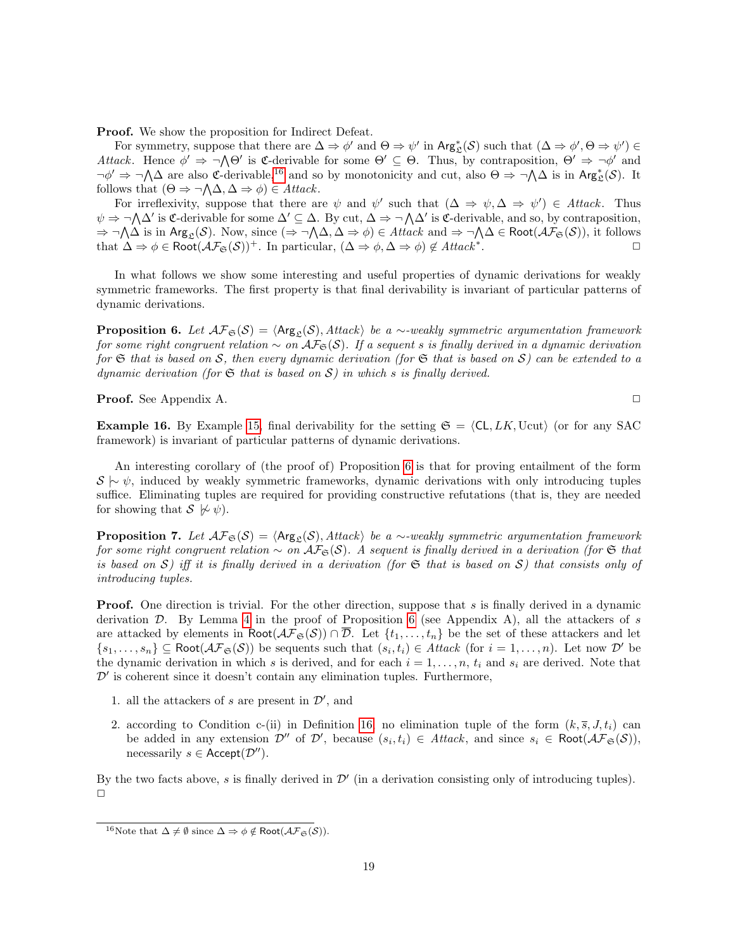**Proof.** We show the proposition for Indirect Defeat.

For symmetry, suppose that there are  $\Delta \Rightarrow \phi'$  and  $\Theta \Rightarrow \psi'$  in  $\text{Arg}^*_{\mathfrak{L}}(\mathcal{S})$  such that  $(\Delta \Rightarrow \phi', \Theta \Rightarrow \psi') \in$ Attack. Hence  $\phi' \Rightarrow \neg \Lambda \Theta'$  is C-derivable for some  $\Theta' \subseteq \Theta$ . Thus, by contraposition,  $\Theta' \Rightarrow \neg \phi'$  and  $\neg \phi' \Rightarrow \neg \Lambda \Delta$  are also C-derivable,<sup>[16](#page-18-1)</sup> and so by monotonicity and cut, also  $\Theta \Rightarrow \neg \Lambda \Delta$  is in  $\text{Arg}_{\mathcal{L}}^*(\mathcal{S})$ . It follows that  $(\Theta \Rightarrow \neg \text{A} \Delta, \Delta \Rightarrow \phi) \in \text{Attack}.$ 

For irreflexivity, suppose that there are  $\psi$  and  $\psi'$  such that  $(\Delta \Rightarrow \psi, \Delta \Rightarrow \psi') \in \text{Attack}$ . Thus  $\psi \Rightarrow \neg \Lambda \Delta'$  is C-derivable for some  $\Delta' \subseteq \Delta$ . By cut,  $\Delta \Rightarrow \neg \Lambda \Delta'$  is C-derivable, and so, by contraposition,  $\Rightarrow \neg \text{A} \Delta$  is in Arg<sub>2</sub>(S). Now, since  $(\Rightarrow \neg \text{A} \Delta, \Delta \Rightarrow \phi) \in \text{Attack}$  and  $\Rightarrow \neg \text{A} \Delta \in \text{Root}(\mathcal{AF}_{\mathfrak{S}}(S))$ , it follows that  $\Delta \Rightarrow \phi \in \text{Root}(\mathcal{AF}_{\mathfrak{S}}(\mathcal{S}))^+$ . In particular,  $(\Delta \Rightarrow \phi, \Delta \Rightarrow \phi) \notin Attack^*$ . . The contract of  $\Box$ 

In what follows we show some interesting and useful properties of dynamic derivations for weakly symmetric frameworks. The first property is that final derivability is invariant of particular patterns of dynamic derivations.

<span id="page-18-0"></span>**Proposition 6.** Let  $\mathcal{AF}_{\mathfrak{S}}(\mathcal{S}) = \langle \mathsf{Arg}_{\mathfrak{S}}(\mathcal{S}), \mathsf{Attack} \rangle$  be a ∼-weakly symmetric argumentation framework for some right congruent relation  $\sim$  on  $\mathcal{AF}_{\mathfrak{S}}(\mathcal{S})$ . If a sequent s is finally derived in a dynamic derivation for  $\mathfrak S$  that is based on S, then every dynamic derivation (for  $\mathfrak S$  that is based on S) can be extended to a dynamic derivation (for  $\mathfrak S$  that is based on  $\mathcal S$ ) in which s is finally derived.

**Proof.** See Appendix A. ◯

**Example 16.** By Example [15,](#page-17-2) final derivability for the setting  $\mathfrak{S} = \langle CL, LK, \text{Ucut} \rangle$  (or for any SAC framework) is invariant of particular patterns of dynamic derivations.

An interesting corollary of (the proof of) Proposition [6](#page-18-0) is that for proving entailment of the form  $\mathcal{S} \succ \psi$ , induced by weakly symmetric frameworks, dynamic derivations with only introducing tuples suffice. Eliminating tuples are required for providing constructive refutations (that is, they are needed for showing that  $S \not\sim \psi$ ).

<span id="page-18-2"></span>**Proposition 7.** Let  $\mathcal{AF}_{\mathfrak{S}}(\mathcal{S}) = \langle \mathsf{Arg}_{\mathfrak{L}}(\mathcal{S}), \mathit{Attack} \rangle$  be a ∼-weakly symmetric argumentation framework for some right congruent relation ∼ on  $\mathcal{AF}_{\mathfrak{S}}(\mathcal{S})$ . A sequent is finally derived in a derivation (for  $\mathfrak{S}$  that is based on S) iff it is finally derived in a derivation (for  $\mathfrak S$  that is based on S) that consists only of introducing tuples.

**Proof.** One direction is trivial. For the other direction, suppose that s is finally derived in a dynamic derivation  $\mathcal{D}$ . By Lemma [4](#page-34-0) in the proof of Proposition [6](#page-18-0) (see Appendix A), all the attackers of s are attacked by elements in  $Root(\mathcal{AF}_{\mathfrak{S}}(\mathcal{S})) \cap \overline{\mathcal{D}}$ . Let  $\{t_1, \ldots, t_n\}$  be the set of these attackers and let  $\{s_1,\ldots,s_n\}\subseteq \text{Root}(\mathcal{AF}_{\mathfrak{S}}(\mathcal{S}))$  be sequents such that  $(s_i,t_i)\in \text{Attack}$  (for  $i=1,\ldots,n$ ). Let now  $\mathcal{D}'$  be the dynamic derivation in which s is derived, and for each  $i = 1, \ldots, n$ ,  $t_i$  and  $s_i$  are derived. Note that  $\mathcal{D}'$  is coherent since it doesn't contain any elimination tuples. Furthermore,

- 1. all the attackers of s are present in  $\mathcal{D}'$ , and
- 2. according to Condition c-(ii) in Definition [16,](#page-12-0) no elimination tuple of the form  $(k, \overline{s}, J, t_i)$  can be added in any extension  $\mathcal{D}''$  of  $\mathcal{D}'$ , because  $(s_i, t_i) \in \text{Attack}$ , and since  $s_i \in \text{Root}(\mathcal{AF}_{\mathfrak{S}}(\mathcal{S}))$ , necessarily  $s \in \text{Accept}(\mathcal{D}'')$ .

By the two facts above, s is finally derived in  $\mathcal{D}'$  (in a derivation consisting only of introducing tuples).  $\Box$ 

<span id="page-18-1"></span><sup>&</sup>lt;sup>16</sup>Note that  $\Delta \neq \emptyset$  since  $\Delta \Rightarrow \phi \notin \text{Root}(\mathcal{AF}_{\mathfrak{S}}(\mathcal{S}))$ .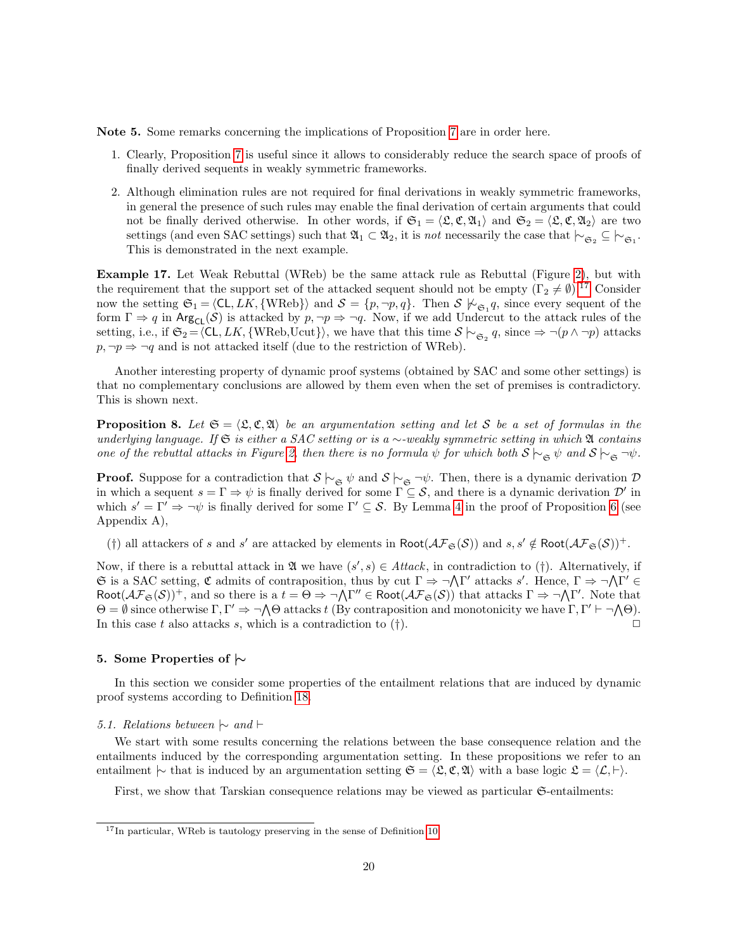Note 5. Some remarks concerning the implications of Proposition [7](#page-18-2) are in order here.

- 1. Clearly, Proposition [7](#page-18-2) is useful since it allows to considerably reduce the search space of proofs of finally derived sequents in weakly symmetric frameworks.
- 2. Although elimination rules are not required for final derivations in weakly symmetric frameworks, in general the presence of such rules may enable the final derivation of certain arguments that could not be finally derived otherwise. In other words, if  $\mathfrak{S}_1 = \langle \mathfrak{L}, \mathfrak{C}, \mathfrak{A}_1 \rangle$  and  $\mathfrak{S}_2 = \langle \mathfrak{L}, \mathfrak{C}, \mathfrak{A}_2 \rangle$  are two settings (and even SAC settings) such that  $\mathfrak{A}_1 \subset \mathfrak{A}_2$ , it is *not* necessarily the case that  $\vdash_{\mathfrak{S}_2} \subseteq \vdash_{\mathfrak{S}_1}$ . This is demonstrated in the next example.

Example 17. Let Weak Rebuttal (WReb) be the same attack rule as Rebuttal (Figure [2\)](#page-6-0), but with the requirement that the support set of the attacked sequent should not be empty  $(\Gamma_2 \neq \emptyset)$ .<sup>[17](#page-19-2)</sup> Consider now the setting  $\mathfrak{S}_1 = \langle \mathsf{CL}, \mathit{LK}, \{ \mathsf{WReb} \} \rangle$  and  $\mathcal{S} = \{p, \neg p, q\}$ . Then  $\mathcal{S} \not\vdash_{\mathfrak{S}_1} q$ , since every sequent of the form  $\Gamma \Rightarrow q$  in Arg<sub>CL</sub>(S) is attacked by  $p, \neg p \Rightarrow \neg q$ . Now, if we add Undercut to the attack rules of the setting, i.e., if  $\mathfrak{S}_2 = \langle \mathsf{CL}, \mathit{LK}, \{\mathsf{WReb}, \mathsf{Ucut}\}\rangle$ , we have that this time  $\mathcal{S} \models_{\mathfrak{S}_2} q$ , since  $\Rightarrow \neg(p \land \neg p)$  attacks  $p, \neg p \Rightarrow \neg q$  and is not attacked itself (due to the restriction of WReb).

Another interesting property of dynamic proof systems (obtained by SAC and some other settings) is that no complementary conclusions are allowed by them even when the set of premises is contradictory. This is shown next.

<span id="page-19-1"></span>**Proposition 8.** Let  $\mathfrak{S} = \langle \mathfrak{L}, \mathfrak{C}, \mathfrak{A} \rangle$  be an argumentation setting and let S be a set of formulas in the underlying language. If G is either a SAC setting or is a  $\sim$ -weakly symmetric setting in which  $\mathfrak A$  contains one of the rebuttal attacks in Figure [2,](#page-6-0) then there is no formula  $\psi$  for which both  $S \vdash_{\mathfrak{S}} \psi$  and  $S \vdash_{\mathfrak{S}} \neg \psi$ .

**Proof.** Suppose for a contradiction that  $S \vdash_{\mathfrak{S}} \psi$  and  $S \vdash_{\mathfrak{S}} \neg \psi$ . Then, there is a dynamic derivation  $\mathcal{D}$ in which a sequent  $s = \Gamma \Rightarrow \psi$  is finally derived for some  $\Gamma \subseteq \mathcal{S}$ , and there is a dynamic derivation  $\mathcal{D}'$  in which  $s' = \Gamma' \Rightarrow \neg \psi$  is finally derived for some  $\Gamma' \subseteq S$ . By Lemma [4](#page-34-0) in the proof of Proposition [6](#page-18-0) (see Appendix A),

(†) all attackers of s and s' are attacked by elements in  $Root(\mathcal{AF}_{\mathfrak{S}}(S))$  and  $s, s' \notin Root(\mathcal{AF}_{\mathfrak{S}}(S))^+$ .

Now, if there is a rebuttal attack in  $\mathfrak A$  we have  $(s', s) \in Attack$ , in contradiction to (†). Alternatively, if G is a SAC setting,  $\mathfrak C$  admits of contraposition, thus by cut  $\Gamma \Rightarrow \neg \Lambda \Gamma'$  attacks s'. Hence,  $\Gamma \Rightarrow \neg \Lambda \Gamma' \in$ Root $(\mathcal{AF}_{\mathfrak{S}}(\mathcal{S}))^+$ , and so there is a  $t = \Theta \Rightarrow \neg \Lambda \Gamma'' \in \text{Root}(\mathcal{AF}_{\mathfrak{S}}(\mathcal{S}))$  that attacks  $\Gamma \Rightarrow \neg \Lambda \Gamma'$ . Note that  $\Theta = \emptyset$  since otherwise  $\Gamma, \Gamma' \Rightarrow \neg \Lambda \Theta$  attacks t (By contraposition and monotonicity we have  $\Gamma, \Gamma' \vdash \neg \Lambda \Theta$ ). In this case t also attacks s, which is a contradiction to  $(\dagger)$ .

# <span id="page-19-0"></span>5. Some Properties of  $\sim$

In this section we consider some properties of the entailment relations that are induced by dynamic proof systems according to Definition [18.](#page-13-2)

## 5.1. Relations between  $\sim$  and  $\vdash$

We start with some results concerning the relations between the base consequence relation and the entailments induced by the corresponding argumentation setting. In these propositions we refer to an entailment  $\downarrow$  that is induced by an argumentation setting  $\mathfrak{S} = \langle \mathfrak{L}, \mathfrak{C}, \mathfrak{A} \rangle$  with a base logic  $\mathfrak{L} = \langle \mathcal{L}, \vdash \rangle$ .

<span id="page-19-3"></span>First, we show that Tarskian consequence relations may be viewed as particular G-entailments:

<span id="page-19-2"></span><sup>17</sup>In particular, WReb is tautology preserving in the sense of Definition [10.](#page-8-4)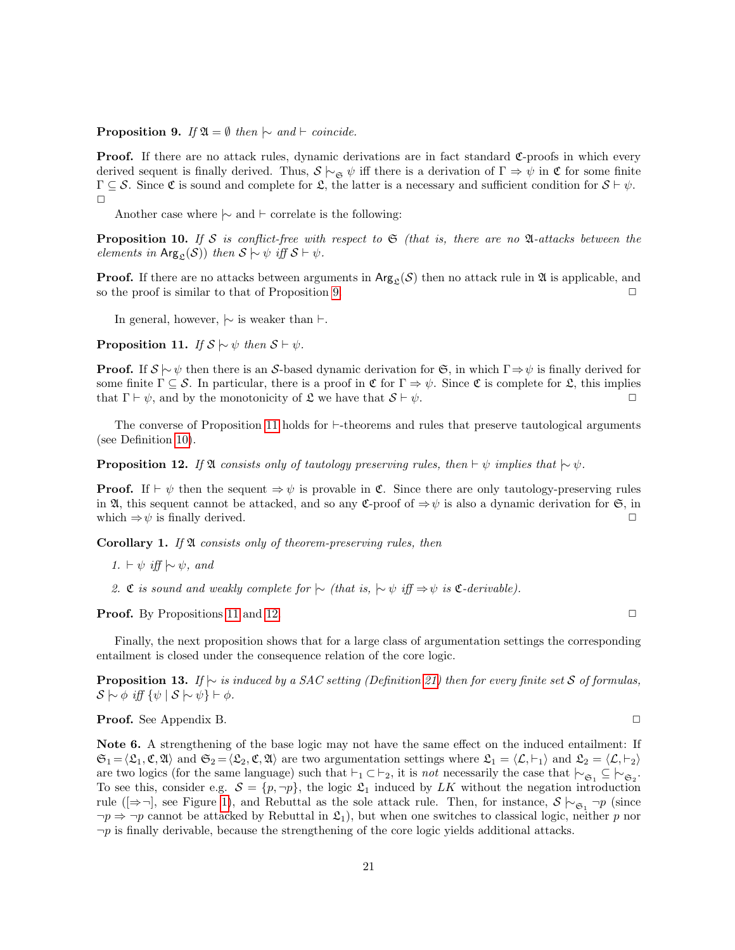**Proposition 9.** If  $\mathfrak{A} = \emptyset$  then  $\sim$  and  $\vdash$  coincide.

**Proof.** If there are no attack rules, dynamic derivations are in fact standard  $\mathfrak{C}$ -proofs in which every derived sequent is finally derived. Thus,  $S \vdash_{\mathfrak{S}} \psi$  iff there is a derivation of  $\Gamma \Rightarrow \psi$  in  $\mathfrak{C}$  for some finite  $\Gamma \subseteq \mathcal{S}$ . Since  $\mathfrak{C}$  is sound and complete for  $\mathfrak{L}$ , the latter is a necessary and sufficient condition for  $\mathcal{S} \vdash \psi$ .  $\Box$ 

Another case where  $\sim$  and  $\vdash$  correlate is the following:

<span id="page-20-0"></span>**Proposition 10.** If S is conflict-free with respect to  $\mathfrak{S}$  (that is, there are no  $\mathfrak{A}$ -attacks between the elements in Arg<sub>c</sub>(S)) then  $S \sim \psi$  iff  $S \vdash \psi$ .

**Proof.** If there are no attacks between arguments in  $Arg_{\mathcal{L}}(\mathcal{S})$  then no attack rule in  $\mathfrak{A}$  is applicable, and so the proof is similar to that of Proposition [9.](#page-19-3)  $\Box$ 

In general, however,  $\sim$  is weaker than  $\vdash$ .

<span id="page-20-1"></span>Proposition 11. If  $S \sim \psi$  then  $S \vdash \psi$ .

**Proof.** If  $S \sim \psi$  then there is an S-based dynamic derivation for  $\mathfrak{S}$ , in which  $\Gamma \Rightarrow \psi$  is finally derived for some finite  $\Gamma \subseteq \mathcal{S}$ . In particular, there is a proof in  $\mathfrak{C}$  for  $\Gamma \Rightarrow \psi$ . Since  $\mathfrak{C}$  is complete for  $\mathfrak{L}$ , this implies that  $\Gamma \vdash \psi$ , and by the monotonicity of  $\mathfrak L$  we have that  $S \vdash \psi$ .

The converse of Proposition [11](#page-20-1) holds for  $\vdash$ -theorems and rules that preserve tautological arguments (see Definition [10\)](#page-8-4).

<span id="page-20-2"></span>**Proposition 12.** If  $\mathfrak{A}$  consists only of tautology preserving rules, then  $\vdash \psi$  implies that  $\rightharpoonup \psi$ .

**Proof.** If  $\vdash \psi$  then the sequent  $\Rightarrow \psi$  is provable in **C**. Since there are only tautology-preserving rules in  $\mathfrak{A}$ , this sequent cannot be attacked, and so any C-proof of  $\Rightarrow \psi$  is also a dynamic derivation for  $\mathfrak{S}$ , in which  $\Rightarrow \psi$  is finally derived.  $\Box$ 

**Corollary 1.** If  $\mathfrak{A}$  consists only of theorem-preserving rules, then

1.  $\vdash \psi$  iff  $\vdash \psi$ , and

2.  $\mathfrak C$  is sound and weakly complete for  $\sim$  (that is,  $\sim \psi$  iff  $\Rightarrow \psi$  is  $\mathfrak C$ -derivable).

**Proof.** By Propositions [11](#page-20-1) and [12.](#page-20-2) ◯

Finally, the next proposition shows that for a large class of argumentation settings the corresponding entailment is closed under the consequence relation of the core logic.

<span id="page-20-3"></span>**Proposition 13.** If  $\sim$  is induced by a SAC setting (Definition [21\)](#page-17-4) then for every finite set S of formulas,  $\mathcal{S} \sim \phi \text{ iff } \{\psi \mid \mathcal{S} \sim \psi\} \vdash \phi.$ 

**Proof.** See Appendix B. ◯

Note 6. A strengthening of the base logic may not have the same effect on the induced entailment: If  $\mathfrak{S}_1 = \langle \mathfrak{L}_1, \mathfrak{C}, \mathfrak{A} \rangle$  and  $\mathfrak{S}_2 = \langle \mathfrak{L}_2, \mathfrak{C}, \mathfrak{A} \rangle$  are two argumentation settings where  $\mathfrak{L}_1 = \langle \mathfrak{L}, \vdash_1 \rangle$  and  $\mathfrak{L}_2 = \langle \mathfrak{L}, \vdash_2 \rangle$ are two logics (for the same language) such that  $\vdash_1 \subset \vdash_2$ , it is *not* necessarily the case that  $\vdash_{\mathfrak{S}_1} \subseteq \vdash_{\mathfrak{S}_2}$ . To see this, consider e.g.  $S = \{p, \neg p\}$ , the logic  $\mathfrak{L}_1$  induced by LK without the negation introduction rule ( $[\Rightarrow \neg]$ , see Figure [1\)](#page-4-2), and Rebuttal as the sole attack rule. Then, for instance,  $S \upharpoonright_{\mathfrak{S}_1} \neg p$  (since  $\neg p \Rightarrow \neg p$  cannot be attacked by Rebuttal in  $\mathfrak{L}_1$ ), but when one switches to classical logic, neither p nor  $\neg p$  is finally derivable, because the strengthening of the core logic yields additional attacks.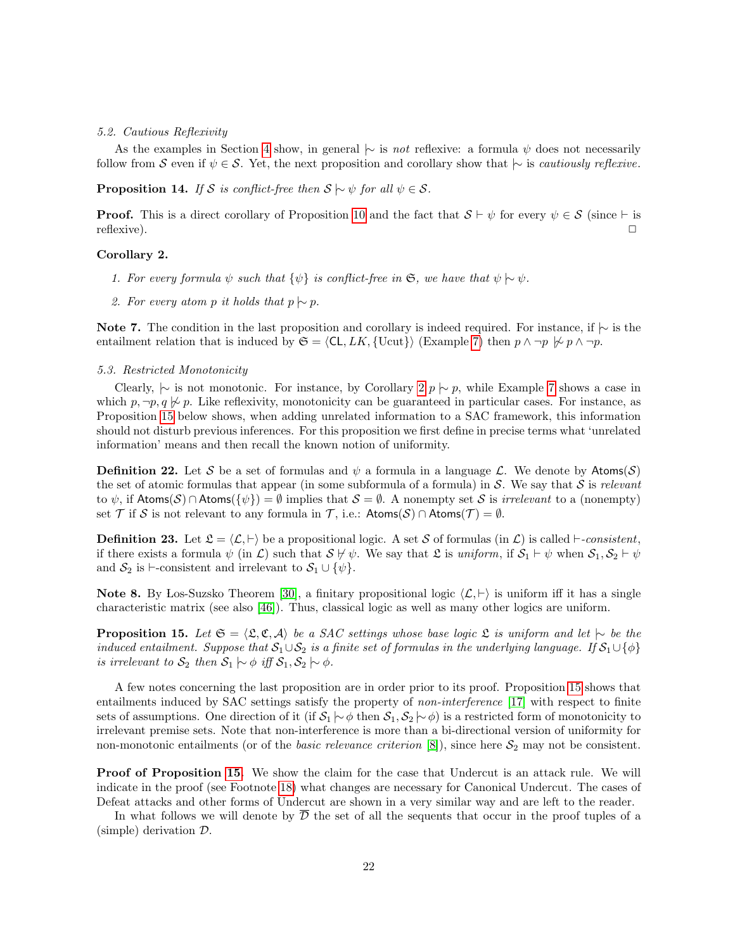#### 5.2. Cautious Reflexivity

As the examples in Section [4](#page-13-0) show, in general  $\sim$  is *not* reflexive: a formula  $\psi$  does not necessarily follow from S even if  $\psi \in S$ . Yet, the next proposition and corollary show that  $\sim$  is *cautiously reflexive*.

**Proposition 14.** If S is conflict-free then  $S \sim \psi$  for all  $\psi \in S$ .

**Proof.** This is a direct corollary of Proposition [10](#page-20-0) and the fact that  $S \vdash \psi$  for every  $\psi \in S$  (since  $\vdash$  is reflexive).  $\Box$ 

# <span id="page-21-0"></span>Corollary 2.

- 1. For every formula  $\psi$  such that  $\{\psi\}$  is conflict-free in S, we have that  $\psi \sim \psi$ .
- 2. For every atom p it holds that  $p \sim p$ .

Note 7. The condition in the last proposition and corollary is indeed required. For instance, if  $\sim$  is the entailment relation that is induced by  $\mathfrak{S} = \langle \mathsf{CL}, LK, \{\text{Ucut}\}\rangle$  (Example [7\)](#page-9-1) then  $p \wedge \neg p \not\models p \wedge \neg p$ .

#### 5.3. Restricted Monotonicity

Clearly,  $\sim$  is not monotonic. For instance, by Corollary [2](#page-21-0) p  $\sim$  p, while Example [7](#page-9-1) shows a case in which  $p, \neg p, q \not\sim p$ . Like reflexivity, monotonicity can be guaranteed in particular cases. For instance, as Proposition [15](#page-21-1) below shows, when adding unrelated information to a SAC framework, this information should not disturb previous inferences. For this proposition we first define in precise terms what 'unrelated information' means and then recall the known notion of uniformity.

<span id="page-21-2"></span>**Definition 22.** Let S be a set of formulas and  $\psi$  a formula in a language L. We denote by Atoms(S) the set of atomic formulas that appear (in some subformula of a formula) in S. We say that S is relevant to  $\psi$ , if Atoms(S) ∩ Atoms( $\{\psi\}$ ) =  $\emptyset$  implies that  $\mathcal{S} = \emptyset$ . A nonempty set S is *irrelevant* to a (nonempty) set T if S is not relevant to any formula in T, i.e.:  $\text{Atoms}(S) \cap \text{Atoms}(\mathcal{T}) = \emptyset$ .

**Definition 23.** Let  $\mathcal{L} = \langle \mathcal{L}, \vdash \rangle$  be a propositional logic. A set S of formulas (in  $\mathcal{L}$ ) is called  $\vdash$ -consistent, if there exists a formula  $\psi$  (in  $\mathcal{L}$ ) such that  $\mathcal{S} \not\vdash \psi$ . We say that  $\mathcal{L}$  is uniform, if  $\mathcal{S}_1 \vdash \psi$  when  $\mathcal{S}_1, \mathcal{S}_2 \vdash \psi$ and  $S_2$  is  $\vdash$ -consistent and irrelevant to  $S_1 \cup \{\psi\}.$ 

**Note 8.** By Los-Suzsko Theorem [\[30\]](#page-29-14), a finitary propositional logic  $\langle \mathcal{L}, \vdash \rangle$  is uniform iff it has a single characteristic matrix (see also [\[46\]](#page-29-15)). Thus, classical logic as well as many other logics are uniform.

<span id="page-21-1"></span>**Proposition 15.** Let  $\mathfrak{S} = \langle \mathfrak{L}, \mathfrak{C}, \mathcal{A} \rangle$  be a SAC settings whose base logic  $\mathfrak{L}$  is uniform and let  $|~\circ$  be the induced entailment. Suppose that  $S_1 \cup S_2$  is a finite set of formulas in the underlying language. If  $S_1 \cup \{\phi\}$ is irrelevant to  $S_2$  then  $S_1 \rhd \phi$  iff  $S_1, S_2 \rhd \phi$ .

A few notes concerning the last proposition are in order prior to its proof. Proposition [15](#page-21-1) shows that entailments induced by SAC settings satisfy the property of non-interference [\[17\]](#page-28-12) with respect to finite sets of assumptions. One direction of it (if  $S_1 \rhd \phi$  then  $S_1, S_2 \rhd \phi$ ) is a restricted form of monotonicity to irrelevant premise sets. Note that non-interference is more than a bi-directional version of uniformity for non-monotonic entailments (or of the *basic relevance criterion* [\[8\]](#page-28-13)), since here  $S_2$  may not be consistent.

**Proof of Proposition [15.](#page-21-1)** We show the claim for the case that Undercut is an attack rule. We will indicate in the proof (see Footnote [18\)](#page-23-0) what changes are necessary for Canonical Undercut. The cases of Defeat attacks and other forms of Undercut are shown in a very similar way and are left to the reader.

In what follows we will denote by  $\overline{\mathcal{D}}$  the set of all the sequents that occur in the proof tuples of a (simple) derivation D.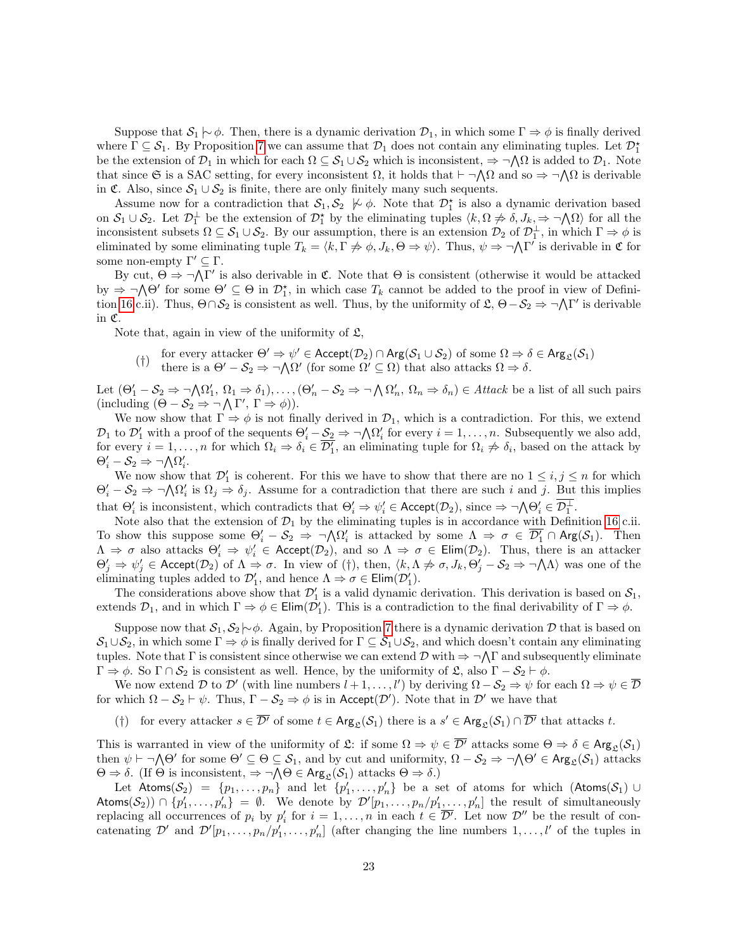Suppose that  $S_1 \sim \phi$ . Then, there is a dynamic derivation  $\mathcal{D}_1$ , in which some  $\Gamma \Rightarrow \phi$  is finally derived where  $\Gamma \subseteq \mathcal{S}_1$ . By Proposition [7](#page-18-2) we can assume that  $\mathcal{D}_1$  does not contain any eliminating tuples. Let  $\mathcal{D}_1^*$ be the extension of  $\mathcal{D}_1$  in which for each  $\Omega \subseteq \mathcal{S}_1 \cup \mathcal{S}_2$  which is inconsistent,  $\Rightarrow \neg \bigwedge \Omega$  is added to  $\mathcal{D}_1$ . Note that since G is a SAC setting, for every inconsistent  $\Omega$ , it holds that  $\vdash \neg \bigwedge \Omega$  and so  $\Rightarrow \neg \bigwedge \Omega$  is derivable in  $\mathfrak{C}$ . Also, since  $S_1 \cup S_2$  is finite, there are only finitely many such sequents.

Assume now for a contradiction that  $S_1, S_2 \not\blacktriangleright \phi$ . Note that  $\mathcal{D}_1^{\star}$  is also a dynamic derivation based on  $S_1 \cup S_2$ . Let  $\mathcal{D}_1^{\perp}$  be the extension of  $\mathcal{D}_1^{\star}$  by the eliminating tuples  $\langle k, \Omega \nRightarrow \delta, J_k, \Rightarrow \neg \Lambda \Omega \rangle$  for all the inconsistent subsets  $\Omega \subseteq \mathcal{S}_1 \cup \mathcal{S}_2$ . By our assumption, there is an extension  $\mathcal{D}_2$  of  $\mathcal{D}_1^{\perp}$ , in which  $\Gamma \Rightarrow \phi$  is eliminated by some eliminating tuple  $T_k = \langle k, \Gamma \nRightarrow \phi, J_k, \Theta \Rightarrow \psi \rangle$ . Thus,  $\psi \Rightarrow \neg \Lambda \Gamma'$  is derivable in  $\mathfrak C$  for some non-empty  $\Gamma' \subseteq \Gamma$ .

By cut,  $\Theta \Rightarrow \neg \Lambda \Gamma'$  is also derivable in C. Note that  $\Theta$  is consistent (otherwise it would be attacked by  $\Rightarrow \neg \bigwedge \Theta'$  for some  $\Theta' \subseteq \Theta$  in  $\mathcal{D}_1^*$ , in which case  $T_k$  cannot be added to the proof in view of Defini-tion [16](#page-12-0) c.ii). Thus,  $\Theta \cap \mathcal{S}_2$  is consistent as well. Thus, by the uniformity of  $\mathfrak{L}, \Theta - \mathcal{S}_2 \Rightarrow \neg \Lambda \Gamma'$  is derivable in C.

Note that, again in view of the uniformity of  $\mathfrak{L}$ ,

(†) for every attacker  $\Theta' \Rightarrow \psi' \in \text{Accept}(\mathcal{D}_2) \cap \text{Arg}(\mathcal{S}_1 \cup \mathcal{S}_2)$  of some  $\Omega \Rightarrow \delta \in \text{Arg}_{\mathcal{L}}(\mathcal{S}_1)$ <br>there is a  $\Theta' \subseteq \mathcal{S}$  of  $\Theta$  (for some  $\Theta' \subseteq \mathcal{O}$ ) that also attacks  $\Theta \rightarrow \delta$ there is a  $\Theta' - \mathcal{S}_2 \Rightarrow \neg \bigwedge \Omega'$  (for some  $\Omega' \subseteq \Omega$ ) that also attacks  $\Omega \Rightarrow \delta$ .

Let  $(\Theta'_1 - S_2 \Rightarrow \neg \bigwedge \Omega'_1, \Omega_1 \Rightarrow \delta_1), \ldots, (\Theta'_n - S_2 \Rightarrow \neg \bigwedge \Omega'_n, \Omega_n \Rightarrow \delta_n) \in \text{Attack be a list of all such pairs}$ (including  $(\Theta - \mathcal{S}_2 \Rightarrow \neg \bigwedge \Gamma', \Gamma \Rightarrow \phi)$ ).

We now show that  $\Gamma \Rightarrow \phi$  is not finally derived in  $\mathcal{D}_1$ , which is a contradiction. For this, we extend  $\mathcal{D}_1$  to  $\mathcal{D}'_1$  with a proof of the sequents  $\Theta'_i - \underline{\mathcal{S}}_2 \Rightarrow \neg \bigwedge \Omega'_i$  for every  $i = 1, \ldots, n$ . Subsequently we also add, for every  $i = 1, \ldots, n$  for which  $\Omega_i \Rightarrow \delta_i \in \overline{\mathcal{D}'_1}$ , an eliminating tuple for  $\Omega_i \not\Rightarrow \delta_i$ , based on the attack by  $\Theta'_i - \mathcal{S}_2 \Rightarrow \neg \bigwedge \Omega'_i.$ 

We now show that  $\mathcal{D}'_1$  is coherent. For this we have to show that there are no  $1 \leq i, j \leq n$  for which  $\Theta'_i - S_2 \Rightarrow \neg \bigwedge \Omega'_i$  is  $\Omega_j \Rightarrow \delta_j$ . Assume for a contradiction that there are such i and j. But this implies that  $\Theta_i'$  is inconsistent, which contradicts that  $\Theta_i' \Rightarrow \psi_i' \in \text{Accept}(\mathcal{D}_2)$ , since  $\Rightarrow \neg \bigwedge \Theta_i' \in \mathcal{D}_1^{\perp}$ .

Note also that the extension of  $\mathcal{D}_1$  by the eliminating tuples is in accordance with Definition [16](#page-12-0) c.ii. To show this suppose some  $\Theta'_i - \mathcal{S}_2 \Rightarrow \neg \bigwedge \Omega'_i$  is attacked by some  $\Lambda \Rightarrow \sigma \in \overline{\mathcal{D}'_1} \cap \text{Arg}(\mathcal{S}_1)$ . Then  $\Lambda \Rightarrow \sigma$  also attacks  $\Theta'_i \Rightarrow \psi'_i \in \text{Accept}(\mathcal{D}_2)$ , and so  $\Lambda \Rightarrow \sigma \in \text{Elim}(\mathcal{D}_2)$ . Thus, there is an attacker  $\Theta'_j \Rightarrow \psi'_j \in \text{Accept}(\mathcal{D}_2) \text{ of } \Lambda \Rightarrow \sigma.$  In view of (†), then,  $\langle k, \Lambda \not\Rightarrow \sigma, J_k, \Theta'_j - S_2 \Rightarrow \neg \Lambda \Lambda \rangle$  was one of the eliminating tuples added to  $\mathcal{D}'_1$ , and hence  $\Lambda \Rightarrow \sigma \in \text{Elim}(\mathcal{D}'_1)$ .

The considerations above show that  $\mathcal{D}'_1$  is a valid dynamic derivation. This derivation is based on  $\mathcal{S}_1$ , extends  $\mathcal{D}_1$ , and in which  $\Gamma \Rightarrow \phi \in \text{Elim}(\mathcal{D}'_1)$ . This is a contradiction to the final derivability of  $\Gamma \Rightarrow \phi$ .

Suppose now that  $S_1, S_2 \rightarrow \emptyset$ . Again, by Proposition [7](#page-18-2) there is a dynamic derivation D that is based on  $S_1\cup S_2$ , in which some  $\Gamma\Rightarrow\phi$  is finally derived for  $\Gamma\subseteq S_1\cup S_2$ , and which doesn't contain any eliminating tuples. Note that  $\Gamma$  is consistent since otherwise we can extend  $\mathcal D$  with  $\Rightarrow \neg \Lambda \Gamma$  and subsequently eliminate  $\Gamma \Rightarrow \phi$ . So  $\Gamma \cap \mathcal{S}_2$  is consistent as well. Hence, by the uniformity of  $\mathfrak{L}$ , also  $\Gamma - \mathcal{S}_2 \vdash \phi$ .

We now extend  $\mathcal D$  to  $\mathcal D'$  (with line numbers  $l+1,\ldots,l'$ ) by deriving  $\Omega-\mathcal S_2\Rightarrow\psi$  for each  $\Omega\Rightarrow\psi\in\overline{\mathcal D}$ for which  $\Omega - \mathcal{S}_2 \vdash \psi$ . Thus,  $\Gamma - \mathcal{S}_2 \Rightarrow \phi$  is in Accept $(\mathcal{D}')$ . Note that in  $\mathcal{D}'$  we have that

(†) for every attacker  $s \in \overline{\mathcal{D}'}$  of some  $t \in \text{Arg}_{\mathfrak{L}}(\mathcal{S}_1)$  there is a  $s' \in \text{Arg}_{\mathfrak{L}}(\mathcal{S}_1) \cap \overline{\mathcal{D}'}$  that attacks t.

This is warranted in view of the uniformity of  $\mathfrak{L}$ : if some  $\Omega \Rightarrow \psi \in \overline{\mathcal{D}}'$  attacks some  $\Theta \Rightarrow \delta \in \text{Arg}_{\mathfrak{L}}(\mathcal{S}_1)$ then  $\psi \vdash \neg \bigwedge \Theta'$  for some  $\Theta' \subseteq \Theta \subseteq \mathcal{S}_1$ , and by cut and uniformity,  $\Omega - \mathcal{S}_2 \Rightarrow \neg \bigwedge \Theta' \in \text{Arg}_{\mathcal{L}}(\mathcal{S}_1)$  attacks  $\Theta \Rightarrow \delta$ . (If  $\Theta$  is inconsistent,  $\Rightarrow \neg \bigwedge \Theta \in \text{Arg}_{\mathfrak{L}}(\mathcal{S}_1)$  attacks  $\Theta \Rightarrow \delta$ .)

Let  $Atoms(S_2) = \{p_1, \ldots, p_n\}$  and let  $\{p'_1, \ldots, p'_n\}$  be a set of atoms for which  $(Atoms(S_1) \cup$ Atoms $(S_2)$ )  $\cap$   $\{p'_1, \ldots, p'_n\} = \emptyset$ . We denote by  $\mathcal{D}'[p_1, \ldots, p_n/p'_1, \ldots, p'_n]$  the result of simultaneously replacing all occurrences of  $p_i$  by  $p'_i$  for  $i = 1, ..., n$  in each  $t \in \overline{\mathcal{D}}'$ . Let now  $\mathcal{D}''$  be the result of concatenating  $\mathcal{D}'$  and  $\mathcal{D}'[p_1,\ldots,p_n/p_1',\ldots,p_n']$  (after changing the line numbers  $1,\ldots,l'$  of the tuples in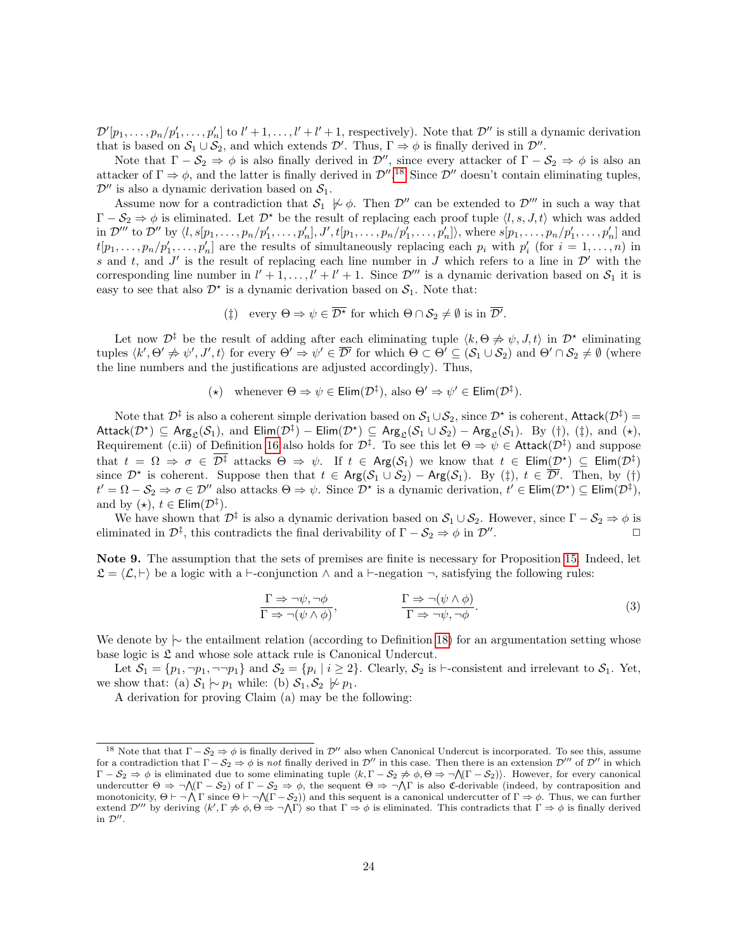$\mathcal{D}'[p_1,\ldots,p_n/p_1',\ldots,p_n']$  to  $l'+1,\ldots,l'+l'+1$ , respectively). Note that  $\mathcal{D}''$  is still a dynamic derivation that is based on  $S_1 \cup S_2$ , and which extends  $\mathcal{D}'$ . Thus,  $\Gamma \Rightarrow \phi$  is finally derived in  $\mathcal{D}''$ .

Note that  $\Gamma - S_2 \Rightarrow \phi$  is also finally derived in  $\mathcal{D}''$ , since every attacker of  $\Gamma - S_2 \Rightarrow \phi$  is also an attacker of  $\Gamma \Rightarrow \phi$ , and the latter is finally derived in  $\mathcal{D}''$ .<sup>[18](#page-23-0)</sup> Since  $\mathcal{D}''$  doesn't contain eliminating tuples,  $\mathcal{D}''$  is also a dynamic derivation based on  $\mathcal{S}_1$ .

Assume now for a contradiction that  $S_1 \not\vdash \phi$ . Then  $\mathcal{D}''$  can be extended to  $\mathcal{D}'''$  in such a way that  $\Gamma - \mathcal{S}_2 \Rightarrow \phi$  is eliminated. Let  $\mathcal{D}^*$  be the result of replacing each proof tuple  $\langle l, s, J, t \rangle$  which was added in  $\mathcal{D}'''$  to  $\mathcal{D}''$  by  $\langle l, s[p_1, \ldots, p_n/p'_1, \ldots, p'_n], J', t[p_1, \ldots, p_n/p'_1, \ldots, p'_n] \rangle$ , where  $s[p_1, \ldots, p_n/p'_1, \ldots, p'_n]$  and  $t[p_1,\ldots,p_n/p'_1,\ldots,p'_n]$  are the results of simultaneously replacing each  $p_i$  with  $p'_i$  (for  $i=1,\ldots,n$ ) in s and t, and J' is the result of replacing each line number in J which refers to a line in  $\mathcal{D}'$  with the corresponding line number in  $l' + 1, \ldots, l' + l' + 1$ . Since  $\mathcal{D}'''$  is a dynamic derivation based on  $\mathcal{S}_1$  it is easy to see that also  $\mathcal{D}^*$  is a dynamic derivation based on  $\mathcal{S}_1$ . Note that:

$$
(\ddagger)
$$
 every  $\Theta \Rightarrow \psi \in \overline{\mathcal{D}^*}$  for which  $\Theta \cap \mathcal{S}_2 \neq \emptyset$  is in  $\overline{\mathcal{D}'}$ .

Let now  $\mathcal{D}^{\ddagger}$  be the result of adding after each eliminating tuple  $\langle k, \Theta \neq \psi, J, t \rangle$  in  $\mathcal{D}^*$  eliminating tuples  $\langle k', \Theta' \nRightarrow \psi', J', t \rangle$  for every  $\Theta' \Rightarrow \psi' \in \overline{\mathcal{D}'}$  for which  $\Theta \subset \Theta' \subseteq (\mathcal{S}_1 \cup \mathcal{S}_2)$  and  $\Theta' \cap \mathcal{S}_2 \neq \emptyset$  (where the line numbers and the justifications are adjusted accordingly). Thus,

$$
(\star) \quad \text{whenever } \Theta \Rightarrow \psi \in \text{Elim}(\mathcal{D}^{\ddagger}), \text{ also } \Theta' \Rightarrow \psi' \in \text{Elim}(\mathcal{D}^{\ddagger}).
$$

Note that  $\mathcal{D}^{\ddagger}$  is also a coherent simple derivation based on  $\mathcal{S}_1\cup\mathcal{S}_2$ , since  $\mathcal{D}^*$  is coherent, Attack $(\mathcal{D}^{\ddagger})$  =  $\mathsf{Attack}(\mathcal{D}^{\star}) \subseteq \mathsf{Arg}_{\mathfrak{L}}(\mathcal{S}_1), \text{ and } \mathsf{Elim}(\mathcal{D}^{\ddagger}) - \mathsf{Elim}(\mathcal{D}^{\star}) \subseteq \mathsf{Arg}_{\mathfrak{L}}(\mathcal{S}_1 \cup \mathcal{S}_2) - \mathsf{Arg}_{\mathfrak{L}}(\mathcal{S}_1). \ \ \text{By (†), (‡), and (★),}$ Requirement (c.ii) of Definition [16](#page-12-0) also holds for  $\mathcal{D}^{\ddagger}$ . To see this let  $\Theta \Rightarrow \psi \in \text{Attack}(\mathcal{D}^{\ddagger})$  and suppose that  $t = \Omega \Rightarrow \sigma \in \overline{\mathcal{D}^{\ddagger}}$  attacks  $\Theta \Rightarrow \psi$ . If  $t \in \mathsf{Arg}(\mathcal{S}_1)$  we know that  $t \in \mathsf{Elim}(\mathcal{D}^{\star}) \subseteq \mathsf{Elim}(\mathcal{D}^{\ddagger})$ since  $\mathcal{D}^*$  is coherent. Suppose then that  $t \in \mathsf{Arg}(\mathcal{S}_1 \cup \mathcal{S}_2) - \mathsf{Arg}(\mathcal{S}_1)$ . By (‡),  $t \in \overline{\mathcal{D}}'$ . Then, by (†)  $t' = \Omega - \mathcal{S}_2 \Rightarrow \sigma \in \mathcal{D}''$  also attacks  $\Theta \Rightarrow \psi$ . Since  $\mathcal{D}^{\star}$  is a dynamic derivation,  $t' \in \text{Elim}(\mathcal{D}^{\star}) \subseteq \text{Elim}(\mathcal{D}^{\ddagger})$ , and by  $(\star)$ ,  $t \in \text{Elim}(\mathcal{D}^{\ddagger})$ .

We have shown that  $\mathcal{D}^{\ddagger}$  is also a dynamic derivation based on  $\mathcal{S}_1 \cup \mathcal{S}_2$ . However, since  $\Gamma - \mathcal{S}_2 \Rightarrow \phi$  is eliminated in  $\mathcal{D}^{\ddagger}$ , this contradicts the final derivability of  $\Gamma - \mathcal{S}_2 \Rightarrow \phi$  in  $\mathcal{D}''$ .  $\Box$ 

Note 9. The assumption that the sets of premises are finite is necessary for Proposition [15.](#page-21-1) Indeed, let  $\mathcal{L} = \langle \mathcal{L}, \vdash \rangle$  be a logic with a  $\vdash$ -conjunction  $\land$  and a  $\vdash$ -negation  $\neg$ , satisfying the following rules:

<span id="page-23-1"></span>
$$
\frac{\Gamma \Rightarrow \neg \psi, \neg \phi}{\Gamma \Rightarrow \neg (\psi \land \phi)}, \qquad \frac{\Gamma \Rightarrow \neg (\psi \land \phi)}{\Gamma \Rightarrow \neg \psi, \neg \phi}.
$$
\n(3)

We denote by  $\sim$  the entailment relation (according to Definition [18\)](#page-13-2) for an argumentation setting whose base logic is  $\mathfrak L$  and whose sole attack rule is Canonical Undercut.

Let  $S_1 = \{p_1, \neg p_1, \neg \neg p_1\}$  and  $S_2 = \{p_i \mid i \geq 2\}$ . Clearly,  $S_2$  is  $\vdash$ -consistent and irrelevant to  $S_1$ . Yet, we show that: (a)  $S_1 \sim p_1$  while: (b)  $S_1, S_2 \not\sim p_1$ .

A derivation for proving Claim (a) may be the following:

<span id="page-23-0"></span><sup>&</sup>lt;sup>18</sup> Note that that  $\Gamma - \mathcal{S}_2 \Rightarrow \phi$  is finally derived in D<sup>tt</sup> also when Canonical Undercut is incorporated. To see this, assume for a contradiction that  $\Gamma - \mathcal{S}_2 \Rightarrow \phi$  is not finally derived in  $\mathcal{D}''$  in this case. Then there is an extension  $\mathcal{D}'''$  of  $\mathcal{D}''$  in which  $\Gamma - S_2 \Rightarrow \phi$  is eliminated due to some eliminating tuple  $\langle k, \Gamma - S_2 \not\Rightarrow \phi, \Theta \Rightarrow \neg \Lambda(\Gamma - S_2) \rangle$ . However, for every canonical undercutter  $\Theta \Rightarrow \neg \Lambda(\Gamma - \mathcal{S}_2)$  of  $\Gamma - \mathcal{S}_2 \Rightarrow \phi$ , the sequent  $\Theta \Rightarrow \neg \Lambda \Gamma$  is also C-derivable (indeed, by contraposition and monotonicity,  $\Theta \vdash \neg \bigwedge \Gamma$  since  $\Theta \vdash \neg \bigwedge (\Gamma - \mathcal{S}_2)$  and this sequent is a canonical undercutter of  $\Gamma \Rightarrow \phi$ . Thus, we can further extend  $\mathcal{D}'''$  by deriving  $\langle k', \Gamma \neq \phi, \Theta \Rightarrow \neg \Lambda \Gamma \rangle$  so that  $\Gamma \Rightarrow \phi$  is eliminated. This contradicts that  $\Gamma \Rightarrow \phi$  is finally derived in  $\mathcal{D}''$ .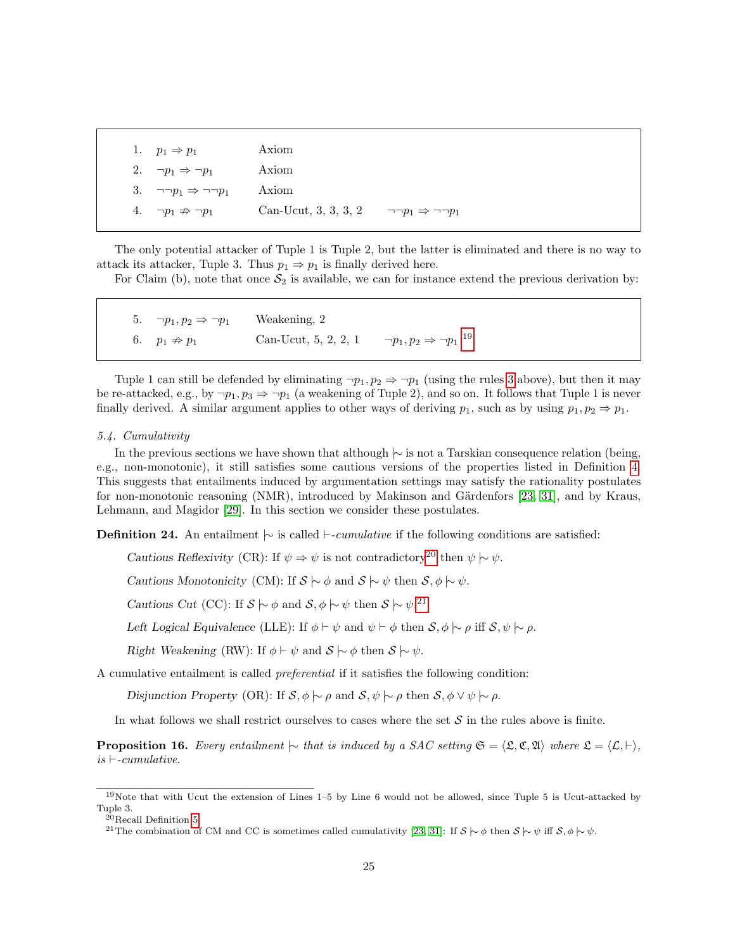| 1. $p_1 \Rightarrow p_1$                   | Axiom                                                        |  |
|--------------------------------------------|--------------------------------------------------------------|--|
| 2. $\neg p_1 \Rightarrow \neg p_1$         | Axiom                                                        |  |
| 3. $\neg\neg p_1 \Rightarrow \neg\neg p_1$ | Axiom                                                        |  |
| 4. $\neg p_1 \nRightarrow \neg p_1$        | Can-Ucut, 3, 3, 3, 2 $\neg\neg p_1 \Rightarrow \neg\neg p_1$ |  |

The only potential attacker of Tuple 1 is Tuple 2, but the latter is eliminated and there is no way to attack its attacker, Tuple 3. Thus  $p_1 \Rightarrow p_1$  is finally derived here.

For Claim (b), note that once  $S_2$  is available, we can for instance extend the previous derivation by:

5.  $\neg p_1, p_2 \Rightarrow \neg p_1$  Weakening, 2 6.  $p_1 \neq p_1$  Can-Ucut, 5, 2, 2, 1  $\neg p_1, p_2 \Rightarrow \neg p_1$  <sup>[19](#page-24-0)</sup>

Tuple 1 can still be defended by eliminating  $\neg p_1, p_2 \Rightarrow \neg p_1$  (using the rules [3](#page-23-1) above), but then it may be re-attacked, e.g., by  $\neg p_1, p_3 \Rightarrow \neg p_1$  (a weakening of Tuple 2), and so on. It follows that Tuple 1 is never finally derived. A similar argument applies to other ways of deriving  $p_1$ , such as by using  $p_1, p_2 \Rightarrow p_1$ .

## 5.4. Cumulativity

In the previous sections we have shown that although |∼ is not a Tarskian consequence relation (being, e.g., non-monotonic), it still satisfies some cautious versions of the properties listed in Definition [4.](#page-2-1) This suggests that entailments induced by argumentation settings may satisfy the rationality postulates for non-monotonic reasoning (NMR), introduced by Makinson and Gärdenfors [\[23,](#page-28-7) [31\]](#page-29-6), and by Kraus, Lehmann, and Magidor [\[29\]](#page-29-16). In this section we consider these postulates.

**Definition 24.** An entailment  $\sim$  is called  $\vdash$ -*cumulative* if the following conditions are satisfied:

Cautious Reflexivity (CR): If  $\psi \Rightarrow \psi$  is not contradictory<sup>[20](#page-24-1)</sup> then  $\psi \sim \psi$ .

Cautious Monotonicity (CM): If  $S \sim \phi$  and  $S \sim \psi$  then  $S, \phi \sim \psi$ .

Cautious Cut (CC): If  $S \sim \phi$  and  $S, \phi \sim \psi$  then  $S \sim \psi$ .<sup>[21](#page-24-2)</sup>

Left Logical Equivalence (LLE): If  $\phi \vdash \psi$  and  $\psi \vdash \phi$  then  $\mathcal{S}, \phi \models \rho$  iff  $\mathcal{S}, \psi \models \rho$ .

Right Weakening (RW): If  $\phi \vdash \psi$  and  $S \sim \phi$  then  $S \sim \psi$ .

A cumulative entailment is called preferential if it satisfies the following condition:

Disjunction Property (OR): If  $S, \phi \sim \rho$  and  $S, \psi \sim \rho$  then  $S, \phi \vee \psi \sim \rho$ .

In what follows we shall restrict ourselves to cases where the set  $\mathcal S$  in the rules above is finite.

<span id="page-24-3"></span>**Proposition 16.** Every entailment  $\downarrow \sim$  that is induced by a SAC setting  $\mathfrak{S} = \langle \mathfrak{L}, \mathfrak{L}, \mathfrak{A} \rangle$  where  $\mathfrak{L} = \langle \mathcal{L}, \vdash \rangle$ ,  $is \vdash$ -cumulative.

<span id="page-24-0"></span><sup>19</sup>Note that with Ucut the extension of Lines 1–5 by Line 6 would not be allowed, since Tuple 5 is Ucut-attacked by Tuple 3. <sup>20</sup>Recall Definition [5.](#page-3-3)

<span id="page-24-2"></span><span id="page-24-1"></span><sup>&</sup>lt;sup>21</sup>The combination of CM and CC is sometimes called cumulativity [\[23,](#page-28-7) [31\]](#page-29-6): If  $S \sim \phi$  then  $S \sim \psi$  iff  $S, \phi \sim \psi$ .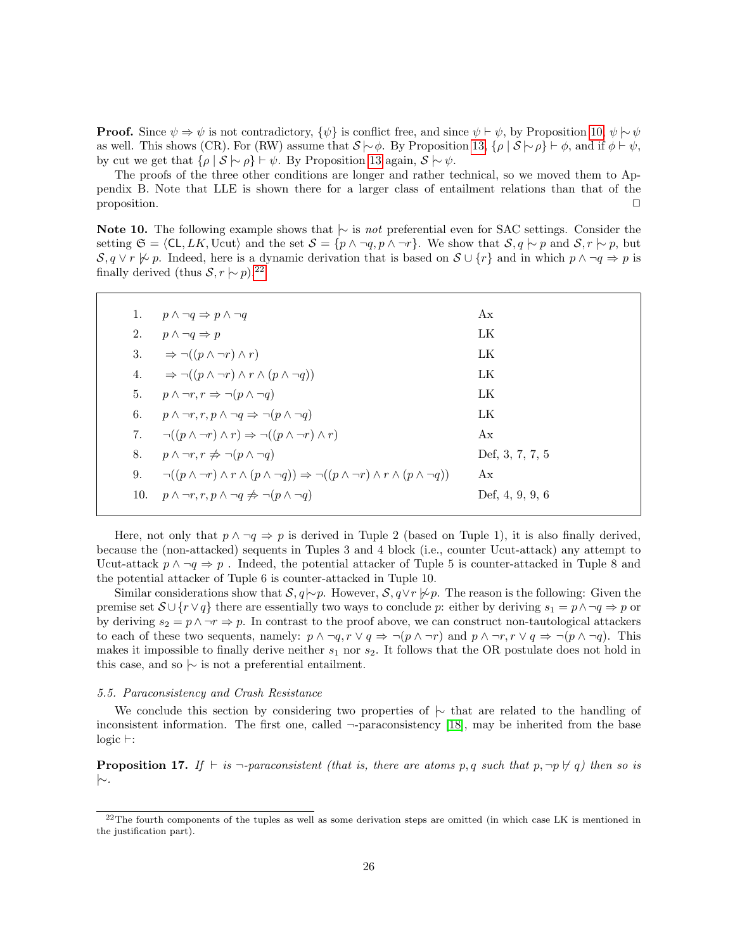**Proof.** Since  $\psi \Rightarrow \psi$  is not contradictory,  $\{\psi\}$  is conflict free, and since  $\psi \vdash \psi$ , by Proposition [10,](#page-20-0)  $\psi \vdash \psi$ as well. This shows (CR). For (RW) assume that  $S \sim \phi$ . By Proposition [13,](#page-20-3)  $\{\rho \mid S \sim \rho\} \vdash \phi$ , and if  $\phi \vdash \psi$ , by cut we get that  $\{\rho \mid S \sim \rho\} \vdash \psi$ . By Proposition [13](#page-20-3) again,  $S \sim \psi$ .

The proofs of the three other conditions are longer and rather technical, so we moved them to Appendix B. Note that LLE is shown there for a larger class of entailment relations than that of the proposition.

Note 10. The following example shows that  $\vdash$  is not preferential even for SAC settings. Consider the setting  $\mathfrak{S} = \langle \mathsf{CL}, LK, \mathsf{Ucut} \rangle$  and the set  $\mathcal{S} = \{p \land \neg q, p \land \neg r\}$ . We show that  $\mathcal{S}, q \mid \sim p$  and  $\mathcal{S}, r \mid \sim p$ , but  $S, q \vee r \not\leftrightarrow p$ . Indeed, here is a dynamic derivation that is based on  $S \cup \{r\}$  and in which  $p \wedge \neg q \Rightarrow p$  is finally derived (thus  $S, r \sim p$ ).<sup>[22](#page-25-0)</sup>

| 1.  | $p \wedge \neg q \Rightarrow p \wedge \neg q$                                                                             | Ax              |
|-----|---------------------------------------------------------------------------------------------------------------------------|-----------------|
|     |                                                                                                                           |                 |
| 2.  | $p \wedge \neg q \Rightarrow p$                                                                                           | LK              |
| 3.  | $\Rightarrow \neg((p \wedge \neg r) \wedge r)$                                                                            | LK              |
| 4.  | $\Rightarrow \neg((p \land \neg r) \land r \land (p \land \neg q))$                                                       | LK              |
| 5.  | $p \wedge \neg r, r \Rightarrow \neg (p \wedge \neg q)$                                                                   | LK              |
| 6.  | $p \wedge \neg r, r, p \wedge \neg q \Rightarrow \neg (p \wedge \neg q)$                                                  | LK              |
| 7.  | $\neg((p \land \neg r) \land r) \Rightarrow \neg((p \land \neg r) \land r)$                                               | Ax              |
| 8.  | $p \wedge \neg r, r \nRightarrow \neg (p \wedge \neg q)$                                                                  | Def, 3, 7, 7, 5 |
| 9.  | $\neg((p \land \neg r) \land r \land (p \land \neg q)) \Rightarrow \neg((p \land \neg r) \land r \land (p \land \neg q))$ | Ax              |
| 10. | $p \wedge \neg r, r, p \wedge \neg q \neq \neg (p \wedge \neg q)$                                                         | Def, 4, 9, 9, 6 |

Here, not only that  $p \land \neg q \Rightarrow p$  is derived in Tuple 2 (based on Tuple 1), it is also finally derived, because the (non-attacked) sequents in Tuples 3 and 4 block (i.e., counter Ucut-attack) any attempt to Ucut-attack  $p \wedge \neg q \Rightarrow p$ . Indeed, the potential attacker of Tuple 5 is counter-attacked in Tuple 8 and the potential attacker of Tuple 6 is counter-attacked in Tuple 10.

Similar considerations show that  $S, q \rightarrow p$ . However,  $S, q \vee r \not\vdash p$ . The reason is the following: Given the premise set  $S \cup \{r \vee q\}$  there are essentially two ways to conclude p: either by deriving  $s_1 = p \wedge \neg q \Rightarrow p$  or by deriving  $s_2 = p \land \neg r \Rightarrow p$ . In contrast to the proof above, we can construct non-tautological attackers to each of these two sequents, namely:  $p \wedge \neg q, r \vee q \Rightarrow \neg (p \wedge \neg r)$  and  $p \wedge \neg r, r \vee q \Rightarrow \neg (p \wedge \neg q)$ . This makes it impossible to finally derive neither  $s_1$  nor  $s_2$ . It follows that the OR postulate does not hold in this case, and so  $\sim$  is not a preferential entailment.

## 5.5. Paraconsistency and Crash Resistance

We conclude this section by considering two properties of  $\sim$  that are related to the handling of inconsistent information. The first one, called  $\neg$ -paraconsistency [\[18\]](#page-28-14), may be inherited from the base logic  $\vdash$ :

**Proposition 17.** If  $\vdash$  is  $\neg$ -paraconsistent (that is, there are atoms p, q such that p,  $\neg p \nvdash q$ ) then so is |∼.

<span id="page-25-0"></span> $22$ The fourth components of the tuples as well as some derivation steps are omitted (in which case LK is mentioned in the justification part).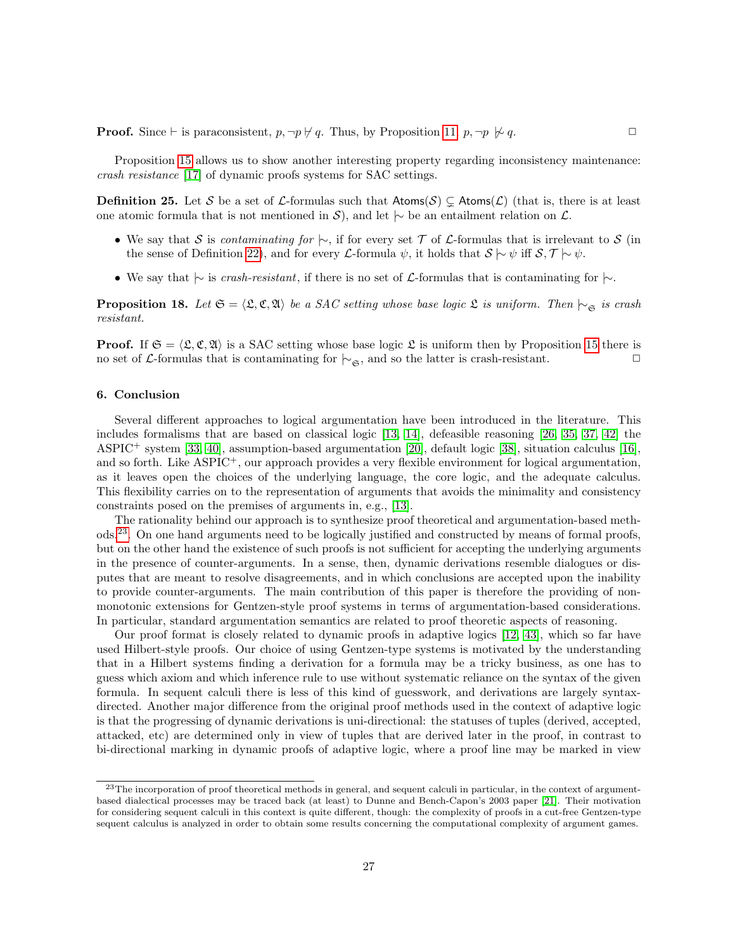**Proof.** Since  $\vdash$  is paraconsistent,  $p, \neg p \nvdash q$ . Thus, by Proposition [11,](#page-20-1)  $p, \neg p \not\models q$ .  $\Box$ 

Proposition [15](#page-21-1) allows us to show another interesting property regarding inconsistency maintenance: crash resistance [\[17\]](#page-28-12) of dynamic proofs systems for SAC settings.

**Definition 25.** Let S be a set of L-formulas such that  $\text{Atoms}(S) \subsetneq \text{Atoms}(L)$  (that is, there is at least one atomic formula that is not mentioned in S), and let  $\sim$  be an entailment relation on  $\mathcal{L}$ .

- We say that S is contaminating for  $\sim$ , if for every set T of L-formulas that is irrelevant to S (in the sense of Definition [22\)](#page-21-2), and for every L-formula  $\psi$ , it holds that  $\mathcal{S} \models \psi$  iff  $\mathcal{S}, \mathcal{T} \models \psi$ .
- We say that  $\sim$  is *crash-resistant*, if there is no set of L-formulas that is contaminating for  $\sim$ .

**Proposition 18.** Let  $\mathfrak{S} = \langle \mathfrak{L}, \mathfrak{C}, \mathfrak{A} \rangle$  be a SAC setting whose base logic  $\mathfrak{L}$  is uniform. Then  $\vert \sim_{\mathfrak{S}}$  is crash resistant.

**Proof.** If  $\mathfrak{S} = \langle \mathfrak{L}, \mathfrak{L}, \mathfrak{A} \rangle$  is a SAC setting whose base logic  $\mathfrak{L}$  is uniform then by Proposition [15](#page-21-1) there is no set of  $\mathcal L$ -formulas that is contaminating for  $\sim_{\mathfrak S}$ , and so the latter is crash-resistant.  $\Box$ 

## <span id="page-26-0"></span>6. Conclusion

Several different approaches to logical argumentation have been introduced in the literature. This includes formalisms that are based on classical logic [\[13,](#page-28-1) [14\]](#page-28-2), defeasible reasoning [\[26,](#page-28-15) [35,](#page-29-17) [37,](#page-29-18) [42\]](#page-29-2) the ASPIC<sup>+</sup> system [\[33,](#page-29-4) [40\]](#page-29-5), assumption-based argumentation [\[20\]](#page-28-16), default logic [\[38\]](#page-29-19), situation calculus [\[16\]](#page-28-17), and so forth. Like ASPIC+, our approach provides a very flexible environment for logical argumentation, as it leaves open the choices of the underlying language, the core logic, and the adequate calculus. This flexibility carries on to the representation of arguments that avoids the minimality and consistency constraints posed on the premises of arguments in, e.g., [\[13\]](#page-28-1).

The rationality behind our approach is to synthesize proof theoretical and argumentation-based methods.[23](#page-26-1). On one hand arguments need to be logically justified and constructed by means of formal proofs, but on the other hand the existence of such proofs is not sufficient for accepting the underlying arguments in the presence of counter-arguments. In a sense, then, dynamic derivations resemble dialogues or disputes that are meant to resolve disagreements, and in which conclusions are accepted upon the inability to provide counter-arguments. The main contribution of this paper is therefore the providing of nonmonotonic extensions for Gentzen-style proof systems in terms of argumentation-based considerations. In particular, standard argumentation semantics are related to proof theoretic aspects of reasoning.

Our proof format is closely related to dynamic proofs in adaptive logics [\[12,](#page-28-11) [43\]](#page-29-11), which so far have used Hilbert-style proofs. Our choice of using Gentzen-type systems is motivated by the understanding that in a Hilbert systems finding a derivation for a formula may be a tricky business, as one has to guess which axiom and which inference rule to use without systematic reliance on the syntax of the given formula. In sequent calculi there is less of this kind of guesswork, and derivations are largely syntaxdirected. Another major difference from the original proof methods used in the context of adaptive logic is that the progressing of dynamic derivations is uni-directional: the statuses of tuples (derived, accepted, attacked, etc) are determined only in view of tuples that are derived later in the proof, in contrast to bi-directional marking in dynamic proofs of adaptive logic, where a proof line may be marked in view

<span id="page-26-1"></span><sup>&</sup>lt;sup>23</sup>The incorporation of proof theoretical methods in general, and sequent calculi in particular, in the context of argumentbased dialectical processes may be traced back (at least) to Dunne and Bench-Capon's 2003 paper [\[21\]](#page-28-18). Their motivation for considering sequent calculi in this context is quite different, though: the complexity of proofs in a cut-free Gentzen-type sequent calculus is analyzed in order to obtain some results concerning the computational complexity of argument games.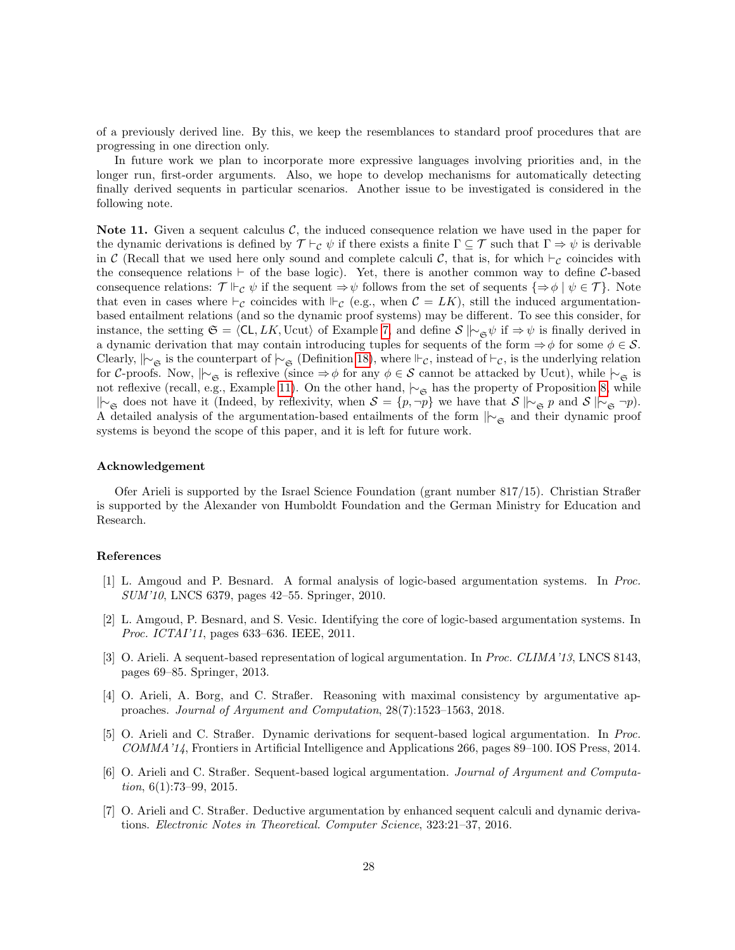of a previously derived line. By this, we keep the resemblances to standard proof procedures that are progressing in one direction only.

In future work we plan to incorporate more expressive languages involving priorities and, in the longer run, first-order arguments. Also, we hope to develop mechanisms for automatically detecting finally derived sequents in particular scenarios. Another issue to be investigated is considered in the following note.

**Note 11.** Given a sequent calculus  $\mathcal{C}$ , the induced consequence relation we have used in the paper for the dynamic derivations is defined by  $\mathcal{T} \vdash_{\mathcal{C}} \psi$  if there exists a finite  $\Gamma \subseteq \mathcal{T}$  such that  $\Gamma \Rightarrow \psi$  is derivable in C (Recall that we used here only sound and complete calculi C, that is, for which  $\vdash_{\mathcal{C}}$  coincides with the consequence relations  $\vdash$  of the base logic). Yet, there is another common way to define C-based consequence relations:  $\mathcal{T} \Vdash_{\mathcal{C}} \psi$  if the sequent  $\Rightarrow \psi$  follows from the set of sequents  $\{\Rightarrow \phi \mid \psi \in \mathcal{T}\}\.$  Note that even in cases where  $\vdash_{\mathcal{C}}$  coincides with  $\vdash_{\mathcal{C}}$  (e.g., when  $\mathcal{C} = LK$ ), still the induced argumentationbased entailment relations (and so the dynamic proof systems) may be different. To see this consider, for instance, the setting  $\mathfrak{S} = \langle CL, LK, \text{Ucut} \rangle$  of Example [7,](#page-9-1) and define  $S \mid \sim_{\mathfrak{S}} \psi$  if  $\Rightarrow \psi$  is finally derived in a dynamic derivation that may contain introducing tuples for sequents of the form  $\Rightarrow \phi$  for some  $\phi \in \mathcal{S}$ . Clearly,  $\vert \sim_{\mathfrak{S}}$  is the counterpart of  $\vert \sim_{\mathfrak{S}}$  (Definition [18\)](#page-13-2), where  $\vert \vert_{\mathcal{C}}$ , instead of  $\vert \sim_{\mathcal{C}}$ , is the underlying relation for C-proofs. Now,  $\|\sim_{\mathfrak{S}}$  is reflexive (since  $\Rightarrow \phi$  for any  $\phi \in \mathcal{S}$  cannot be attacked by Ucut), while  $\sim_{\mathfrak{S}}$  is not reflexive (recall, e.g., Example [11\)](#page-13-1). On the other hand,  $\sim_{\mathfrak{S}}$  has the property of Proposition [8,](#page-19-1) while  $\|\sim_{\mathfrak{S}}$  does not have it (Indeed, by reflexivity, when  $S = \{p, \neg p\}$  we have that  $S \|\sim_{\mathfrak{S}} p$  and  $S \|\sim_{\mathfrak{S}} \neg p$ ). A detailed analysis of the argumentation-based entailments of the form  $|\n\sim_{\mathfrak{S}}$  and their dynamic proof systems is beyond the scope of this paper, and it is left for future work.

# Acknowledgement

Ofer Arieli is supported by the Israel Science Foundation (grant number 817/15). Christian Straßer is supported by the Alexander von Humboldt Foundation and the German Ministry for Education and Research.

### References

- <span id="page-27-0"></span>[1] L. Amgoud and P. Besnard. A formal analysis of logic-based argumentation systems. In Proc. SUM'10, LNCS 6379, pages 42–55. Springer, 2010.
- <span id="page-27-1"></span>[2] L. Amgoud, P. Besnard, and S. Vesic. Identifying the core of logic-based argumentation systems. In Proc. ICTAI'11, pages 633–636. IEEE, 2011.
- <span id="page-27-2"></span>[3] O. Arieli. A sequent-based representation of logical argumentation. In Proc. CLIMA'13, LNCS 8143, pages 69–85. Springer, 2013.
- <span id="page-27-6"></span>[4] O. Arieli, A. Borg, and C. Straßer. Reasoning with maximal consistency by argumentative approaches. Journal of Argument and Computation, 28(7):1523–1563, 2018.
- <span id="page-27-4"></span>[5] O. Arieli and C. Straßer. Dynamic derivations for sequent-based logical argumentation. In Proc. COMMA'14, Frontiers in Artificial Intelligence and Applications 266, pages 89–100. IOS Press, 2014.
- <span id="page-27-3"></span>[6] O. Arieli and C. Straßer. Sequent-based logical argumentation. Journal of Argument and Computa*tion*,  $6(1)$ :73-99, 2015.
- <span id="page-27-5"></span>[7] O. Arieli and C. Straßer. Deductive argumentation by enhanced sequent calculi and dynamic derivations. Electronic Notes in Theoretical. Computer Science, 323:21–37, 2016.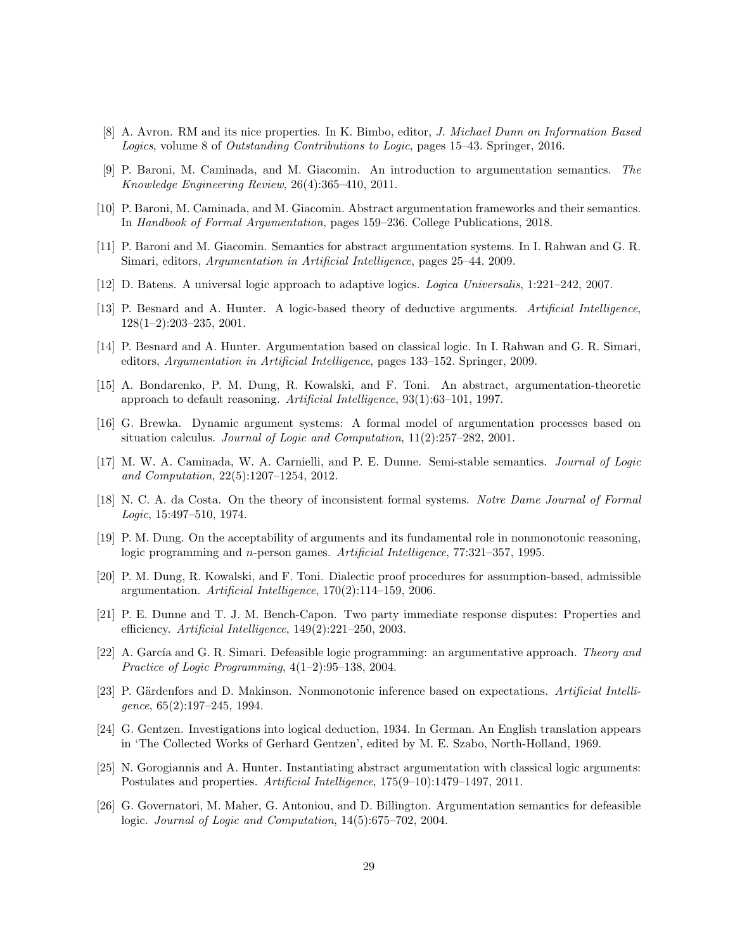- <span id="page-28-13"></span>[8] A. Avron. RM and its nice properties. In K. Bimbo, editor, J. Michael Dunn on Information Based Logics, volume 8 of Outstanding Contributions to Logic, pages 15–43. Springer, 2016.
- <span id="page-28-8"></span>[9] P. Baroni, M. Caminada, and M. Giacomin. An introduction to argumentation semantics. The Knowledge Engineering Review, 26(4):365–410, 2011.
- <span id="page-28-10"></span>[10] P. Baroni, M. Caminada, and M. Giacomin. Abstract argumentation frameworks and their semantics. In Handbook of Formal Argumentation, pages 159–236. College Publications, 2018.
- <span id="page-28-9"></span>[11] P. Baroni and M. Giacomin. Semantics for abstract argumentation systems. In I. Rahwan and G. R. Simari, editors, Argumentation in Artificial Intelligence, pages 25–44. 2009.
- <span id="page-28-11"></span>[12] D. Batens. A universal logic approach to adaptive logics. Logica Universalis, 1:221–242, 2007.
- <span id="page-28-1"></span>[13] P. Besnard and A. Hunter. A logic-based theory of deductive arguments. Artificial Intelligence, 128(1–2):203–235, 2001.
- <span id="page-28-2"></span>[14] P. Besnard and A. Hunter. Argumentation based on classical logic. In I. Rahwan and G. R. Simari, editors, Argumentation in Artificial Intelligence, pages 133–152. Springer, 2009.
- <span id="page-28-3"></span>[15] A. Bondarenko, P. M. Dung, R. Kowalski, and F. Toni. An abstract, argumentation-theoretic approach to default reasoning. Artificial Intelligence, 93(1):63–101, 1997.
- <span id="page-28-17"></span>[16] G. Brewka. Dynamic argument systems: A formal model of argumentation processes based on situation calculus. Journal of Logic and Computation, 11(2):257–282, 2001.
- <span id="page-28-12"></span>[17] M. W. A. Caminada, W. A. Carnielli, and P. E. Dunne. Semi-stable semantics. Journal of Logic and Computation, 22(5):1207–1254, 2012.
- <span id="page-28-14"></span>[18] N. C. A. da Costa. On the theory of inconsistent formal systems. Notre Dame Journal of Formal Logic, 15:497–510, 1974.
- <span id="page-28-0"></span>[19] P. M. Dung. On the acceptability of arguments and its fundamental role in nonmonotonic reasoning, logic programming and n-person games. Artificial Intelligence, 77:321–357, 1995.
- <span id="page-28-16"></span>[20] P. M. Dung, R. Kowalski, and F. Toni. Dialectic proof procedures for assumption-based, admissible argumentation. Artificial Intelligence, 170(2):114–159, 2006.
- <span id="page-28-18"></span>[21] P. E. Dunne and T. J. M. Bench-Capon. Two party immediate response disputes: Properties and efficiency. Artificial Intelligence, 149(2):221–250, 2003.
- <span id="page-28-4"></span>[22] A. García and G. R. Simari. Defeasible logic programming: an argumentative approach. Theory and Practice of Logic Programming, 4(1–2):95–138, 2004.
- <span id="page-28-7"></span>[23] P. Gärdenfors and D. Makinson. Nonmonotonic inference based on expectations. Artificial Intelligence, 65(2):197–245, 1994.
- <span id="page-28-6"></span>[24] G. Gentzen. Investigations into logical deduction, 1934. In German. An English translation appears in 'The Collected Works of Gerhard Gentzen', edited by M. E. Szabo, North-Holland, 1969.
- <span id="page-28-5"></span>[25] N. Gorogiannis and A. Hunter. Instantiating abstract argumentation with classical logic arguments: Postulates and properties. Artificial Intelligence, 175(9–10):1479–1497, 2011.
- <span id="page-28-15"></span>[26] G. Governatori, M. Maher, G. Antoniou, and D. Billington. Argumentation semantics for defeasible logic. Journal of Logic and Computation, 14(5):675–702, 2004.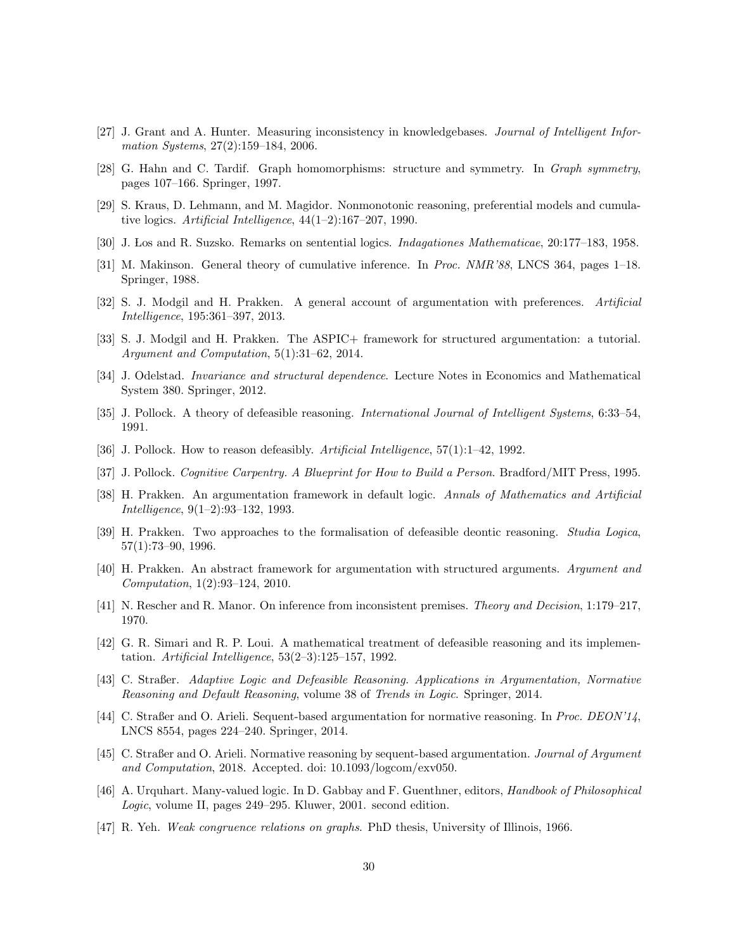- <span id="page-29-13"></span>[27] J. Grant and A. Hunter. Measuring inconsistency in knowledgebases. Journal of Intelligent Information Systems, 27(2):159–184, 2006.
- <span id="page-29-20"></span>[28] G. Hahn and C. Tardif. Graph homomorphisms: structure and symmetry. In Graph symmetry, pages 107–166. Springer, 1997.
- <span id="page-29-16"></span>[29] S. Kraus, D. Lehmann, and M. Magidor. Nonmonotonic reasoning, preferential models and cumulative logics. Artificial Intelligence, 44(1–2):167–207, 1990.
- <span id="page-29-14"></span>[30] J. Los and R. Suzsko. Remarks on sentential logics. Indagationes Mathematicae, 20:177–183, 1958.
- <span id="page-29-6"></span>[31] M. Makinson. General theory of cumulative inference. In Proc. NMR'88, LNCS 364, pages 1–18. Springer, 1988.
- <span id="page-29-3"></span>[32] S. J. Modgil and H. Prakken. A general account of argumentation with preferences. Artificial Intelligence, 195:361–397, 2013.
- <span id="page-29-4"></span>[33] S. J. Modgil and H. Prakken. The ASPIC+ framework for structured argumentation: a tutorial. Argument and Computation, 5(1):31–62, 2014.
- <span id="page-29-9"></span>[34] J. Odelstad. Invariance and structural dependence. Lecture Notes in Economics and Mathematical System 380. Springer, 2012.
- <span id="page-29-17"></span>[35] J. Pollock. A theory of defeasible reasoning. International Journal of Intelligent Systems, 6:33–54, 1991.
- <span id="page-29-0"></span>[36] J. Pollock. How to reason defeasibly. Artificial Intelligence, 57(1):1–42, 1992.
- <span id="page-29-18"></span>[37] J. Pollock. Cognitive Carpentry. A Blueprint for How to Build a Person. Bradford/MIT Press, 1995.
- <span id="page-29-19"></span>[38] H. Prakken. An argumentation framework in default logic. Annals of Mathematics and Artificial Intelligence, 9(1–2):93–132, 1993.
- <span id="page-29-1"></span>[39] H. Prakken. Two approaches to the formalisation of defeasible deontic reasoning. Studia Logica, 57(1):73–90, 1996.
- <span id="page-29-5"></span>[40] H. Prakken. An abstract framework for argumentation with structured arguments. Argument and Computation, 1(2):93–124, 2010.
- <span id="page-29-12"></span>[41] N. Rescher and R. Manor. On inference from inconsistent premises. Theory and Decision, 1:179–217, 1970.
- <span id="page-29-2"></span>[42] G. R. Simari and R. P. Loui. A mathematical treatment of defeasible reasoning and its implementation. Artificial Intelligence, 53(2–3):125–157, 1992.
- <span id="page-29-11"></span>[43] C. Straßer. Adaptive Logic and Defeasible Reasoning. Applications in Argumentation, Normative Reasoning and Default Reasoning, volume 38 of Trends in Logic. Springer, 2014.
- <span id="page-29-7"></span>[44] C. Straßer and O. Arieli. Sequent-based argumentation for normative reasoning. In Proc. DEON'14, LNCS 8554, pages 224–240. Springer, 2014.
- <span id="page-29-8"></span>[45] C. Straßer and O. Arieli. Normative reasoning by sequent-based argumentation. Journal of Argument and Computation, 2018. Accepted. doi: 10.1093/logcom/exv050.
- <span id="page-29-15"></span>[46] A. Urquhart. Many-valued logic. In D. Gabbay and F. Guenthner, editors, Handbook of Philosophical Logic, volume II, pages 249–295. Kluwer, 2001. second edition.
- <span id="page-29-10"></span>[47] R. Yeh. Weak congruence relations on graphs. PhD thesis, University of Illinois, 1966.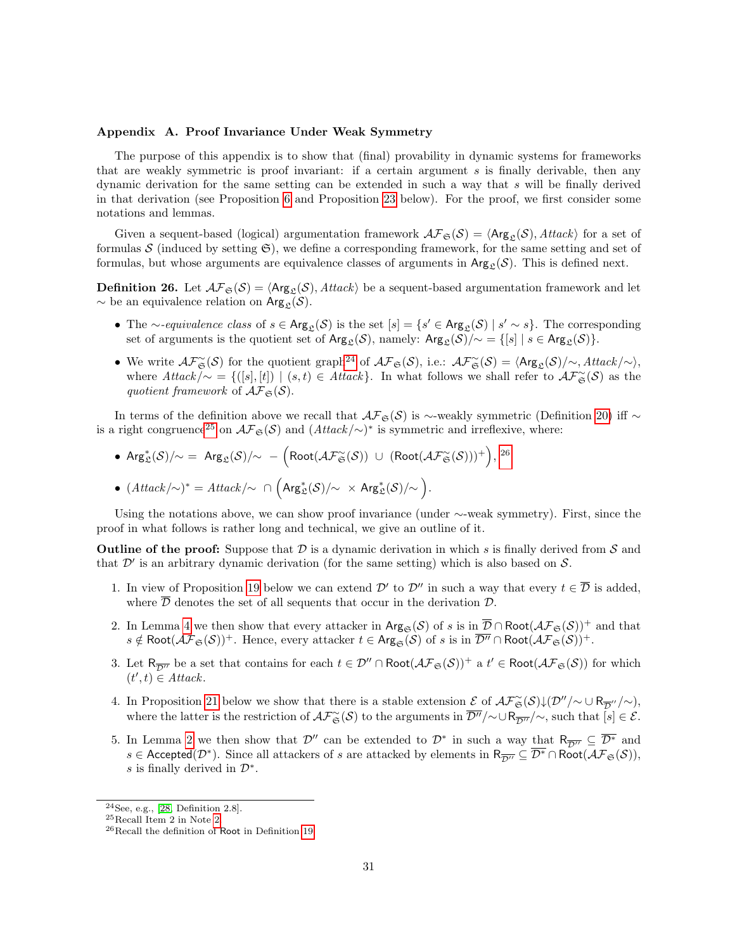### Appendix A. Proof Invariance Under Weak Symmetry

The purpose of this appendix is to show that (final) provability in dynamic systems for frameworks that are weakly symmetric is proof invariant: if a certain argument  $s$  is finally derivable, then any dynamic derivation for the same setting can be extended in such a way that s will be finally derived in that derivation (see Proposition [6](#page-18-0) and Proposition [23](#page-35-0) below). For the proof, we first consider some notations and lemmas.

Given a sequent-based (logical) argumentation framework  $\mathcal{AF}_{\mathfrak{S}}(\mathcal{S}) = \langle \mathsf{Arg}_{\mathfrak{L}}(\mathcal{S}), \mathcal{H} \mathcal{H} \mathcal{R} \mathcal{R} \rangle$  for a set of formulas  $S$  (induced by setting  $\mathfrak{S}$ ), we define a corresponding framework, for the same setting and set of formulas, but whose arguments are equivalence classes of arguments in  $\text{Arg}_{\mathfrak{L}}(\mathcal{S})$ . This is defined next.

**Definition 26.** Let  $\mathcal{AF}_{\mathfrak{S}}(\mathcal{S}) = \langle \mathsf{Arg}_{\mathfrak{L}}(\mathcal{S}), \mathit{Attack} \rangle$  be a sequent-based argumentation framework and let  $\sim$  be an equivalence relation on Arg<sub>c</sub>(S).

- The ∼-equivalence class of  $s \in \text{Arg}_{\mathfrak{L}}(\mathcal{S})$  is the set  $[s] = \{s' \in \text{Arg}_{\mathfrak{L}}(\mathcal{S}) \mid s' \sim s\}$ . The corresponding set of arguments is the quotient set of Arg<sub>L</sub>(S), namely: Arg<sub>L</sub>(S)/∼ = {[s] | s ∈ Arg<sub>L</sub>(S)}.
- We write  $\mathcal{AF}_{\mathfrak{S}}^{\sim}(\mathcal{S})$  for the quotient graph<sup>[24](#page-30-0)</sup> of  $\mathcal{AF}_{\mathfrak{S}}(\mathcal{S})$ , i.e.:  $\mathcal{AF}_{\mathfrak{S}}^{\sim}(\mathcal{S}) = \langle \text{Arg}_{\mathfrak{L}}(\mathcal{S})/\sim, \text{Attack}/\sim \rangle$ , where  $Attack \sim \sim \{([s], [t]) \mid (s, t) \in Attack\}$ . In what follows we shall refer to  $AF^{\sim}_{\mathfrak{S}}(S)$  as the quotient framework of  $\mathcal{AF}_{\mathfrak{S}}(\mathcal{S})$ .

In terms of the definition above we recall that  $\mathcal{AF}_{\mathfrak{S}}(\mathcal{S})$  is ∼-weakly symmetric (Definition [20\)](#page-17-1) iff ∼ is a right congruence<sup>[25](#page-30-1)</sup> on  $\mathcal{AF}_{\mathfrak{S}}(\mathcal{S})$  and  $(Attack/\sim)^*$  is symmetric and irreflexive, where:

• 
$$
Arg^*_{\mathfrak{L}}(\mathcal{S})/\sim
$$
 =  $Arg_{\mathfrak{L}}(\mathcal{S})/\sim$  -  $(Root(\mathcal{AF}_{\mathfrak{S}}^{\sim}(\mathcal{S})) \cup (Root(\mathcal{AF}_{\mathfrak{S}}^{\sim}(\mathcal{S})))^+),$ <sup>26</sup>

• 
$$
(Attack/\sim)^* = Attack/\sim \cap (Arg^*_{\mathfrak{L}}(\mathcal{S})/\sim \times Arg^*_{\mathfrak{L}}(\mathcal{S})/\sim).
$$

Using the notations above, we can show proof invariance (under ∼-weak symmetry). First, since the proof in what follows is rather long and technical, we give an outline of it.

**Outline of the proof:** Suppose that  $D$  is a dynamic derivation in which s is finally derived from  $S$  and that  $\mathcal{D}'$  is an arbitrary dynamic derivation (for the same setting) which is also based on  $\mathcal{S}$ .

- 1. In view of Proposition [19](#page-31-0) below we can extend  $\mathcal{D}'$  to  $\mathcal{D}''$  in such a way that every  $t \in \overline{\mathcal{D}}$  is added, where  $\overline{\mathcal{D}}$  denotes the set of all sequents that occur in the derivation  $\mathcal{D}$ .
- 2. In Lemma [4](#page-34-0) we then show that every attacker in  $\text{Arg}_{\mathfrak{S}}(\mathcal{S})$  of s is in  $\overline{\mathcal{D}} \cap \text{Root}(\mathcal{AF}_{\mathfrak{S}}(\mathcal{S}))^+$  and that  $s \notin \text{Root}(\mathcal{AF}_{\mathfrak{S}}(\mathcal{S}))^+$ . Hence, every attacker  $t \in \text{Arg}_{\mathfrak{S}}(\mathcal{S})$  of  $s$  is in  $\overline{\mathcal{D}''} \cap \text{Root}(\mathcal{AF}_{\mathfrak{S}}(\mathcal{S}))^+$ .
- 3. Let  $R_{\overline{\mathcal{D}''}}$  be a set that contains for each  $t \in \mathcal{D}'' \cap \text{Root}(\mathcal{AF}_{\mathfrak{S}}(\mathcal{S}))^+$  a  $t' \in \text{Root}(\mathcal{AF}_{\mathfrak{S}}(\mathcal{S}))$  for which  $(t',t) \in Attack.$
- 4. In Proposition [21](#page-32-0) below we show that there is a stable extension  $\mathcal E$  of  $\mathcal{AF}_{\mathfrak{S}}^{\sim}(\mathcal{S})\downarrow(\mathcal{D}''/\sim\cup\mathrm{R}_{\overline{\mathcal{D}}''}/\sim)$ , where the latter is the restriction of  $\mathcal{AF}_{\mathfrak{S}}^{\sim}(\mathcal{S})$  to the arguments in  $\overline{\mathcal{D}''}/\sim \cup R_{\overline{\mathcal{D}''}}/\sim$ , such that  $[s] \in \mathcal{E}$ .
- 5. In Lemma [2](#page-33-0) we then show that  $\mathcal{D}''$  can be extended to  $\mathcal{D}^*$  in such a way that  $R_{\overline{\mathcal{D}''}} \subseteq \overline{\mathcal{D}^*}$  and  $s \in \mathsf{Accepted}(\mathcal{D}^*)$ . Since all attackers of s are attacked by elements in  $\mathsf{R}_{\overline{\mathcal{D}''}} \subseteq \overline{\mathcal{D}^*} \cap \mathsf{Root}(\mathcal{AF}_{\mathfrak{S}}(\mathcal{S})),$ s is finally derived in  $\mathcal{D}^*$ .

<span id="page-30-0"></span> $24$ See, e.g., [\[28,](#page-29-20) Definition 2.8].

<span id="page-30-1"></span> $^{25}\rm{Recall}$  Item 2 in Note [2.](#page-7-1)

<span id="page-30-2"></span><sup>26</sup>Recall the definition of Root in Definition [19.](#page-17-5)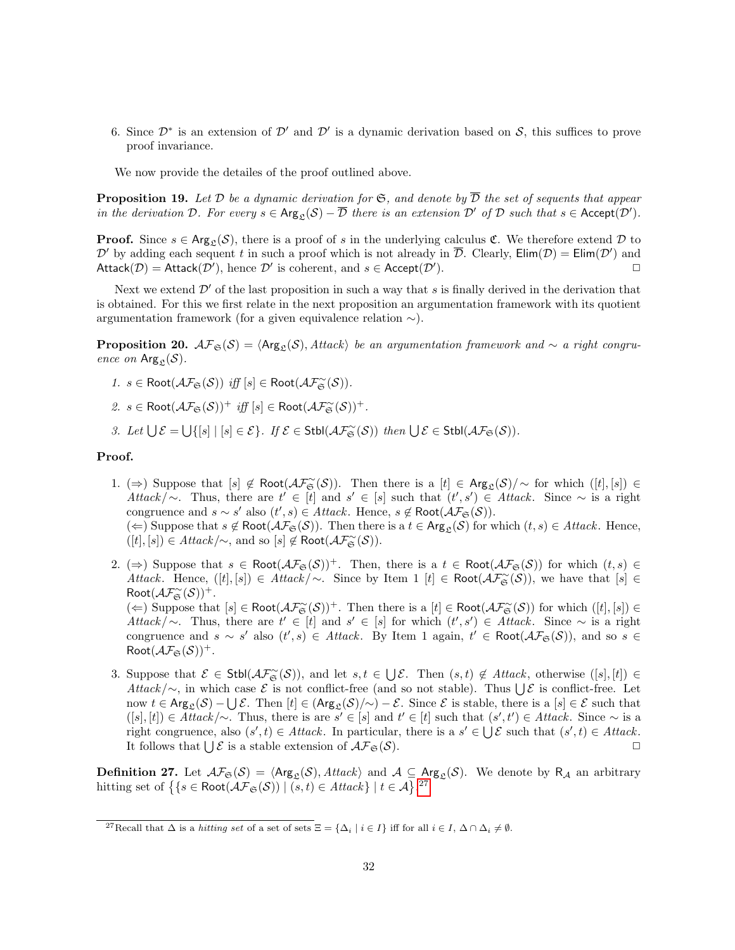6. Since  $\mathcal{D}^*$  is an extension of  $\mathcal{D}'$  and  $\mathcal{D}'$  is a dynamic derivation based on S, this suffices to prove proof invariance.

We now provide the detailes of the proof outlined above.

<span id="page-31-0"></span>**Proposition 19.** Let  $\mathcal{D}$  be a dynamic derivation for  $\mathfrak{S}$ , and denote by  $\overline{\mathcal{D}}$  the set of sequents that appear in the derivation D. For every  $s \in \text{Arg}_{\mathfrak{L}}(\mathcal{S}) - \overline{\mathcal{D}}$  there is an extension  $\mathcal{D}'$  of  $\mathcal D$  such that  $s \in \text{Accept}(\mathcal{D}').$ 

**Proof.** Since  $s \in \text{Arg}_{\mathcal{C}}(\mathcal{S})$ , there is a proof of s in the underlying calculus  $\mathfrak{C}$ . We therefore extend  $\mathcal{D}$  to  $\mathcal{D}'$  by adding each sequent t in such a proof which is not already in  $\overline{\mathcal{D}}$ . Clearly,  $\text{Elim}(\mathcal{D}) = \text{Elim}(\mathcal{D}')$  and  $\mathsf{Attack}(\mathcal{D}) = \mathsf{Attack}(\mathcal{D}'), \text{ hence } \mathcal{D}' \text{ is coherent, and } s \in \mathsf{Accept}(\mathcal{D}')$ ).  $\qquad \qquad \Box$ 

Next we extend  $\mathcal{D}'$  of the last proposition in such a way that s is finally derived in the derivation that is obtained. For this we first relate in the next proposition an argumentation framework with its quotient argumentation framework (for a given equivalence relation ∼).

<span id="page-31-3"></span>**Proposition 20.**  $\mathcal{AF}_{\mathfrak{S}}(\mathcal{S}) = \langle \mathsf{Arg}_{\mathfrak{S}}(\mathcal{S}), \mathit{Attack} \rangle$  be an argumentation framework and ∼ a right congruence on  $\text{Arg}_{\mathfrak{L}}(\mathcal{S})$ .

- 1.  $s \in \text{Root}(\mathcal{AF}_{\mathfrak{S}}(\mathcal{S}))$  iff  $[s] \in \text{Root}(\mathcal{AF}_{\mathfrak{S}}^{\sim}(\mathcal{S}))$ .
- 2.  $s \in \text{Root}(\mathcal{AF}_{\mathfrak{S}}(\mathcal{S}))^+$  iff  $[s] \in \text{Root}(\mathcal{AF}_{\mathfrak{S}}^{\sim}(\mathcal{S}))^+$ .
- 3. Let  $\bigcup \mathcal{E} = \bigcup \{ [s] \mid [s] \in \mathcal{E} \}$ . If  $\mathcal{E} \in \mathsf{Stbl}(\mathcal{AF}_{\mathfrak{S}}^{\sim}(\mathcal{S}))$  then  $\bigcup \mathcal{E} \in \mathsf{Stbl}(\mathcal{AF}_{\mathfrak{S}}(\mathcal{S}))$ .

# Proof.

- 1. (⇒) Suppose that  $[s] \notin \text{Root}(\mathcal{AF}_{\mathfrak{S}}^{\sim}(\mathcal{S}))$ . Then there is a  $[t] \in \text{Arg}_{\mathfrak{L}}(\mathcal{S})/\sim$  for which  $([t],[s]) \in$ Attack/∼. Thus, there are  $t' \in [t]$  and  $s' \in [s]$  such that  $(t', s') \in Attack$ . Since ~ is a right congruence and  $s \sim s'$  also  $(t', s) \in Attack$ . Hence,  $s \notin Root(\mathcal{AF}_{\mathfrak{S}}(\mathcal{S}))$ . (∈) Suppose that  $s \notin \text{Root}(\mathcal{AF}_{\mathfrak{S}}(\mathcal{S}))$ . Then there is a  $t \in \text{Arg}_{\mathfrak{L}}(\mathcal{S})$  for which  $(t, s) \in \text{Attack}$ . Hence,  $([t],[s]) \in \text{Attack}/\sim$ , and so  $[s] \notin \text{Root}(\mathcal{AF}_{\mathfrak{S}}^{\sim}(\mathcal{S}))$ .
- 2. ( $\Rightarrow$ ) Suppose that  $s \in \text{Root}(\mathcal{AF}_{\mathfrak{S}}(\mathcal{S}))^+$ . Then, there is a  $t \in \text{Root}(\mathcal{AF}_{\mathfrak{S}}(\mathcal{S}))$  for which  $(t, s) \in$ Attack. Hence,  $([t],[s]) \in Attack/\sim$ . Since by Item 1  $[t] \in Root(A\mathcal{F}_{\mathfrak{S}}(S))$ , we have that  $[s] \in$ Root $(\mathcal{AF}_{\mathfrak{S}}^{\sim}(\mathcal{S}))^+$ .  $(\Leftarrow)$  Suppose that  $[s] \in \text{Root}(\mathcal{AF}_{\mathfrak{S}}^{\sim}(\mathcal{S}))^+$ . Then there is a  $[t] \in \text{Root}(\mathcal{AF}_{\mathfrak{S}}^{\sim}(\mathcal{S}))$  for which  $([t],[s]) \in$ Attack/∼. Thus, there are  $t' \in [t]$  and  $s' \in [s]$  for which  $(t', s') \in Attack$ . Since ~ is a right congruence and  $s \sim s'$  also  $(t', s) \in Attack$ . By Item 1 again,  $t' \in Root(\mathcal{AF}_{\mathfrak{S}}(S))$ , and so  $s \in$ Root $(\mathcal{AF}_{\mathfrak{S}}(\mathcal{S}))^+$ .
- 3. Suppose that  $\mathcal{E} \in \text{Stbl}(\mathcal{AF}_{\mathfrak{S}}^{\sim}(\mathcal{S}))$ , and let  $s, t \in \bigcup \mathcal{E}$ . Then  $(s, t) \notin \text{Attack}$ , otherwise  $([s], [t]) \in$ Attack/ $\sim$ , in which case  $\mathcal E$  is not conflict-free (and so not stable). Thus  $\bigcup \mathcal E$  is conflict-free. Let now  $t \in \mathsf{Arg}_{\mathfrak{L}}(\mathcal{S}) - \bigcup \mathcal{E}$ . Then  $[t] \in (\mathsf{Arg}_{\mathfrak{L}}(\mathcal{S})/\sim) - \mathcal{E}$ . Since  $\mathcal{E}$  is stable, there is a  $[s] \in \mathcal{E}$  such that  $([s], [t]) \in Attack/\sim$ . Thus, there is are  $s' \in [s]$  and  $t' \in [t]$  such that  $(s', t') \in Attack$ . Since  $\sim$  is a right congruence, also  $(s', t) \in Attack$ . In particular, there is a  $s' \in \bigcup \mathcal{E}$  such that  $(s', t) \in Attack$ . It follows that  $\bigcup \mathcal{E}$  is a stable extension of  $\mathcal{AF}_{\mathfrak{S}}(\mathcal{S})$ .

<span id="page-31-2"></span>**Definition 27.** Let  $\mathcal{AF}_{\mathfrak{S}}(\mathcal{S}) = \langle \text{Arg}_{\mathfrak{L}}(\mathcal{S}), \text{Attrack} \rangle$  and  $\mathcal{A} \subseteq \text{Arg}_{\mathfrak{L}}(\mathcal{S})$ . We denote by  $R_{\mathcal{A}}$  an arbitrary hitting set of  $\{ \{ s \in \text{Root}(\mathcal{AF}_{\mathfrak{S}}(\mathcal{S})) \mid (s,t) \in Attack \} \mid t \in \mathcal{A} \}$ .<sup>[27](#page-31-1)</sup>

<span id="page-31-1"></span><sup>&</sup>lt;sup>27</sup>Recall that  $\Delta$  is a *hitting set* of a set of sets  $\Xi = {\Delta_i | i \in I}$  iff for all  $i \in I$ ,  $\Delta \cap \Delta_i \neq \emptyset$ .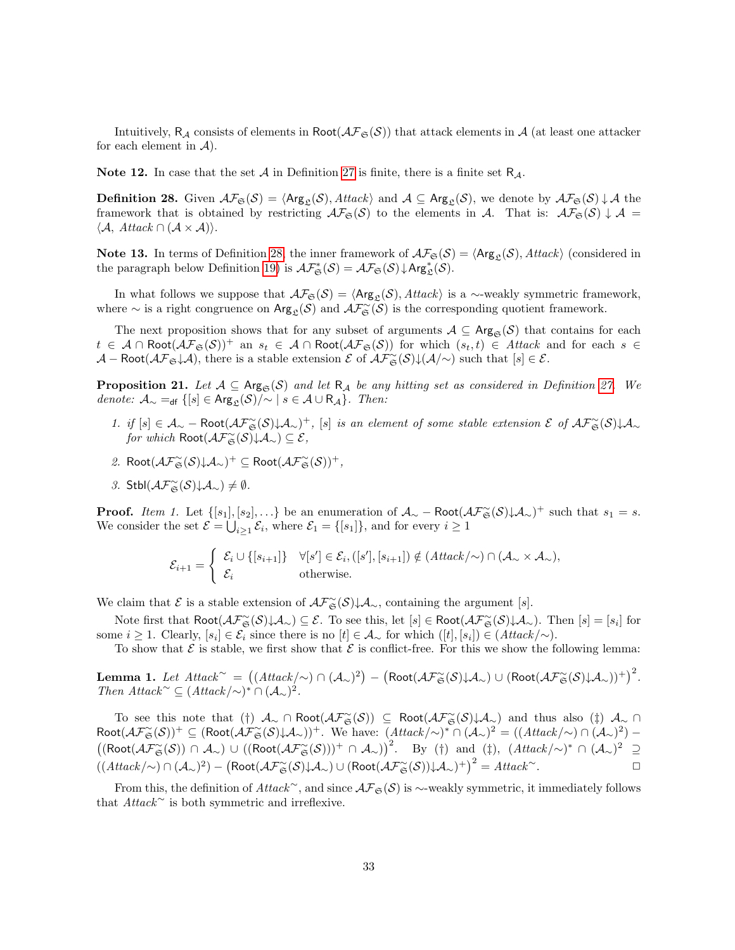Intuitively,  $R_A$  consists of elements in  $Root(\mathcal{AF}_{\mathfrak{S}}(\mathcal{S}))$  that attack elements in A (at least one attacker for each element in  $\mathcal{A}$ ).

<span id="page-32-2"></span>Note 12. In case that the set A in Definition [27](#page-31-2) is finite, there is a finite set  $R_A$ .

<span id="page-32-1"></span>**Definition 28.** Given  $\mathcal{AF}_{\mathfrak{S}}(\mathcal{S}) = \langle \mathsf{Arg}_{\mathfrak{L}}(\mathcal{S}), \mathit{Attack} \rangle$  and  $\mathcal{A} \subseteq \mathsf{Arg}_{\mathfrak{L}}(\mathcal{S})$ , we denote by  $\mathcal{AF}_{\mathfrak{S}}(\mathcal{S}) \downarrow \mathcal{A}$  the framework that is obtained by restricting  $\mathcal{AF}_{\mathfrak{S}}(\mathcal{S})$  to the elements in A. That is:  $\mathcal{AF}_{\mathfrak{S}}(\mathcal{S})\downarrow\mathcal{A}$  $\langle A, \text{ Attack} \cap (A \times A) \rangle$ .

**Note 13.** In terms of Definition [28,](#page-32-1) the inner framework of  $\mathcal{AF}_{\mathfrak{S}}(\mathcal{S}) = \langle \mathsf{Arg}_{\mathfrak{L}}(\mathcal{S}), \mathcal{H} \mathcal{H} \mathcal{R} \mathcal{R} \rangle$  (considered in the paragraph below Definition [19\)](#page-17-5) is  $\mathcal{AF}_{\mathfrak{S}}^*(\mathcal{S}) = \mathcal{AF}_{\mathfrak{S}}(\mathcal{S}) \downarrow \mathsf{Arg}_{\mathfrak{L}}^*(\mathcal{S})$ .

In what follows we suppose that  $\mathcal{AF}_{\mathfrak{S}}(\mathcal{S}) = \langle \mathsf{Arg}_{\mathfrak{L}}(\mathcal{S}), \mathit{Attack} \rangle$  is a ∼-weakly symmetric framework, where  $\sim$  is a right congruence on Arg<sub>c</sub>(S) and  $\mathcal{AF}_{\mathfrak{S}}^{\sim}(\mathcal{S})$  is the corresponding quotient framework.

The next proposition shows that for any subset of arguments  $A \subseteq \text{Arg}_{\mathfrak{S}}(\mathcal{S})$  that contains for each  $t \in A \cap \text{Root}(\mathcal{AF}_{\mathfrak{S}}(S))^+$  an  $s_t \in A \cap \text{Root}(\mathcal{AF}_{\mathfrak{S}}(S))$  for which  $(s_t, t) \in \text{Attack}$  and for each  $s \in A$  $\mathcal{A} - \mathsf{Root}(\mathcal{AF}_{\mathfrak{S}} \downarrow \mathcal{A}),$  there is a stable extension  $\mathcal{E}$  of  $\mathcal{AF}_{\mathfrak{S}}^{\sim}(\mathcal{S}) \downarrow (\mathcal{A}/\sim)$  such that  $[s] \in \mathcal{E}.$ 

<span id="page-32-0"></span>**Proposition 21.** Let  $A \subseteq \text{Arg}_{\mathfrak{S}}(\mathcal{S})$  and let  $R_A$  be any hitting set as considered in Definition [27.](#page-31-2) We denote:  $\mathcal{A}_{\sim} =_{df} \{ [s] \in \text{Arg}_{\mathfrak{L}}(\mathcal{S})/\sim | s \in \mathcal{A} \cup \mathsf{R}_{\mathcal{A}} \}$ . Then:

- 1. if  $[s] \in A_{\sim} \text{Root}(A\mathcal{F}_{\mathfrak{S}}^{\sim}(\mathcal{S})\downarrow A_{\sim})^+$ ,  $[s]$  is an element of some stable extension  $\mathcal{E}$  of  $A\mathcal{F}_{\mathfrak{S}}^{\sim}(\mathcal{S})\downarrow A_{\sim}$ for which  $\mathsf{Root}(\mathcal{AF}_{\mathfrak{S}}^{\sim}(\mathcal{S}){\downarrow} \mathcal{A}_{\sim})\subseteq \mathcal{E},$
- 2. Root $(\mathcal{AF}_{\mathfrak{S}}^{\sim}(\mathcal{S}){\downarrow}\mathcal{A}_{\sim})^{+} \subseteq \mathsf{Root}(\mathcal{AF}_{\mathfrak{S}}^{\sim}(\mathcal{S}))^{+},$
- 3. Stbl $(\mathcal{AF}_{\mathfrak{S}}^{\sim}(\mathcal{S})\downarrow\mathcal{A}_{\sim})\neq\emptyset$ .

**Proof.** Item 1. Let  $\{[s_1], [s_2], ...\}$  be an enumeration of  $\mathcal{A}_{\sim} - \text{Root}(\mathcal{AF}_{\mathfrak{S}}^{\sim}(\mathcal{S})\downarrow\mathcal{A}_{\sim})^+$  such that  $s_1 = s$ . We consider the set  $\mathcal{E} = \bigcup_{i \geq 1} \mathcal{E}_i$ , where  $\mathcal{E}_1 = \{ [s_1] \}$ , and for every  $i \geq 1$ 

$$
\mathcal{E}_{i+1} = \begin{cases} \mathcal{E}_i \cup \{ [s_{i+1}] \} & \forall [s'] \in \mathcal{E}_i, ([s'], [s_{i+1}]) \notin (Attack/\sim) \cap (\mathcal{A}_{\sim} \times \mathcal{A}_{\sim}), \\ \mathcal{E}_i & \text{otherwise.} \end{cases}
$$

We claim that  $\mathcal E$  is a stable extension of  $\mathcal{AF}_{\mathfrak{S}}^{\sim}(\mathcal{S})\downarrow\mathcal{A}_{\sim}$ , containing the argument [s].

Note first that  $Root(\mathcal{AF}_{\mathfrak{S}}^{\sim}(\mathcal{S})\downarrow\mathcal{A}_{\sim})\subseteq \mathcal{E}$ . To see this, let  $[s] \in Root(\mathcal{AF}_{\mathfrak{S}}^{\sim}(\mathcal{S})\downarrow\mathcal{A}_{\sim})$ . Then  $[s] = [s_i]$  for some  $i \geq 1$ . Clearly,  $[s_i] \in \mathcal{E}_i$  since there is no  $[t] \in \mathcal{A}_{\sim}$  for which  $([t], [s_i]) \in (Attack/\sim)$ .

To show that  $\mathcal E$  is stable, we first show that  $\mathcal E$  is conflict-free. For this we show the following lemma:

Lemma 1. Let  $\textit{Attack}^{\sim} = \left((\textit{Attack}/\sim) \cap (\mathcal{A}_{\sim})^2\right) - \left(\textsf{Root}(\mathcal{AF}_{\mathfrak{S}}^{\sim}(\mathcal{S}){\downarrow}\mathcal{A}_{\sim}) \cup (\textsf{Root}(\mathcal{AF}_{\mathfrak{S}}^{\sim}(\mathcal{S}){\downarrow}\mathcal{A}_{\sim}))^{+}\right)^2$ . Then  $Attack^{\sim} \subseteq (Attack/\sim)^* \cap (A_{\sim})^2$ .

To see this note that (†)  $\mathcal{A}_{\sim} \cap \text{Root}(\mathcal{AF}_{\mathfrak{S}}^{\sim}(\mathcal{S}) \cup \mathcal{A}_{\sim})$  and thus also (‡)  $\mathcal{A}_{\sim} \cap$  $\text{Root}(\mathcal{AF}_{\mathfrak{S}}(\mathcal{S}))^+\subseteq (\text{Root}(\mathcal{AF}_{\mathfrak{S}}(\mathcal{S})\downarrow\mathcal{A}_{\sim}))^+\$ . We have:  $(Attack/\sim)^*\cap(\mathcal{A}_{\sim})^2=((Attack/\sim)\cap(\mathcal{A}_{\sim})^2)$  $((Root(\mathcal{AF}_{\mathfrak{S}}(S)) \cap \mathcal{A}_{\sim}) \cup ((Root(\mathcal{AF}_{\mathfrak{S}}(S)))^{+} \cap \mathcal{A}_{\sim}))^{2}$ . By (†) and (‡),  $(Attack/\sim)^{*} \cap (\mathcal{A}_{\sim})^{2} \supseteq$  $((Attack/∼) ∩ (A_⟩^2) - (Root(A\mathcal{F}_{\mathfrak{S}}^{\sim}(\mathcal{S}){\downarrow}A_⟩) ∪ (Root(A\mathcal{F}_{\mathfrak{S}}^{\sim}(\mathcal{S})){\downarrow}A_⟩)^+ )^2 = Attack^\sim.$ 

From this, the definition of Attack<sup>∼</sup>, and since  $\mathcal{AF}_{\mathfrak{S}}(\mathcal{S})$  is ∼-weakly symmetric, it immediately follows that  $Attack^{\sim}$  is both symmetric and irreflexive.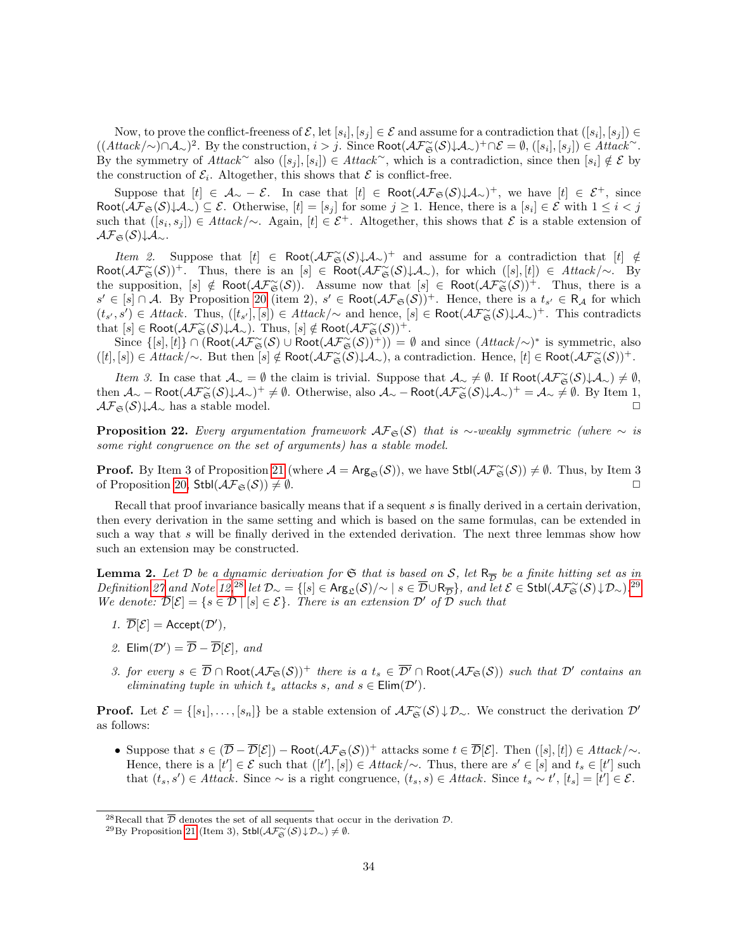Now, to prove the conflict-freeness of  $\mathcal{E}$ , let  $[s_i], [s_j] \in \mathcal{E}$  and assume for a contradiction that  $([s_i], [s_j]) \in$  $((Attack/\sim) \cap A_{\sim})^2$ . By the construction,  $i > j$ . Since  $Root(\mathcal{AF}_{\mathfrak{S}}(S)\downarrow \mathcal{A}_{\sim})^+\cap \mathcal{E}=\emptyset$ ,  $([s_i], [s_j])\in Attack^{\sim}$ . By the symmetry of  $Attack^{\sim}$  also  $([s_j], [s_i]) \in Attack^{\sim}$ , which is a contradiction, since then  $[s_i] \notin \mathcal{E}$  by the construction of  $\mathcal{E}_i$ . Altogether, this shows that  $\mathcal E$  is conflict-free.

Suppose that  $[t] \in \mathcal{A}_{\sim} - \mathcal{E}$ . In case that  $[t] \in \text{Root}(\mathcal{AF}_{\mathfrak{S}}(\mathcal{S})\downarrow\mathcal{A}_{\sim})^+$ , we have  $[t] \in \mathcal{E}^+$ , since Root $(\mathcal{AF}_{\mathfrak{S}}(\mathcal{S})\downarrow\mathcal{A}_{\sim})\subseteq \mathcal{E}$ . Otherwise,  $[t]=[s_j]$  for some  $j\geq 1$ . Hence, there is a  $[s_i]\in \mathcal{E}$  with  $1\leq i< j$ such that  $([s_i, s_j]) \in Attack/\sim$ . Again,  $[t] \in \mathcal{E}^+$ . Altogether, this shows that  $\mathcal E$  is a stable extension of  $\mathcal{AF}_{\mathfrak{S}}(\mathcal{S})\downarrow\mathcal{A}_{\sim}.$ 

*Item 2.* Suppose that  $[t] \in \text{Root}(\mathcal{AF}_{\mathfrak{S}}^{\sim}(\mathcal{S})\downarrow\mathcal{A}_{\sim})^+$  and assume for a contradiction that  $[t] \notin$  $\text{Root}(\mathcal{AF}_{\mathfrak{S}}^{\sim}(\mathcal{S}))^+$ . Thus, there is an  $[s] \in \text{Root}(\mathcal{AF}_{\mathfrak{S}}^{\sim}(\mathcal{S})\downarrow\mathcal{A}_{\sim})$ , for which  $([s], [t]) \in \text{Attack}/\sim$ . By the supposition,  $[s] \notin \text{Root}(\mathcal{AF}_{\mathfrak{S}}^{\sim}(\mathcal{S}))$ . Assume now that  $[s] \in \text{Root}(\mathcal{AF}_{\mathfrak{S}}^{\sim}(\mathcal{S}))^{\perp}$ . Thus, there is a  $s' \in [s] \cap A$ . By Proposition [20](#page-31-3) (item 2),  $s' \in \text{Root}(\mathcal{AF}_{\mathfrak{S}}(\mathcal{S}))^+$ . Hence, there is a  $t_{s'} \in \mathsf{R}_{\mathcal{A}}$  for which  $(t_{s'}, s') \in \text{Attack. Thus, } ([t_{s'}], [s]) \in \text{Attack}/\sim \text{ and hence, } [s] \in \text{Root}(\mathcal{AF}_{\mathfrak{S}}(S) \downarrow \mathcal{A}_{\sim})^+$ . This contradicts that  $[s] \in \text{Root}(\mathcal{AF}_{\mathfrak{S}}^{\sim}(\mathcal{S})\downarrow \mathcal{A}_{\sim})$ . Thus,  $[s] \notin \text{Root}(\mathcal{AF}_{\mathfrak{S}}^{\sim}(\mathcal{S}))^{+}$ .

Since  $\{[s], [t]\} \cap (\text{Root}(\mathcal{AF}_{\mathfrak{S}}^{\sim}(\mathcal{S}) \cup \text{Root}(\mathcal{AF}_{\mathfrak{S}}^{\sim}(\mathcal{S}))^{+})) = \emptyset$  and since  $(\text{Attack}/\sim)^{*}$  is symmetric, also  $([t], [s]) \in \text{Attack}/\sim.$  But then  $[s] \notin \text{Root}(\mathcal{AF}_{\mathfrak{S}}(S) \downarrow \mathcal{A}_{\sim})$ , a contradiction. Hence,  $[t] \in \text{Root}(\mathcal{AF}_{\mathfrak{S}}(S))^+.$ 

*Item 3.* In case that  $\mathcal{A}_{\sim} = \emptyset$  the claim is trivial. Suppose that  $\mathcal{A}_{\sim} \neq \emptyset$ . If Root $(\mathcal{AF}_{\mathfrak{S}}^{\sim}(\mathcal{S})\downarrow\mathcal{A}_{\sim}) \neq \emptyset$ , then  $\mathcal{A}_{\sim} - \text{Root}(\mathcal{AF}_{\mathfrak{S}}^{\sim}(\mathcal{S})\downarrow\mathcal{A}_{\sim})^{+} \neq \emptyset$ . Otherwise, also  $\mathcal{A}_{\sim} - \text{Root}(\mathcal{AF}_{\mathfrak{S}}^{\sim}(\mathcal{S})\downarrow\mathcal{A}_{\sim})^{+} = \mathcal{A}_{\sim} \neq \emptyset$ . By Item 1,  $\mathcal{AF}_{\mathfrak{S}}(\mathcal{S})\downarrow\mathcal{A}_{\sim}$  has a stable model.

**Proposition 22.** Every argumentation framework  $\mathcal{AF}_\mathfrak{S}(\mathcal{S})$  that is ∼-weakly symmetric (where ∼ is some right congruence on the set of arguments) has a stable model.

**Proof.** By Item 3 of Proposition [21](#page-32-0) (where  $\mathcal{A} = \text{Arg}_{\mathfrak{S}}(\mathcal{S})$ ), we have  $\text{Stbl}(\mathcal{AF}_{\mathfrak{S}}^{\sim}(\mathcal{S})) \neq \emptyset$ . Thus, by Item 3 of Proposition [20,](#page-31-3)  $\text{Stb}(\mathcal{AF}_{\mathfrak{S}}(\mathcal{S})) \neq \emptyset$ .

Recall that proof invariance basically means that if a sequent s is finally derived in a certain derivation, then every derivation in the same setting and which is based on the same formulas, can be extended in such a way that s will be finally derived in the extended derivation. The next three lemmas show how such an extension may be constructed.

<span id="page-33-0"></span>**Lemma 2.** Let D be a dynamic derivation for  $\mathfrak{S}$  that is based on S, let  $\mathsf{R}_{\overline{D}}$  be a finite hitting set as in Definition [27](#page-31-2) and Note  $12,2^8$  let  $\mathcal{D}_{\sim} = \{ [s] \in \text{Arg}_{\mathfrak{L}}(\mathcal{S})/\sim \mid s \in \overline{\mathcal{D}} \cup \mathsf{R}_{\overline{\mathcal{D}}} \}$ , and let  $\mathcal{E} \in \text{Stbl}(\mathcal{AF}_{\mathfrak{S}}^{\sim}(\mathcal{S}) \downarrow \mathcal{D}_{\sim})$ .<sup>[29](#page-33-2)</sup> We denote:  $\overline{\mathcal{D}}[\mathcal{E}] = \{s \in \overline{\mathcal{D}} \mid [s] \in \mathcal{E}\}.$  There is an extension  $\mathcal{D}'$  of  $\overline{\mathcal{D}}$  such that

- 1.  $\overline{\mathcal{D}}[\mathcal{E}] = \text{Accept}(\mathcal{D}'),$
- 2. Elim $(\mathcal{D}') = \overline{\mathcal{D}} \overline{\mathcal{D}}[\mathcal{E}]$ , and
- 3. for every  $s \in \overline{\mathcal{D}} \cap \text{Root}(\mathcal{AF}_{\mathfrak{S}}(\mathcal{S}))$ <sup>+</sup> there is a  $t_s \in \overline{\mathcal{D}'} \cap \text{Root}(\mathcal{AF}_{\mathfrak{S}}(\mathcal{S}))$  such that  $\mathcal{D}'$  contains an eliminating tuple in which  $t_s$  attacks  $s$ , and  $s \in \text{Elim}(\mathcal{D}')$ .

**Proof.** Let  $\mathcal{E} = \{ [s_1], \ldots, [s_n] \}$  be a stable extension of  $\mathcal{AF}_{\mathfrak{S}}^{\sim}(\mathcal{S}) \downarrow \mathcal{D}_{\sim}$ . We construct the derivation  $\mathcal{D}'$ as follows:

• Suppose that  $s \in (\overline{\mathcal{D}} - \overline{\mathcal{D}}[\mathcal{E}])$  – Root $(\mathcal{AF}_{\mathfrak{S}}(\mathcal{S}))^+$  attacks some  $t \in \overline{\mathcal{D}}[\mathcal{E}]$ . Then  $([s], [t]) \in Attack/\sim$ . Hence, there is a  $[t'] \in \mathcal{E}$  such that  $([t'], [s]) \in \text{Attack}/\sim$ . Thus, there are  $s' \in [s]$  and  $t_s \in [t']$  such that  $(t_s, s') \in Attack$ . Since  $\sim$  is a right congruence,  $(t_s, s) \in Attack$ . Since  $t_s \sim t'$ ,  $[t_s] = [t'] \in \mathcal{E}$ .

<span id="page-33-1"></span><sup>&</sup>lt;sup>28</sup>Recall that  $\overline{\mathcal{D}}$  denotes the set of all sequents that occur in the derivation  $\mathcal{D}$ .

<span id="page-33-2"></span><sup>&</sup>lt;sup>29</sup>By Proposition [21](#page-32-0) (Item 3), Stbl $(\mathcal{AF}_{\mathfrak{S}}^{\sim}(\mathcal{S})\downarrow\mathcal{D}_{\sim})\neq\emptyset$ .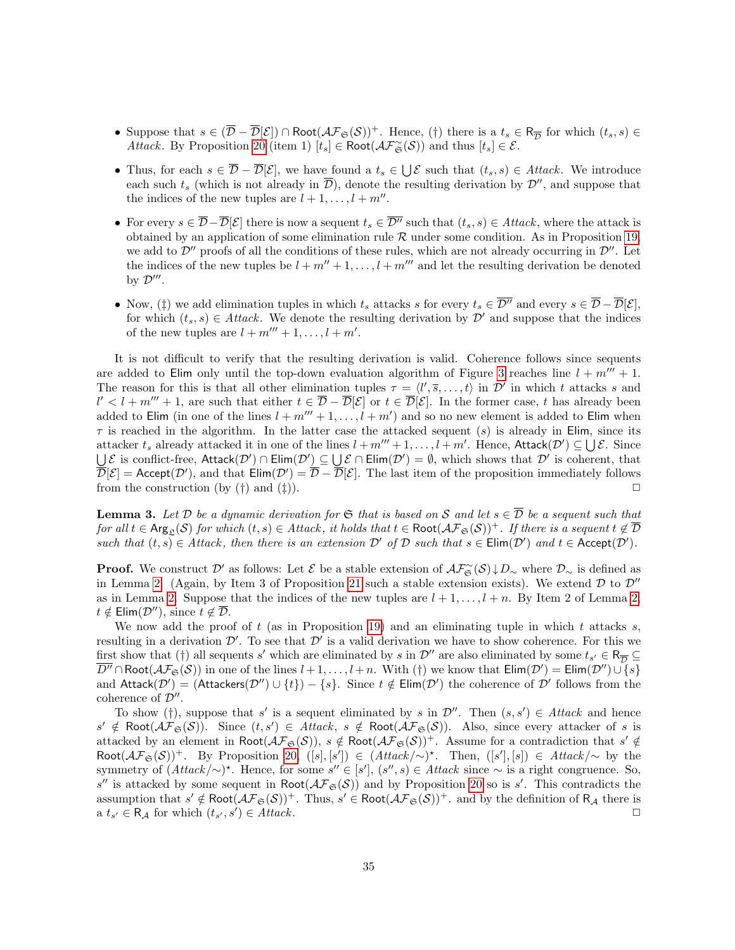- Suppose that  $s \in (\overline{\mathcal{D}} \overline{\mathcal{D}}[\mathcal{E}]) \cap \text{Root}(\mathcal{AF}_{\mathfrak{S}}(\mathcal{S}))^+$ . Hence, (†) there is a  $t_s \in \mathsf{R}_{\overline{\mathcal{D}}}$  for which  $(t_s, s) \in$ Attack. By Proposition [20](#page-31-3) (item 1)  $[t_s] \in \text{Root}(\mathcal{AF}_{\mathfrak{S}}(S))$  and thus  $[t_s] \in \mathcal{E}$ .
- Thus, for each  $s \in \overline{\mathcal{D}} \overline{\mathcal{D}}[\mathcal{E}]$ , we have found a  $t_s \in \bigcup \mathcal{E}$  such that  $(t_s, s) \in \mathit{Attack}$ . We introduce each such  $t_s$  (which is not already in  $\overline{\mathcal{D}}$ ), denote the resulting derivation by  $\mathcal{D}''$ , and suppose that the indices of the new tuples are  $l + 1, \ldots, l + m''$ .
- For every  $s \in \overline{\mathcal{D}} \overline{\mathcal{D}}[\mathcal{E}]$  there is now a sequent  $t_s \in \overline{\mathcal{D}''}$  such that  $(t_s, s) \in \mathcal{A}$  that  $k$ , where the attack is obtained by an application of some elimination rule  $\mathcal R$  under some condition. As in Proposition [19,](#page-31-0) we add to  $\mathcal{D}''$  proofs of all the conditions of these rules, which are not already occurring in  $\mathcal{D}''$ . Let the indices of the new tuples be  $l + m'' + 1, \ldots, l + m''$  and let the resulting derivation be denoted by  $\mathcal{D}'''$ .
- Now, ( $\ddagger$ ) we add elimination tuples in which  $t_s$  attacks s for every  $t_s \in \overline{\mathcal{D}}^{\prime\prime}$  and every  $s \in \overline{\mathcal{D}} \overline{\mathcal{D}}[\mathcal{E}]$ , for which  $(t_s, s) \in Attack$ . We denote the resulting derivation by  $\mathcal{D}'$  and suppose that the indices of the new tuples are  $l + m^{\prime\prime\prime} + 1, \ldots, l + m^{\prime}$ .

It is not difficult to verify that the resulting derivation is valid. Coherence follows since sequents are added to Elim only until the top-down evaluation algorithm of Figure [3](#page-10-0) reaches line  $l + m^{\prime\prime\prime} + 1$ . The reason for this is that all other elimination tuples  $\tau = \langle l', \overline{s}, \ldots, t \rangle$  in  $\mathcal{D}'$  in which t attacks s and  $l' < l + m''' + 1$ , are such that either  $t \in \overline{\mathcal{D}} - \overline{\mathcal{D}}[\mathcal{E}]$  or  $t \in \overline{\mathcal{D}}[\mathcal{E}]$ . In the former case, t has already been added to Elim (in one of the lines  $l + m''' + 1, \ldots, l + m'$ ) and so no new element is added to Elim when  $\tau$  is reached in the algorithm. In the latter case the attacked sequent (s) is already in Elim, since its attacker  $t_s$  already attacked it in one of the lines  $l + m''' + 1, \ldots, l + m'$ . Hence, Attack $(\mathcal{D}') \subseteq \bigcup \mathcal{E}$ . Since  $\bigcup \mathcal{E}$  is conflict-free, Attack $(\mathcal{D}') \cap \mathsf{Elim}(\mathcal{D}') \subseteq \bigcup \mathcal{E} \cap \mathsf{Elim}(\mathcal{D}') = \emptyset$ , which shows that  $\mathcal{D}'$  is coherent, that  $\overline{\mathcal{D}}[\mathcal{E}]$  = Accept( $\mathcal{D}'$ ), and that  $\textsf{Elim}(\mathcal{D}') = \overline{\mathcal{D}} - \overline{\mathcal{D}}[\mathcal{E}]$ . The last item of the proposition immediately follows from the construction (by  $(\dagger)$  and  $(\dagger)$ ).

<span id="page-34-1"></span>**Lemma 3.** Let  $D$  be a dynamic derivation for  $\mathfrak{S}$  that is based on S and let  $s \in \overline{D}$  be a sequent such that for all  $t \in \text{Arg}_{\mathcal{L}}(\mathcal{S})$  for which  $(t, s) \in \text{Attack},$  it holds that  $t \in \text{Root}(\mathcal{AF}_{\mathfrak{S}}(\mathcal{S}))^+$ . If there is a sequent  $t \notin \overline{\mathcal{D}}$ such that  $(t, s) \in$  Attack, then there is an extension  $\mathcal{D}'$  of  $\mathcal D$  such that  $s \in \text{Elim}(\mathcal{D}')$  and  $t \in \text{Accept}(\mathcal{D}')$ .

**Proof.** We construct  $\mathcal{D}'$  as follows: Let  $\mathcal{E}$  be a stable extension of  $\mathcal{AF}_{\mathfrak{S}}^{\sim}(\mathcal{S})\downarrow D_{\sim}$  where  $\mathcal{D}_{\sim}$  is defined as in Lemma [2.](#page-33-0) (Again, by Item 3 of Proposition [21](#page-32-0) such a stable extension exists). We extend  $\mathcal D$  to  $\mathcal D''$ as in Lemma [2.](#page-33-0) Suppose that the indices of the new tuples are  $l + 1, \ldots, l + n$ . By Item 2 of Lemma [2,](#page-33-0)  $t \notin \textsf{Elim}(\mathcal{D}'')$ , since  $t \notin \overline{\mathcal{D}}$ .

We now add the proof of  $t$  (as in Proposition [19\)](#page-31-0) and an eliminating tuple in which  $t$  attacks  $s$ , resulting in a derivation  $\mathcal{D}'$ . To see that  $\mathcal{D}'$  is a valid derivation we have to show coherence. For this we first show that (†) all sequents s' which are eliminated by s in  $\mathcal{D}''$  are also eliminated by some  $t_{s'} \in \mathsf{R}_{\overline{\mathcal{D}}} \subseteq$  $\overline{D''}\cap \text{Root}(\mathcal{AF}_{\mathfrak{S}}(\mathcal{S}))$  in one of the lines  $l+1,\ldots,l+n$ . With  $(\dagger)$  we know that  $\textsf{Elim}(\mathcal{D'})=\textsf{Elim}(\mathcal{D'})\cup\{s\}$ and  $Attack(\mathcal{D}') = (Attacker(\mathcal{D}'') \cup \{t\}) - \{s\}.$  Since  $t \notin \text{Elim}(\mathcal{D}')$  the coherence of  $\mathcal{D}'$  follows from the coherence of  $\mathcal{D}^{\prime\prime}$ .

<span id="page-34-0"></span>To show (†), suppose that s' is a sequent eliminated by s in  $\mathcal{D}''$ . Then  $(s, s') \in Attack$  and hence  $s' \notin \text{Root}(\mathcal{AF}_{\mathfrak{S}}(\mathcal{S}))$ . Since  $(t, s') \in Attack, s \notin \text{Root}(\mathcal{AF}_{\mathfrak{S}}(\mathcal{S}))$ . Also, since every attacker of s is attacked by an element in  $Root(\mathcal{AF}_{\mathfrak{S}}(\mathcal{S}))$ ,  $s \notin Root(\mathcal{AF}_{\mathfrak{S}}(\mathcal{S}))$ <sup>+</sup>. Assume for a contradiction that  $s' \notin$  $Root(\mathcal{AF}_{\mathfrak{S}}(\mathcal{S}))^{+}$ . By Proposition [20,](#page-31-3)  $([s],[s']) \in (Attack/\sim)^{\star}$ . Then,  $([s'],[s]) \in Attack/\sim$  by the symmetry of  $(Attack/\sim)^{\star}$ . Hence, for some s'' ∈ [s'],  $(s'', s) \in Attack$  since  $\sim$  is a right congruence. So, s'' is attacked by some sequent in  $Root(\mathcal{AF}_{\mathfrak{S}}(\mathcal{S}))$  and by Proposition [20](#page-31-3) so is s'. This contradicts the assumption that  $s' \notin \text{Root}(\mathcal{AF}_{\mathfrak{S}}(\mathcal{S}))^+$ . Thus,  $s' \in \text{Root}(\mathcal{AF}_{\mathfrak{S}}(\mathcal{S}))^+$ . and by the definition of  $R_{\mathcal{A}}$  there is  $a \, t_{s'} \in \mathsf{R}_\mathcal{A}$  for which  $(t_{s'}, s') \in \mathit{Attack}.$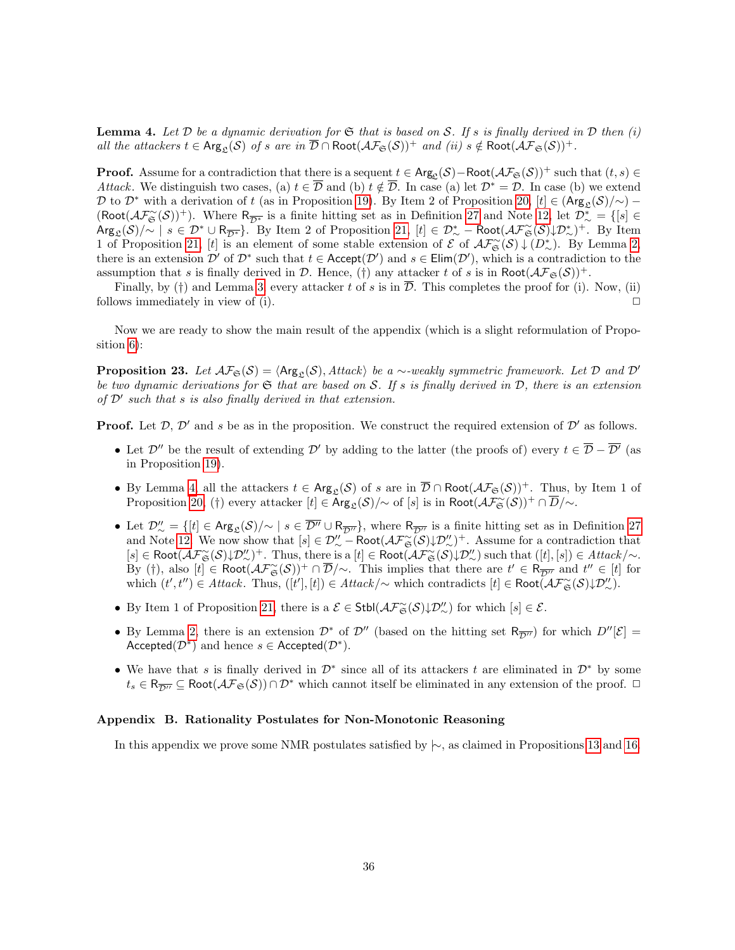**Lemma 4.** Let D be a dynamic derivation for  $\mathfrak{S}$  that is based on S. If s is finally derived in D then (i) all the attackers  $t \in \text{Arg}_{\mathcal{S}}(\mathcal{S})$  of s are in  $\overline{\mathcal{D}} \cap \text{Root}(\mathcal{AF}_{\mathfrak{S}}(\mathcal{S}))^+$  and (ii)  $s \notin \text{Root}(\mathcal{AF}_{\mathfrak{S}}(\mathcal{S}))^+$ .

**Proof.** Assume for a contradiction that there is a sequent  $t \in \text{Arg}_{\mathcal{C}}(\mathcal{S})-\text{Root}(\mathcal{AF}_{\mathfrak{S}}(\mathcal{S}))^+$  such that  $(t, s) \in$ Attack. We distinguish two cases, (a)  $t \in \overline{\mathcal{D}}$  and (b)  $t \notin \overline{\mathcal{D}}$ . In case (a) let  $\mathcal{D}^* = \mathcal{D}$ . In case (b) we extend D to D<sup>∗</sup> with a derivation of t (as in Proposition [19\)](#page-31-0). By Item 2 of Proposition [20,](#page-31-3)  $[t] \in (\text{Arg}_{\mathcal{R}}(\mathcal{S})/\sim)$  –  $(Root(\mathcal{AF}_{\mathfrak{S}}(S))^+)$ . Where  $R_{\overline{\mathcal{D}^*}}$  is a finite hitting set as in Definition [27](#page-31-2) and Note [12,](#page-32-2) let  $\mathcal{D}_{\sim}^* = \{[s] \in \mathcal{D}_{\sim}^* \}$  $Arg_{\mathfrak{L}}(\mathcal{S})/\sim |s \in \mathcal{D}^* \cup R_{\overline{\mathcal{D}^*}}\}.$  By Item 2 of Proposition [21,](#page-32-0)  $[t] \in \mathcal{D}^*_{\sim} - \text{Root}(\mathcal{AF}_{\mathfrak{S}}(S) \downarrow \mathcal{D}^*_{\sim})^+$ . By Item 1 of Proposition [21,](#page-32-0) [t] is an element of some stable extension of  $\mathcal E$  of  $\mathcal{AF}_{\mathfrak{S}}^{\sim}(\mathcal{S})\downarrow (D_{\sim}^{*})$ . By Lemma [2,](#page-33-0) there is an extension  $\mathcal{D}'$  of  $\mathcal{D}^*$  such that  $t \in \text{Accept}(\mathcal{D}')$  and  $s \in \text{Elim}(\mathcal{D}')$ , which is a contradiction to the assumption that s is finally derived in D. Hence, (†) any attacker t of s is in  $Root(\mathcal{AF}_{\mathfrak{S}}(S))^+$ .

Finally, by (†) and Lemma [3,](#page-34-1) every attacker t of s is in  $\overline{\mathcal{D}}$ . This completes the proof for (i). Now, (ii) follows immediately in view of (i).  $\Box$ 

Now we are ready to show the main result of the appendix (which is a slight reformulation of Proposition [6\)](#page-18-0):

<span id="page-35-0"></span>**Proposition 23.** Let  $\mathcal{AF}_{\mathfrak{S}}(\mathcal{S}) = \langle \mathsf{Arg}_{\mathfrak{L}}(\mathcal{S}), \mathit{Attack} \rangle$  be a ∼-weakly symmetric framework. Let  $\mathcal D$  and  $\mathcal D'$ be two dynamic derivations for  $\mathfrak S$  that are based on S. If s is finally derived in  $\mathcal D$ , there is an extension of  $\mathcal{D}'$  such that s is also finally derived in that extension.

**Proof.** Let  $\mathcal{D}, \mathcal{D}'$  and s be as in the proposition. We construct the required extension of  $\mathcal{D}'$  as follows.

- Let  $\mathcal{D}^{\prime\prime}$  be the result of extending  $\mathcal{D}^{\prime}$  by adding to the latter (the proofs of) every  $t \in \overline{\mathcal{D}} \overline{\mathcal{D}^{\prime}}$  (as in Proposition [19\)](#page-31-0).
- By Lemma [4,](#page-34-0) all the attackers  $t \in \text{Arg}_{\mathfrak{L}}(\mathcal{S})$  of s are in  $\overline{\mathcal{D}} \cap \text{Root}(\mathcal{AF}_{\mathfrak{S}}(\mathcal{S}))^+$ . Thus, by Item 1 of Proposition [20,](#page-31-3) (†) every attacker  $[t] \in \widetilde{Arg}_{\mathfrak{L}}(\mathcal{S})/\sim$  of  $[s]$  is in  $Root(\mathcal{AF}_{\mathfrak{S}}^{\sim}(\mathcal{S}))$ <sup>+</sup> ∩  $\overline{D}/\sim$ .
- Let  $\mathcal{D}_{\sim}'' = \{ [t] \in \text{Arg}_{\mathfrak{L}}(\mathcal{S})/\sim \mid s \in \overline{\mathcal{D}''} \cup \text{R}_{\overline{\mathcal{D}''}} \}$ , where  $\text{R}_{\overline{\mathcal{D}''}}$  is a finite hitting set as in Definition [27](#page-31-2) and Note [12.](#page-32-2) We now show that  $[s] \in \mathcal{D}_{\sim}^{\prime\prime}$  – Root $(\mathcal{AF}_{\mathfrak{S}}^{\sim}(\mathcal{S})\downarrow \mathcal{D}_{\sim}^{\prime\prime})^+$ . Assume for a contradiction that  $[s] \in \text{Root}(\mathcal{AF}_{\mathfrak{S}}^{\sim}(\mathcal{S}) \downarrow \mathcal{D}_{\sim}^{"})^{+}$ . Thus, there is a  $[t] \in \text{Root}(\mathcal{AF}_{\mathfrak{S}}^{\sim}(\mathcal{S}) \downarrow \mathcal{D}_{\sim}^{"})$  such that  $([t], [s]) \in \text{Attack}/\sim$ . By (†), also  $[t] \in \text{Root}(\mathcal{AF}_{\mathfrak{S}}^{\sim}(\mathcal{S}))^+ \cap \overline{\mathcal{D}}/\sim$ . This implies that there are  $t' \in \overline{\mathcal{R}_{\mathcal{D}''}}$  and  $t'' \in [t]$  for which  $(t', t'') \in Attack$ . Thus,  $([t'], [t]) \in Attack/\sim$  which contradicts  $[t] \in Root(\mathcal{AF}_{\mathfrak{S}}^{\sim}(\mathcal{S})\downarrow\mathcal{D}_{\sim}'')$ .
- By Item 1 of Proposition [21,](#page-32-0) there is a  $\mathcal{E} \in \mathsf{Stbl}(\mathcal{AF}_{\mathfrak{S}}^{\sim}(\mathcal{S})\downarrow\mathcal{D}_{\sim}^{"})$  for which  $[s] \in \mathcal{E}$ .
- By Lemma [2,](#page-33-0) there is an extension  $\mathcal{D}^*$  of  $\mathcal{D}''$  (based on the hitting set  $R_{\overline{\mathcal{D}''}}$ ) for which  $D''[\mathcal{E}] =$ Accepted $(\mathcal{D}^*)$  and hence  $s \in \text{Accepted}(\mathcal{D}^*)$ .
- We have that s is finally derived in  $\mathcal{D}^*$  since all of its attackers t are eliminated in  $\mathcal{D}^*$  by some  $t_s \in \mathsf{R}_{\overline{\mathcal{D}''}} \subseteq \mathsf{Root}(\mathcal{AF}_{\mathfrak{S}}(\mathcal{S})) \cap \mathcal{D}^*$  which cannot itself be eliminated in any extension of the proof.  $\Box$

## Appendix B. Rationality Postulates for Non-Monotonic Reasoning

In this appendix we prove some NMR postulates satisfied by |∼, as claimed in Propositions [13](#page-20-3) and [16.](#page-24-3)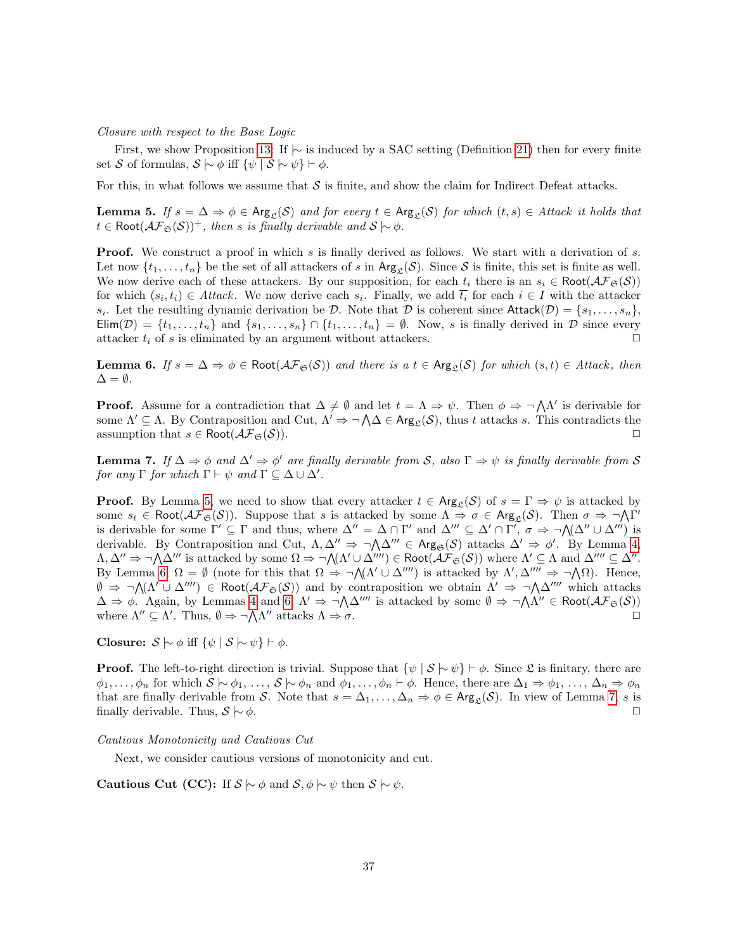Closure with respect to the Base Logic

First, we show Proposition [13:](#page-20-3) If  $\sim$  is induced by a SAC setting (Definition [21\)](#page-17-4) then for every finite set S of formulas,  $S \sim \phi$  iff  $\{\psi \mid S \sim \psi\} \vdash \phi$ .

<span id="page-36-0"></span>For this, in what follows we assume that  $\mathcal S$  is finite, and show the claim for Indirect Defeat attacks.

**Lemma 5.** If  $s = \Delta \Rightarrow \phi \in \text{Arg}_{\mathcal{L}}(\mathcal{S})$  and for every  $t \in \text{Arg}_{\mathcal{L}}(\mathcal{S})$  for which  $(t, s) \in$  Attack it holds that  $t \in \text{Root}(\mathcal{AF}_{\mathfrak{S}}(\mathcal{S}))^+$ , then s is finally derivable and  $\mathcal{S} \sim \phi$ .

**Proof.** We construct a proof in which s is finally derived as follows. We start with a derivation of s. Let now  $\{t_1, \ldots, t_n\}$  be the set of all attackers of s in  $\text{Arg}_{\mathcal{L}}(\mathcal{S})$ . Since S is finite, this set is finite as well. We now derive each of these attackers. By our supposition, for each  $t_i$  there is an  $s_i \in \text{Root}(\mathcal{AF}_{\mathfrak{S}}(\mathcal{S}))$ for which  $(s_i, t_i) \in Attack$ . We now derive each  $s_i$ . Finally, we add  $\overline{t_i}$  for each  $i \in I$  with the attacker  $s_i$ . Let the resulting dynamic derivation be D. Note that D is coherent since  $\text{Attack}(\mathcal{D}) = \{s_1, \ldots, s_n\},\$  $\text{Elim}(\mathcal{D}) = \{t_1, \ldots, t_n\}$  and  $\{s_1, \ldots, s_n\} \cap \{t_1, \ldots, t_n\} = \emptyset$ . Now, s is finally derived in  $\mathcal{D}$  since every attacker  $t_i$  of s is eliminated by an argument without attackers.  $\Box$ 

<span id="page-36-1"></span>**Lemma 6.** If  $s = \Delta \Rightarrow \phi \in \text{Root}(\mathcal{AF}_{\mathfrak{S}}(\mathcal{S}))$  and there is a  $t \in \text{Arg}_{\mathfrak{L}}(\mathcal{S})$  for which  $(s, t) \in \text{Attack},$  then  $\Delta = \emptyset$ .

**Proof.** Assume for a contradiction that  $\Delta \neq \emptyset$  and let  $t = \Lambda \Rightarrow \psi$ . Then  $\phi \Rightarrow \neg \Lambda \Lambda'$  is derivable for some  $\Lambda' \subseteq \Lambda$ . By Contraposition and Cut,  $\Lambda' \Rightarrow \neg \Lambda \Delta \in \text{Arg}_{\mathfrak{L}}(\mathcal{S})$ , thus t attacks s. This contradicts the assumption that  $s \in \text{Root}(\mathcal{AF}_{\mathfrak{S}}(\mathcal{S}))$ .

<span id="page-36-2"></span>**Lemma 7.** If  $\Delta \Rightarrow \phi$  and  $\Delta' \Rightarrow \phi'$  are finally derivable from S, also  $\Gamma \Rightarrow \psi$  is finally derivable from S for any  $\Gamma$  for which  $\Gamma \vdash \psi$  and  $\Gamma \subseteq \Delta \cup \Delta'$ .

**Proof.** By Lemma [5,](#page-36-0) we need to show that every attacker  $t \in \mathsf{Arg}_{\mathfrak{L}}(\mathcal{S})$  of  $s = \Gamma \Rightarrow \psi$  is attacked by some  $s_t \in \text{Root}(\mathcal{AF}_{\mathfrak{S}}(\mathcal{S}))$ . Suppose that s is attacked by some  $\Lambda \Rightarrow \sigma \in \text{Arg}_{\mathfrak{L}}(\mathcal{S})$ . Then  $\sigma \Rightarrow \neg \Lambda \Gamma'$ is derivable for some  $\Gamma' \subseteq \Gamma$  and thus, where  $\Delta'' = \Delta \cap \Gamma'$  and  $\Delta''' \subseteq \Delta' \cap \Gamma'$ ,  $\sigma \Rightarrow \neg \Lambda(\Delta'' \cup \Delta''')$  is derivable. By Contraposition and Cut,  $\Lambda, \Delta'' \Rightarrow \neg \Lambda \Delta''' \in \text{Arg}_{\mathfrak{S}}(\mathcal{S})$  attacks  $\Delta' \Rightarrow \phi'$ . By Lemma [4,](#page-34-0)  $\Lambda, \Delta'' \Rightarrow \neg \Lambda \Delta'''$  is attacked by some  $\Omega \Rightarrow \neg \Lambda(\Lambda' \cup \Delta'''') \in \text{Root}(\mathcal{AF}_{\mathfrak{S}}(\mathcal{S}))$  where  $\Lambda' \subseteq \Lambda$  and  $\Delta'''' \subseteq \Delta''$ . By Lemma [6,](#page-36-1)  $\Omega = \emptyset$  (note for this that  $\Omega \Rightarrow \neg \Lambda(\Lambda' \cup \Delta'''')$  is attacked by  $\Lambda', \Delta'''' \Rightarrow \neg \Lambda \Omega$ ). Hence,  $\emptyset \Rightarrow \neg \bigwedge (\Lambda' \cup \Delta'''' \big) \in \text{Root}(\mathcal{AF}_{\mathfrak{S}}(\mathcal{S}))$  and by contraposition we obtain  $\Lambda' \Rightarrow \neg \bigwedge \Delta''''$  which attacks  $\Delta \Rightarrow \phi$ . Again, by Lemmas [4](#page-34-0) and [6,](#page-36-1)  $\Lambda' \Rightarrow \neg \Lambda \Delta''''$  is attacked by some  $\emptyset \Rightarrow \neg \Lambda \Lambda'' \in \text{Root}(\mathcal{AF}_{\mathfrak{S}}(\mathcal{S}))$ where  $\Lambda'' \subseteq \Lambda'$ . Thus,  $\emptyset \Rightarrow \neg \Lambda \Lambda''$  attacks  $\Lambda \Rightarrow \sigma$ .

Closure:  $S \sim \phi$  iff  $\{\psi \mid S \sim \psi\} \vdash \phi$ .

**Proof.** The left-to-right direction is trivial. Suppose that  $\{\psi \mid \mathcal{S} \models \psi\} \models \phi$ . Since  $\mathfrak{L}$  is finitary, there are  $\phi_1, \ldots, \phi_n$  for which  $S \sim \phi_1, \ldots, S \sim \phi_n$  and  $\phi_1, \ldots, \phi_n \vdash \phi$ . Hence, there are  $\Delta_1 \Rightarrow \phi_1, \ldots, \Delta_n \Rightarrow \phi_n$ that are finally derivable from S. Note that  $s = \Delta_1, \ldots, \Delta_n \Rightarrow \phi \in \text{Arg}_{\mathfrak{L}}(\mathcal{S})$ . In view of Lemma [7,](#page-36-2) s is finally derivable. Thus,  $S \sim \phi$ .

#### Cautious Monotonicity and Cautious Cut

Next, we consider cautious versions of monotonicity and cut.

Cautious Cut (CC): If  $S \sim \phi$  and  $S, \phi \sim \psi$  then  $S \sim \psi$ .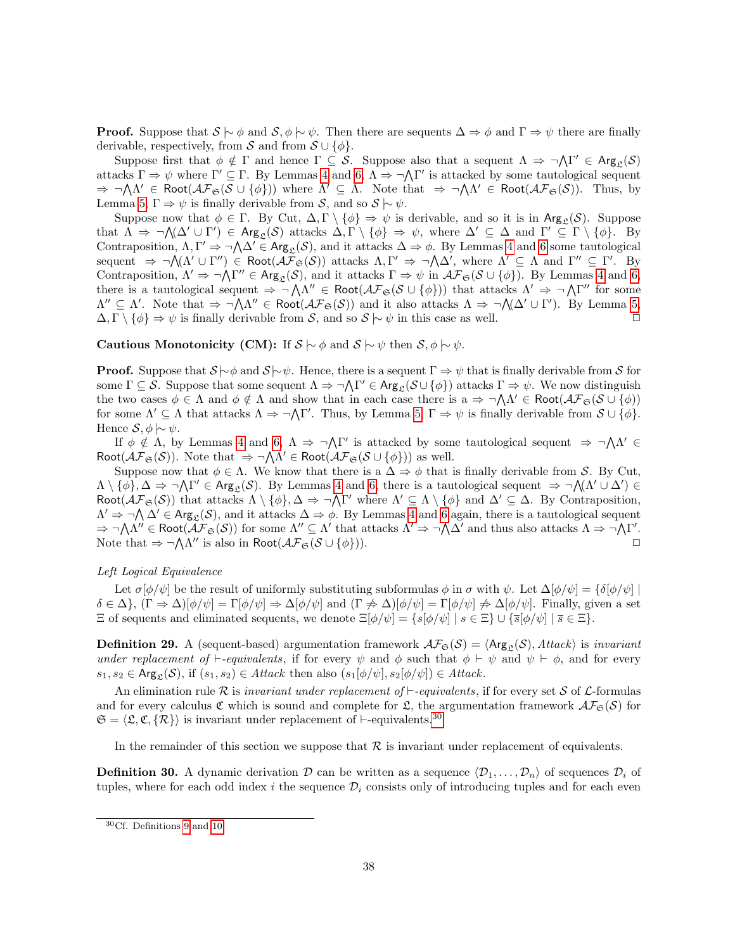**Proof.** Suppose that  $S \sim \phi$  and  $S, \phi \sim \psi$ . Then there are sequents  $\Delta \Rightarrow \phi$  and  $\Gamma \Rightarrow \psi$  there are finally derivable, respectively, from S and from  $S \cup \{\phi\}.$ 

Suppose first that  $\phi \notin \Gamma$  and hence  $\Gamma \subseteq \mathcal{S}$ . Suppose also that a sequent  $\Lambda \Rightarrow \neg \Lambda \Gamma' \in \text{Arg}_{\mathcal{L}}(\mathcal{S})$ attacks  $\Gamma \Rightarrow \psi$  where  $\Gamma' \subseteq \Gamma$ . By Lemmas [4](#page-34-0) and [6,](#page-36-1)  $\Lambda \Rightarrow \neg \Lambda \Gamma'$  is attacked by some tautological sequent  $\Rightarrow \neg \wedge \Lambda' \in \text{Root}(\mathcal{AF}_{\mathfrak{S}}(\mathcal{S} \cup \{\phi\}))$  where  $\Lambda' \subseteq \Lambda$ . Note that  $\Rightarrow \neg \wedge \Lambda' \in \text{Root}(\mathcal{AF}_{\mathfrak{S}}(\mathcal{S}))$ . Thus, by Lemma [5,](#page-36-0)  $\Gamma \Rightarrow \psi$  is finally derivable from S, and so  $S \sim \psi$ .

Suppose now that  $\phi \in \Gamma$ . By Cut,  $\Delta, \Gamma \setminus \{\phi\} \Rightarrow \psi$  is derivable, and so it is in Arg<sub>c</sub>(S). Suppose that  $\Lambda \Rightarrow \neg \Lambda(\Delta' \cup \Gamma') \in \text{Arg}_{\mathfrak{L}}(\mathcal{S})$  attacks  $\Delta, \Gamma \setminus \{\phi\} \Rightarrow \psi$ , where  $\Delta' \subseteq \Delta$  and  $\Gamma' \subseteq \Gamma \setminus \{\phi\}$ . By Contraposition,  $\Lambda, \Gamma' \Rightarrow \neg \Lambda \Delta' \in \text{Arg}_{\mathfrak{L}}(\mathcal{S})$ , and it attacks  $\Delta \Rightarrow \phi$ . By Lemmas [4](#page-34-0) and [6](#page-36-1) some tautological sequent  $\Rightarrow \neg \bigwedge (\Lambda' \cup \Gamma'') \in \text{Root}(\mathcal{AF}_{\mathfrak{S}}(\mathcal{S}))$  attacks  $\Lambda, \Gamma' \Rightarrow \neg \bigwedge \Delta',$  where  $\Lambda' \subseteq \Lambda$  and  $\Gamma'' \subseteq \Gamma'$ . By Contraposition,  $\Lambda' \Rightarrow \neg \Lambda \Gamma'' \in \text{Arg}_{\mathcal{L}}(\mathcal{S})$ , and it attacks  $\Gamma \Rightarrow \psi$  in  $\mathcal{AF}_{\mathfrak{S}}(\mathcal{S} \cup {\phi})$ . By Lemmas [4](#page-34-0) and [6,](#page-36-1) there is a tautological sequent  $\Rightarrow \neg \bigwedge \Lambda'' \in \text{Root}(\mathcal{AF}_{\mathfrak{S}}(\mathcal{S} \cup {\emptyset}))$  that attacks  $\Lambda' \Rightarrow \neg \bigwedge \Gamma''$  for some  $\Lambda'' \subseteq \Lambda'$ . Note that  $\Rightarrow \neg \Lambda \Lambda'' \in \text{Root}(\mathcal{AF}_{\mathfrak{S}}(\mathcal{S}))$  and it also attacks  $\Lambda \Rightarrow \neg \Lambda(\Delta' \cup \Gamma')$ . By Lemma [5,](#page-36-0)  $\Delta, \Gamma \setminus \{\phi\} \Rightarrow \psi$  is finally derivable from S, and so  $S \sim \psi$  in this case as well.

Cautious Monotonicity (CM): If  $S \sim \phi$  and  $S \sim \psi$  then  $S, \phi \sim \psi$ .

**Proof.** Suppose that  $S \sim \phi$  and  $S \sim \psi$ . Hence, there is a sequent  $\Gamma \Rightarrow \psi$  that is finally derivable from S for some  $\Gamma \subseteq \mathcal{S}$ . Suppose that some sequent  $\Lambda \Rightarrow \neg \Lambda \Gamma' \in \text{Arg}_{\mathfrak{L}}(\mathcal{S} \cup {\phi})$  attacks  $\Gamma \Rightarrow \psi$ . We now distinguish the two cases  $\phi \in \Lambda$  and  $\phi \notin \Lambda$  and show that in each case there is  $a \Rightarrow \neg \Lambda \Lambda' \in \text{Root}(\mathcal{AF}_{\mathfrak{S}}(S \cup \{\phi\}))$ for some  $\Lambda' \subseteq \Lambda$  that attacks  $\Lambda \Rightarrow \neg \Lambda \Gamma'$ . Thus, by Lemma [5,](#page-36-0)  $\Gamma \Rightarrow \psi$  is finally derivable from  $S \cup {\phi}$ . Hence  $S, \phi \sim \psi$ .

If  $\phi \notin \Lambda$ , by Lemmas [4](#page-34-0) and [6,](#page-36-1)  $\Lambda \Rightarrow \neg \Lambda \Gamma'$  is attacked by some tautological sequent  $\Rightarrow \neg \Lambda \Lambda' \in$ Root $(\mathcal{AF}_{\mathfrak{S}}(\mathcal{S}))$ . Note that  $\Rightarrow \neg \bigwedge \Lambda' \in \text{Root}(\mathcal{AF}_{\mathfrak{S}}(\mathcal{S} \cup {\emptyset}))$  as well.

Suppose now that  $\phi \in \Lambda$ . We know that there is a  $\Delta \Rightarrow \phi$  that is finally derivable from S. By Cut,  $\Lambda \setminus \{\phi\}, \Delta \Rightarrow \neg \Lambda \Gamma' \in \text{Arg}_{\mathfrak{L}}(\mathcal{S})$ . By Lemmas [4](#page-34-0) and [6,](#page-36-1) there is a tautological sequent  $\Rightarrow \neg \Lambda(\Lambda' \cup \Delta') \in$ Root( $\mathcal{AF}_{\mathfrak{S}}(\mathcal{S})$ ) that attacks  $\Lambda \setminus \{\phi\}, \Delta \Rightarrow \neg \Lambda \Gamma'$  where  $\Lambda' \subseteq \Lambda \setminus \{\phi\}$  and  $\Delta' \subseteq \Delta$ . By Contraposition,  $\Lambda' \Rightarrow \neg \bigwedge \Delta' \in \text{Arg}_{\mathfrak{L}}(\mathcal{S}),$  and it attacks  $\Delta \Rightarrow \phi$ . By Lemmas [4](#page-34-0) and [6](#page-36-1) again, there is a tautological sequent  $\Rightarrow \neg \bigwedge \Lambda'' \in \text{Root}(\mathcal{AF}_{\mathfrak{S}}(\mathcal{S}))$  for some  $\Lambda'' \subseteq \Lambda'$  that attacks  $\Lambda' \Rightarrow \neg \bigwedge \Delta'$  and thus also attacks  $\Lambda \Rightarrow \neg \bigwedge \Gamma'.$ Note that  $\Rightarrow \neg \bigwedge \Lambda''$  is also in Root $(\mathcal{AF}_{\mathfrak{S}}(\mathcal{S} \cup \{\phi\})).$ 

# Left Logical Equivalence

Let  $\sigma[\phi/\psi]$  be the result of uniformly substituting subformulas  $\phi$  in  $\sigma$  with  $\psi$ . Let  $\Delta[\phi/\psi] = {\delta[\phi/\psi]}$  $\delta \in \Delta$ ,  $(\Gamma \Rightarrow \Delta)[\phi/\psi] = \Gamma[\phi/\psi] \Rightarrow \Delta[\phi/\psi]$  and  $(\Gamma \not\Rightarrow \Delta)[\phi/\psi] = \Gamma[\phi/\psi] \not\Rightarrow \Delta[\phi/\psi]$ . Finally, given a set  $\Xi$  of sequents and eliminated sequents, we denote  $\Xi[\phi/\psi] = \{s[\phi/\psi] \mid s \in \Xi\} \cup \{\overline{s}[\phi/\psi] \mid \overline{s} \in \Xi\}.$ 

**Definition 29.** A (sequent-based) argumentation framework  $\mathcal{AF}_{\mathfrak{S}}(\mathcal{S}) = \langle \mathsf{Arg}_{\mathfrak{L}}(\mathcal{S}), \mathit{Attack} \rangle$  is invariant under replacement of  $\vdash$ -equivalents, if for every  $\psi$  and  $\phi$  such that  $\phi \vdash \psi$  and  $\psi \vdash \phi$ , and for every  $s_1, s_2 \in \text{Arg}_{\mathcal{S}}(\mathcal{S}), \text{ if } (s_1, s_2) \in \text{Attack} \text{ then also } (s_1[\phi/\psi], s_2[\phi/\psi]) \in \text{Attack}.$ 

An elimination rule R is *invariant under replacement of*  $\vdash$ -equivalents, if for every set S of L-formulas and for every calculus  $\mathfrak C$  which is sound and complete for  $\mathfrak L$ , the argumentation framework  $\mathcal{AF}_{\mathfrak S}(\mathcal{S})$  for  $\mathfrak{S} = \langle \mathfrak{L}, \mathfrak{C}, \{ \mathcal{R} \} \rangle$  is invariant under replacement of  $\vdash$ -equivalents.<sup>[30](#page-37-0)</sup>

In the remainder of this section we suppose that  $R$  is invariant under replacement of equivalents.

<span id="page-37-1"></span>**Definition 30.** A dynamic derivation D can be written as a sequence  $\langle \mathcal{D}_1, \ldots, \mathcal{D}_n \rangle$  of sequences  $\mathcal{D}_i$  of tuples, where for each odd index i the sequence  $\mathcal{D}_i$  consists only of introducing tuples and for each even

<span id="page-37-0"></span><sup>30</sup>Cf. Definitions [9](#page-7-0) and [10.](#page-8-4)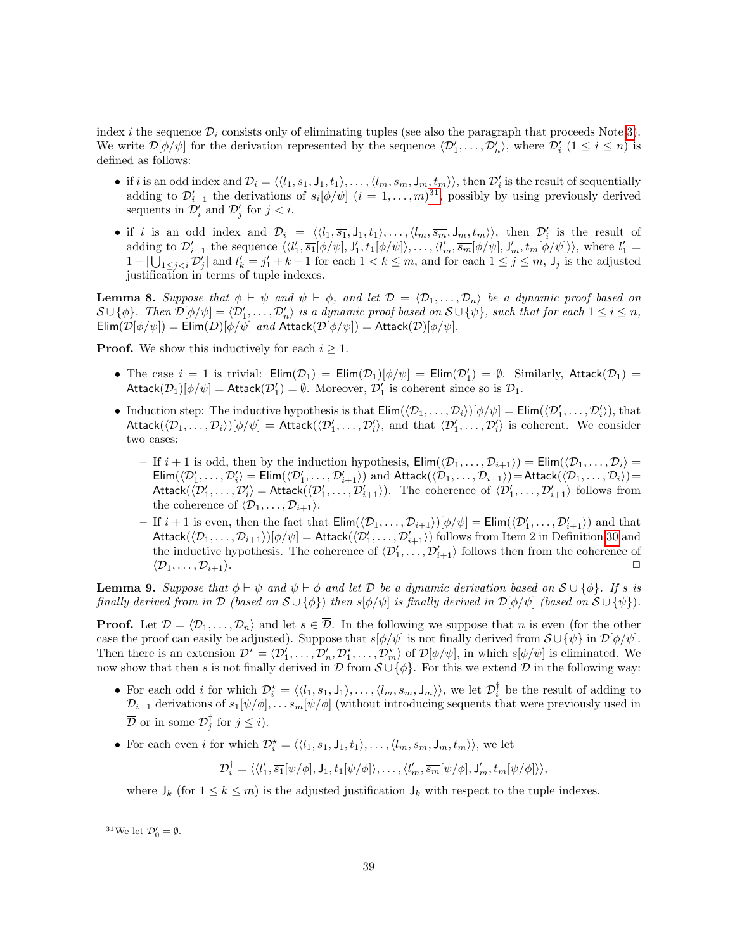index i the sequence  $\mathcal{D}_i$  consists only of eliminating tuples (see also the paragraph that proceeds Note [3\)](#page-12-2). We write  $\mathcal{D}[\phi/\psi]$  for the derivation represented by the sequence  $\langle \mathcal{D}'_1,\ldots,\mathcal{D}'_n \rangle$ , where  $\mathcal{D}'_i$   $(1 \leq i \leq n)$  is defined as follows:

- if i is an odd index and  $\mathcal{D}_i = \langle \langle l_1, s_1, J_1, t_1 \rangle, \ldots, \langle l_m, s_m, J_m, t_m \rangle \rangle$ , then  $\mathcal{D}'_i$  is the result of sequentially adding to  $\mathcal{D}'_{i-1}$  the derivations of  $s_i[\phi/\psi]$   $(i = 1, \ldots, m)^{31}$  $(i = 1, \ldots, m)^{31}$  $(i = 1, \ldots, m)^{31}$ , possibly by using previously derived sequents in  $\mathcal{D}'_i$  and  $\mathcal{D}'_j$  for  $j < i$ .
- if i is an odd index and  $\mathcal{D}_i = \langle \langle l_1, \overline{s_1}, J_1, t_1 \rangle, \ldots, \langle l_m, \overline{s_m}, J_m, t_m \rangle \rangle$ , then  $\mathcal{D}'_i$  is the result of adding to  $\mathcal{D}_{i-1}'$  the sequence  $\langle\langle l_1', \overline{s_1}[\phi/\psi], \mathsf{J}_1', t_1[\phi/\psi]\rangle, \ldots, \langle l_m', \overline{s_m}[\phi/\psi], \mathsf{J}_m', t_m[\phi/\psi]\rangle\rangle$ , where  $l_1' =$  $1+|\bigcup_{1\leq j and  $l'_k=j'_1+k-1$  for each  $1 < k \leq m$ , and for each  $1 \leq j \leq m$ ,  $J_j$  is the adjusted$ justification in terms of tuple indexes.

<span id="page-38-1"></span>**Lemma 8.** Suppose that  $\phi \vdash \psi$  and  $\psi \vdash \phi$ , and let  $\mathcal{D} = \langle \mathcal{D}_1, \ldots, \mathcal{D}_n \rangle$  be a dynamic proof based on  $\mathcal{S} \cup {\phi}.$  Then  $\mathcal{D}[\phi/\psi] = \langle \mathcal{D}'_1,\ldots,\mathcal{D}'_n \rangle$  is a dynamic proof based on  $\mathcal{S} \cup {\psi}$ , such that for each  $1 \leq i \leq n$ ,  $\textsf{Elim}(\mathcal{D}[\phi/\psi]) = \textsf{Elim}(D)[\phi/\psi]$  and  $\textsf{Attack}(\mathcal{D}[\phi/\psi]) = \textsf{Attack}(\mathcal{D})[\phi/\psi].$ 

**Proof.** We show this inductively for each  $i \geq 1$ .

- The case  $i = 1$  is trivial:  $\text{Elim}(\mathcal{D}_1) = \text{Elim}(\mathcal{D}_1)[\phi/\psi] = \text{Elim}(\mathcal{D}'_1) = \emptyset$ . Similarly, Attack $(\mathcal{D}_1) =$  $\mathsf{Attack}(\mathcal{D}_1)[\phi/\psi] = \mathsf{Attack}(\mathcal{D}_1') = \emptyset.$  Moreover,  $\mathcal{D}_1'$  is coherent since so is  $\mathcal{D}_1$ .
- Induction step: The inductive hypothesis is that  $\text{Elim}(\langle \mathcal{D}_1, \ldots, \mathcal{D}_i \rangle)[\phi/\psi] = \text{Elim}(\langle \mathcal{D}'_1, \ldots, \mathcal{D}'_i \rangle)$ , that  $\mathsf{Attack}(\langle \mathcal{D}_1,\ldots,\mathcal{D}_i\rangle)[\phi/\psi] = \mathsf{Attack}(\langle \mathcal{D}_1',\ldots,\mathcal{D}_i'\rangle, \text{ and that } \langle \mathcal{D}_1',\ldots,\mathcal{D}_i'\rangle \text{ is coherent. We consider }$ two cases:
	- If  $i + 1$  is odd, then by the induction hypothesis,  $\text{Elim}(\langle \mathcal{D}_1, \ldots, \mathcal{D}_{i+1} \rangle) = \text{Elim}(\langle \mathcal{D}_1, \ldots, \mathcal{D}_i \rangle =$  $\mathsf{Elim}(\langle \mathcal{D}_1',\ldots,\mathcal{D}_i'\rangle=\mathsf{Elim}(\langle \mathcal{D}_1',\ldots,\mathcal{D}_{i+1}'\rangle) \text{ and Attack}(\langle \mathcal{D}_1,\ldots,\mathcal{D}_{i+1}\rangle)\!=\!\mathsf{Attack}(\langle \mathcal{D}_1,\ldots,\mathcal{D}_i\rangle)\!=\!$  $\mathsf{Attack}(\langle \mathcal{D}'_1,\ldots,\mathcal{D}'_i\rangle = \mathsf{Attack}(\langle \mathcal{D}'_1,\ldots,\mathcal{D}'_{i+1}\rangle).$  The coherence of  $\langle \mathcal{D}'_1,\ldots,\mathcal{D}'_{i+1}\rangle$  follows from the coherence of  $\langle \mathcal{D}_1, \ldots, \mathcal{D}_{i+1} \rangle$ .
	- If  $i+1$  is even, then the fact that  $\textsf{Elim}(\langle \mathcal{D}_1,\ldots,\mathcal{D}_{i+1}\rangle)[\phi/\psi] = \textsf{Elim}(\langle \mathcal{D}'_1,\ldots,\mathcal{D}'_{i+1}\rangle)$  and that Attack $(\langle \mathcal{D}_1,\ldots,\mathcal{D}_{i+1}\rangle)[\phi/\psi] = \mathsf{Attack}(\langle \mathcal{D}_1',\ldots,\mathcal{D}_{i+1}'\rangle)$  follows from Item 2 in Definition [30](#page-37-1) and the inductive hypothesis. The coherence of  $\langle \mathcal{D}'_1, \ldots, \mathcal{D}'_{i+1} \rangle$  follows then from the coherence of  $\langle \mathcal{D}_1, \ldots, \mathcal{D}_{i+1} \rangle$ .

<span id="page-38-2"></span>**Lemma 9.** Suppose that  $\phi \vdash \psi$  and  $\psi \vdash \phi$  and let  $\mathcal{D}$  be a dynamic derivation based on  $S \cup {\phi}$ . If s is finally derived from in  $\mathcal{D}$  (based on  $\mathcal{S} \cup {\phi}$ ) then  $s[\phi/\psi]$  is finally derived in  $\mathcal{D}[\phi/\psi]$  (based on  $\mathcal{S} \cup {\psi}$ ).

**Proof.** Let  $\mathcal{D} = \langle \mathcal{D}_1, \ldots, \mathcal{D}_n \rangle$  and let  $s \in \overline{\mathcal{D}}$ . In the following we suppose that n is even (for the other case the proof can easily be adjusted). Suppose that  $s[\phi/\psi]$  is not finally derived from  $\mathcal{S} \cup {\psi}$  in  $\mathcal{D}[\phi/\psi]$ . Then there is an extension  $\mathcal{D}^* = \langle \mathcal{D}'_1, \ldots, \mathcal{D}'_n, \mathcal{D}^*_1, \ldots, \mathcal{D}^*_m \rangle$  of  $\mathcal{D}[\phi/\psi]$ , in which  $s[\phi/\psi]$  is eliminated. We now show that then s is not finally derived in D from  $S \cup {\phi}$ . For this we extend D in the following way:

- For each odd *i* for which  $\mathcal{D}_i^* = \langle \langle l_1, s_1, \mathsf{J}_1 \rangle, \ldots, \langle l_m, s_m, \mathsf{J}_m \rangle \rangle$ , we let  $\mathcal{D}_i^{\dagger}$  be the result of adding to  $\mathcal{D}_{i+1}$  derivations of  $s_1[\psi/\phi], \ldots s_m[\psi/\phi]$  (without introducing sequents that were previously used in  $\overline{\mathcal{D}}$  or in some  $\mathcal{D}_j^{\dagger}$  for  $j \leq i$ .
- For each even i for which  $\mathcal{D}_{i}^{\star} = \langle \langle l_1, \overline{s_1}, J_1, t_1 \rangle, \ldots, \langle l_m, \overline{s_m}, J_m, t_m \rangle \rangle$ , we let

 ${\cal D}_i^\dagger = \langle \langle l_1', \overline{s_1}[\psi/\phi], \mathsf{J}_1, t_1[\psi/\phi] \rangle, \ldots, \langle l_m', \overline{s_m}[\psi/\phi], \mathsf{J}_m', t_m[\psi/\phi] \rangle \rangle,$ 

where  $J_k$  (for  $1 \leq k \leq m$ ) is the adjusted justification  $J_k$  with respect to the tuple indexes.

<span id="page-38-0"></span><sup>&</sup>lt;sup>31</sup>We let  $\mathcal{D}'_0 = \emptyset$ .